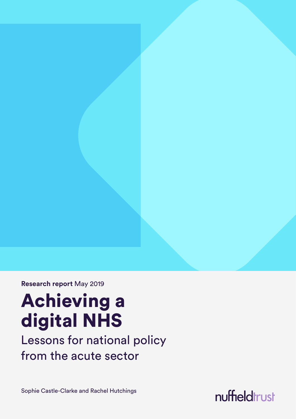**Research report** May 2019

# Achieving a digital NHS

Lessons for national policy from the acute sector

Sophie Castle-Clarke and Rachel Hutchings

nuffieldtrust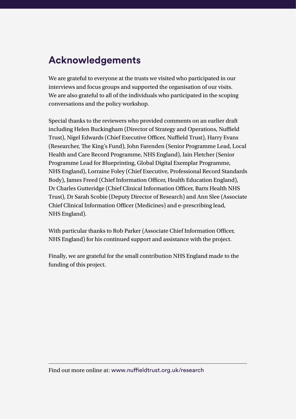## **Acknowledgements**

We are grateful to everyone at the trusts we visited who participated in our interviews and focus groups and supported the organisation of our visits. We are also grateful to all of the individuals who participated in the scoping conversations and the policy workshop.

Special thanks to the reviewers who provided comments on an earlier draft including Helen Buckingham (Director of Strategy and Operations, Nuffield Trust), Nigel Edwards (Chief Executive Officer, Nuffield Trust), Harry Evans (Researcher, The King's Fund), John Farenden (Senior Programme Lead, Local Health and Care Record Programme, NHS England), Iain Fletcher (Senior Programme Lead for Blueprinting, Global Digital Exemplar Programme, NHS England), Lorraine Foley (Chief Executive, Professional Record Standards Body), James Freed (Chief Information Officer, Health Education England), Dr Charles Gutteridge (Chief Clinical Information Officer, Barts Health NHS Trust), Dr Sarah Scobie (Deputy Director of Research) and Ann Slee (Associate Chief Clinical Information Officer (Medicines) and e-prescribing lead, NHS England).

With particular thanks to Rob Parker (Associate Chief Information Officer, NHS England) for his continued support and assistance with the project.

Finally, we are grateful for the small contribution NHS England made to the funding of this project.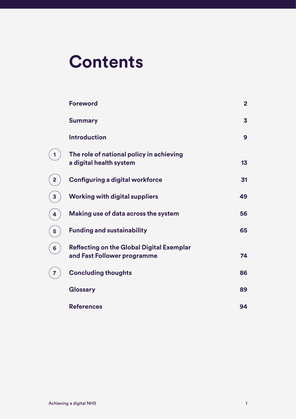# **Contents**

|                | <b>Foreword</b>                                                                 | $\overline{2}$ |
|----------------|---------------------------------------------------------------------------------|----------------|
|                | <b>Summary</b>                                                                  | 3              |
|                | <b>Introduction</b>                                                             | 9              |
| 1              | The role of national policy in achieving<br>a digital health system             | 13             |
| $\overline{2}$ | <b>Configuring a digital workforce</b>                                          | 31             |
| 3              | <b>Working with digital suppliers</b>                                           | 49             |
| 4              | Making use of data across the system                                            | 56             |
| 5              | <b>Funding and sustainability</b>                                               | 65             |
| 6              | <b>Reflecting on the Global Digital Exemplar</b><br>and Fast Follower programme | 74             |
| 7              | <b>Concluding thoughts</b>                                                      | 86             |
|                | Glossary                                                                        | 89             |
|                | <b>References</b>                                                               | 94             |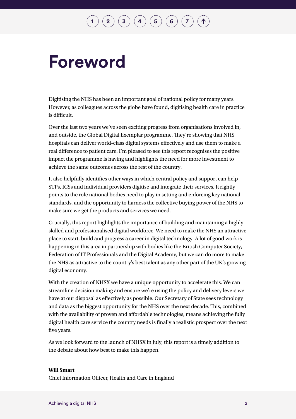# <span id="page-3-0"></span>**Foreword**

Digitising the NHS has been an important goal of national policy for many years. However, as colleagues across the globe have found, digitising health care in practice is difficult.

Over the last two years we've seen exciting progress from organisations involved in, and outside, the Global Digital Exemplar programme. They're showing that NHS hospitals can deliver world-class digital systems effectively and use them to make a real difference to patient care. I'm pleased to see this report recognises the positive impact the programme is having and highlights the need for more investment to achieve the same outcomes across the rest of the country.

It also helpfully identifies other ways in which central policy and support can help STPs, ICSs and individual providers digitise and integrate their services. It rightly points to the role national bodies need to play in setting and enforcing key national standards, and the opportunity to harness the collective buying power of the NHS to make sure we get the products and services we need.

Crucially, this report highlights the importance of building and maintaining a highly skilled and professionalised digital workforce. We need to make the NHS an attractive place to start, build and progress a career in digital technology. A lot of good work is happening in this area in partnership with bodies like the British Computer Society, Federation of IT Professionals and the Digital Academy, but we can do more to make the NHS as attractive to the country's best talent as any other part of the UK's growing digital economy.

With the creation of NHSX we have a unique opportunity to accelerate this. We can streamline decision making and ensure we're using the policy and delivery levers we have at our disposal as effectively as possible. Our Secretary of State sees technology and data as the biggest opportunity for the NHS over the next decade. This, combined with the availability of proven and affordable technologies, means achieving the fully digital health care service the country needs is finally a realistic prospect over the next five years.

As we look forward to the launch of NHSX in July, this report is a timely addition to the debate about how best to make this happen.

### **Will Smart**

Chief Information Officer, Health and Care in England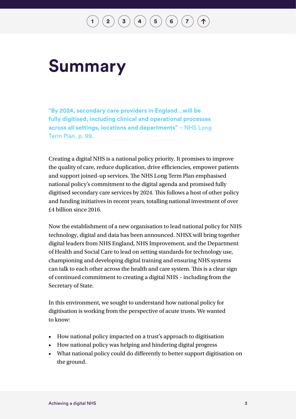$\bf{(2)}\bf{(3)}\bf{(4)}\bf{(5)}\bf{(6)}\bf{(7)}$  $\bf{(2)}\bf{(3)}\bf{(4)}\bf{(5)}\bf{(6)}\bf{(7)}$  $\bf{(2)}\bf{(3)}\bf{(4)}\bf{(5)}\bf{(6)}\bf{(7)}$  $\bf{(2)}\bf{(3)}\bf{(4)}\bf{(5)}\bf{(6)}\bf{(7)}$  $\bf{(2)}\bf{(3)}\bf{(4)}\bf{(5)}\bf{(6)}\bf{(7)}$  $\bf{(2)}\bf{(3)}\bf{(4)}\bf{(5)}\bf{(6)}\bf{(7)}$  $\bf{(2)}\bf{(3)}\bf{(4)}\bf{(5)}\bf{(6)}\bf{(7)}$  $\bf{(2)}\bf{(3)}\bf{(4)}\bf{(5)}\bf{(6)}\bf{(7)}$  $\bf{(2)}\bf{(3)}\bf{(4)}\bf{(5)}\bf{(6)}\bf{(7)}$  $\bf{(2)}\bf{(3)}\bf{(4)}\bf{(5)}\bf{(6)}\bf{(7)}$  $\bf{(2)}\bf{(3)}\bf{(4)}\bf{(5)}\bf{(6)}\bf{(7)}$  $\bf{(2)}\bf{(3)}\bf{(4)}\bf{(5)}\bf{(6)}\bf{(7)}$  $\bf{(2)}\bf{(3)}\bf{(4)}\bf{(5)}\bf{(6)}\bf{(7)}$ 

# <span id="page-4-0"></span>**Summary**

**"By 2024, secondary care providers in England…will be fully digitised, including clinical and operational processes across all settings, locations and departments"** – NHS Long Term Plan, p. 99**.**

Creating a digital NHS is a national policy priority. It promises to improve the quality of care, reduce duplication, drive efficiencies, empower patients and support joined-up services. The NHS Long Term Plan emphasised national policy's commitment to the digital agenda and promised fully digitised secondary care services by 2024. This follows a host of other policy and funding initiatives in recent years, totalling national investment of over £4 billion since 2016.

Now the establishment of a new organisation to lead national policy for NHS technology, digital and data has been announced. NHSX will bring together digital leaders from NHS England, NHS Improvement, and the Department of Health and Social Care to lead on setting standards for technology use, championing and developing digital training and ensuring NHS systems can talk to each other across the health and care system. This is a clear sign of continued commitment to creating a digital NHS – including from the Secretary of State.

In this environment, we sought to understand how national policy for digitisation is working from the perspective of acute trusts. We wanted to know:

- How national policy impacted on a trust's approach to digitisation
- How national policy was helping and hindering digital progress
- What national policy could do differently to better support digitisation on the ground.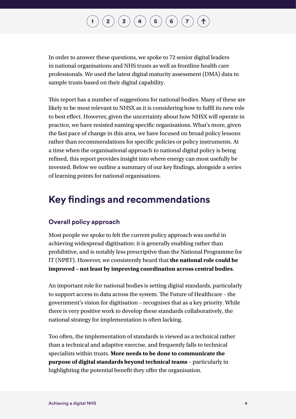In order to answer these questions, we spoke to 72 senior digital leaders in national organisations and NHS trusts as well as frontline health care professionals. We used the latest digital maturity assessment (DMA) data to sample trusts based on their digital capability.

This report has a number of suggestions for national bodies. Many of these are likely to be most relevant to NHSX as it is considering how to fulfil its new role to best effect. However, given the uncertainty about how NHSX will operate in practice, we have resisted naming specific organisations. What's more, given the fast pace of change in this area, we have focused on broad policy lessons rather than recommendations for specific policies or policy instruments. At a time when the organisational approach to national digital policy is being refined, this report provides insight into where energy can most usefully be invested. Below we outline a summary of our key findings, alongside a series of learning points for national organisations.

### **Key findings and recommendations**

### **Overall policy approach**

Most people we spoke to felt the current policy approach was useful in achieving widespread digitisation: it is generally enabling rather than prohibitive, and is notably less prescriptive than the National Programme for IT (NPfIT). However, we consistently heard that **the national role could be improved – not least by improving coordination across central bodies**.

An important role for national bodies is setting digital standards, particularly to support access to data across the system. The Future of Healthcare – the government's vision for digitisation – recognises that as a key priority. While there is very positive work to develop these standards collaboratively, the national strategy for implementation is often lacking.

Too often, the implementation of standards is viewed as a technical rather than a technical and adaptive exercise, and frequently falls to technical specialists within trusts. **More needs to be done to communicate the purpose of digital standards beyond technical teams** – particularly in highlighting the potential benefit they offer the organisation.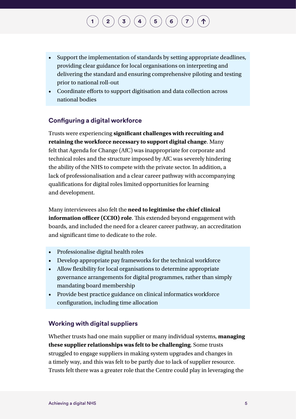- Support the implementation of standards by setting appropriate deadlines, providing clear guidance for local organisations on interpreting and delivering the standard and ensuring comprehensive piloting and testing prior to national roll-out
- Coordinate efforts to support digitisation and data collection across national bodies

### **Configuring a digital workforce**

Trusts were experiencing **significant challenges with recruiting and retaining the workforce necessary to support digital change**. Many felt that Agenda for Change (AfC) was inappropriate for corporate and technical roles and the structure imposed by AfC was severely hindering the ability of the NHS to compete with the private sector. In addition, a lack of professionalisation and a clear career pathway with accompanying qualifications for digital roles limited opportunities for learning and development.

Many interviewees also felt the **need to legitimise the chief clinical information officer (CCIO) role**. This extended beyond engagement with boards, and included the need for a clearer career pathway, an accreditation and significant time to dedicate to the role.

- Professionalise digital health roles
- Develop appropriate pay frameworks for the technical workforce
- Allow flexibility for local organisations to determine appropriate governance arrangements for digital programmes, rather than simply mandating board membership
- Provide best practice guidance on clinical informatics workforce configuration, including time allocation

### **Working with digital suppliers**

Whether trusts had one main supplier or many individual systems, **managing these supplier relationships was felt to be challenging**. Some trusts struggled to engage suppliers in making system upgrades and changes in a timely way, and this was felt to be partly due to lack of supplier resource. Trusts felt there was a greater role that the Centre could play in leveraging the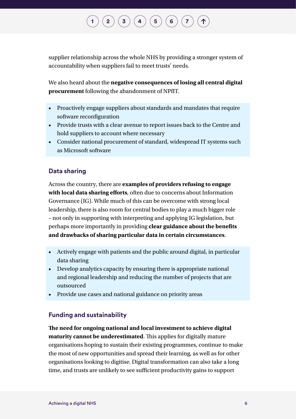supplier relationship across the whole NHS by providing a stronger system of accountability when suppliers fail to meet trusts' needs.

We also heard about the **negative consequences of losing all central digital procurement** following the abandonment of NPfIT.

- Proactively engage suppliers about standards and mandates that require software reconfiguration
- Provide trusts with a clear avenue to report issues back to the Centre and hold suppliers to account where necessary
- Consider national procurement of standard, widespread IT systems such as Microsoft software

### **Data sharing**

Across the country, there are **examples of providers refusing to engage with local data sharing efforts**, often due to concerns about Information Governance (IG). While much of this can be overcome with strong local leadership, there is also room for central bodies to play a much bigger role – not only in supporting with interpreting and applying IG legislation, but perhaps more importantly in providing **clear guidance about the benefits and drawbacks of sharing particular data in certain circumstances**.

- Actively engage with patients and the public around digital, in particular data sharing
- Develop analytics capacity by ensuring there is appropriate national and regional leadership and reducing the number of projects that are outsourced
- Provide use cases and national guidance on priority areas

### **Funding and sustainability**

**The need for ongoing national and local investment to achieve digital maturity cannot be underestimated**. This applies for digitally mature organisations hoping to sustain their existing programmes, continue to make the most of new opportunities and spread their learning, as well as for other organisations looking to digitise. Digital transformation can also take a long time, and trusts are unlikely to see sufficient productivity gains to support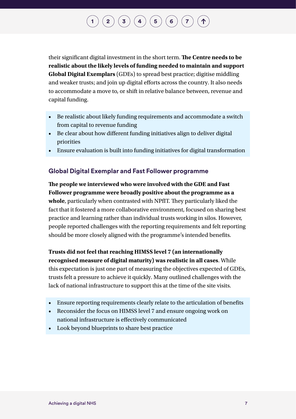their significant digital investment in the short term. **The Centre needs to be realistic about the likely levels of funding needed to maintain and support Global Digital Exemplars** (GDEs) to spread best practice; digitise middling and weaker trusts; and join up digital efforts across the country. It also needs to accommodate a move to, or shift in relative balance between, revenue and capital funding.

- Be realistic about likely funding requirements and accommodate a switch from capital to revenue funding
- Be clear about how different funding initiatives align to deliver digital priorities
- Ensure evaluation is built into funding initiatives for digital transformation

### **Global Digital Exemplar and Fast Follower programme**

**The people we interviewed who were involved with the GDE and Fast Follower programme were broadly positive about the programme as a whole**, particularly when contrasted with NPfIT. They particularly liked the fact that it fostered a more collaborative environment, focused on sharing best practice and learning rather than individual trusts working in silos. However, people reported challenges with the reporting requirements and felt reporting should be more closely aligned with the programme's intended benefits.

**Trusts did not feel that reaching HIMSS level 7 (an internationally recognised measure of digital maturity) was realistic in all cases**. While this expectation is just one part of measuring the objectives expected of GDEs, trusts felt a pressure to achieve it quickly. Many outlined challenges with the lack of national infrastructure to support this at the time of the site visits.

- Ensure reporting requirements clearly relate to the articulation of benefits
- Reconsider the focus on HIMSS level 7 and ensure ongoing work on national infrastructure is effectively communicated
- Look beyond blueprints to share best practice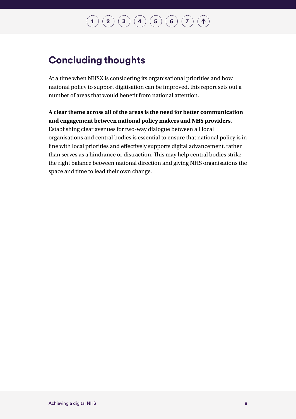### **[1](#page-14-0) [2](#page-32-0) [3](#page-50-0) [4](#page-57-0) [5](#page-66-0) [6](#page-75-0) [7](#page-87-0)**  $\uparrow$

### **Concluding thoughts**

At a time when NHSX is considering its organisational priorities and how national policy to support digitisation can be improved, this report sets out a number of areas that would benefit from national attention.

**A clear theme across all of the areas is the need for better communication and engagement between national policy makers and NHS providers**. Establishing clear avenues for two-way dialogue between all local organisations and central bodies is essential to ensure that national policy is in line with local priorities and effectively supports digital advancement, rather than serves as a hindrance or distraction. This may help central bodies strike the right balance between national direction and giving NHS organisations the space and time to lead their own change.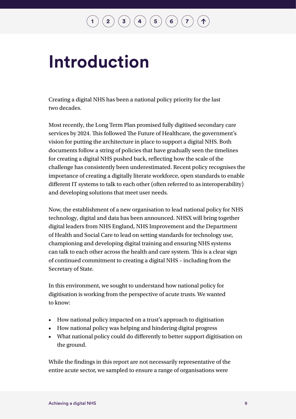# <span id="page-10-0"></span>**Introduction**

Creating a digital NHS has been a national policy priority for the last two decades.

Most recently, the Long Term Plan promised fully digitised secondary care services by 2024. This followed The Future of Healthcare, the government's vision for putting the architecture in place to support a digital NHS. Both documents follow a string of policies that have gradually seen the timelines for creating a digital NHS pushed back, reflecting how the scale of the challenge has consistently been underestimated. Recent policy recognises the importance of creating a digitally literate workforce, open standards to enable different IT systems to talk to each other (often referred to as interoperability) and developing solutions that meet user needs.

Now, the establishment of a new organisation to lead national policy for NHS technology, digital and data has been announced. NHSX will bring together digital leaders from NHS England, NHS Improvement and the Department of Health and Social Care to lead on setting standards for technology use, championing and developing digital training and ensuring NHS systems can talk to each other across the health and care system. This is a clear sign of continued commitment to creating a digital NHS – including from the Secretary of State.

In this environment, we sought to understand how national policy for digitisation is working from the perspective of acute trusts. We wanted to know:

- How national policy impacted on a trust's approach to digitisation
- How national policy was helping and hindering digital progress
- What national policy could do differently to better support digitisation on the ground.

While the findings in this report are not necessarily representative of the entire acute sector, we sampled to ensure a range of organisations were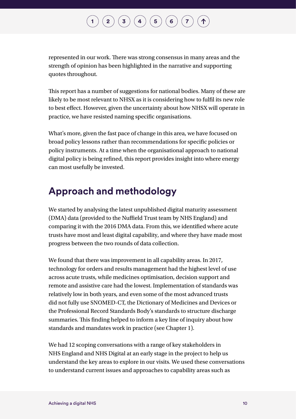## $\mathbf{2} \left( \mathbf{3} \right) \mathbf{3} \left( \mathbf{4} \right) \mathbf{4} \left( \mathbf{5} \right) \mathbf{6} \left( \mathbf{6} \right) \mathbf{7}$  $\mathbf{2} \left( \mathbf{3} \right) \mathbf{3} \left( \mathbf{4} \right) \mathbf{4} \left( \mathbf{5} \right) \mathbf{6} \left( \mathbf{6} \right) \mathbf{7}$  $\mathbf{2} \left( \mathbf{3} \right) \mathbf{3} \left( \mathbf{4} \right) \mathbf{4} \left( \mathbf{5} \right) \mathbf{6} \left( \mathbf{6} \right) \mathbf{7}$  $\mathbf{2} \left( \mathbf{3} \right) \mathbf{3} \left( \mathbf{4} \right) \mathbf{4} \left( \mathbf{5} \right) \mathbf{6} \left( \mathbf{6} \right) \mathbf{7}$  $\mathbf{2} \left( \mathbf{3} \right) \mathbf{3} \left( \mathbf{4} \right) \mathbf{4} \left( \mathbf{5} \right) \mathbf{6} \left( \mathbf{6} \right) \mathbf{7}$  $\mathbf{2} \left( \mathbf{3} \right) \mathbf{3} \left( \mathbf{4} \right) \mathbf{4} \left( \mathbf{5} \right) \mathbf{6} \left( \mathbf{6} \right) \mathbf{7}$  $\mathbf{2} \left( \mathbf{3} \right) \mathbf{3} \left( \mathbf{4} \right) \mathbf{4} \left( \mathbf{5} \right) \mathbf{6} \left( \mathbf{6} \right) \mathbf{7}$  $\mathbf{2} \left( \mathbf{3} \right) \mathbf{3} \left( \mathbf{4} \right) \mathbf{4} \left( \mathbf{5} \right) \mathbf{6} \left( \mathbf{6} \right) \mathbf{7}$  $\mathbf{2} \left( \mathbf{3} \right) \mathbf{3} \left( \mathbf{4} \right) \mathbf{4} \left( \mathbf{5} \right) \mathbf{6} \left( \mathbf{6} \right) \mathbf{7}$  $\mathbf{2} \left( \mathbf{3} \right) \mathbf{3} \left( \mathbf{4} \right) \mathbf{4} \left( \mathbf{5} \right) \mathbf{6} \left( \mathbf{6} \right) \mathbf{7}$  $\mathbf{2} \left( \mathbf{3} \right) \mathbf{3} \left( \mathbf{4} \right) \mathbf{4} \left( \mathbf{5} \right) \mathbf{6} \left( \mathbf{6} \right) \mathbf{7}$  $\mathbf{2} \left( \mathbf{3} \right) \mathbf{3} \left( \mathbf{4} \right) \mathbf{4} \left( \mathbf{5} \right) \mathbf{6} \left( \mathbf{6} \right) \mathbf{7}$  $\mathbf{2} \left( \mathbf{3} \right) \mathbf{3} \left( \mathbf{4} \right) \mathbf{4} \left( \mathbf{5} \right) \mathbf{6} \left( \mathbf{6} \right) \mathbf{7}$

represented in our work. There was strong consensus in many areas and the strength of opinion has been highlighted in the narrative and supporting quotes throughout.

This report has a number of suggestions for national bodies. Many of these are likely to be most relevant to NHSX as it is considering how to fulfil its new role to best effect. However, given the uncertainty about how NHSX will operate in practice, we have resisted naming specific organisations.

What's more, given the fast pace of change in this area, we have focused on broad policy lessons rather than recommendations for specific policies or policy instruments. At a time when the organisational approach to national digital policy is being refined, this report provides insight into where energy can most usefully be invested.

### **Approach and methodology**

We started by analysing the latest unpublished digital maturity assessment (DMA) data (provided to the Nuffield Trust team by NHS England) and comparing it with the 2016 DMA data. From this, we identified where acute trusts have most and least digital capability, and where they have made most progress between the two rounds of data collection.

We found that there was improvement in all capability areas. In 2017, technology for orders and results management had the highest level of use across acute trusts, while medicines optimisation, decision support and remote and assistive care had the lowest. Implementation of standards was relatively low in both years, and even some of the most advanced trusts did not fully use SNOMED-CT, the Dictionary of Medicines and Devices or the Professional Record Standards Body's standards to structure discharge summaries. This finding helped to inform a key line of inquiry about how standards and mandates work in practice (see Chapter 1).

We had 12 scoping conversations with a range of key stakeholders in NHS England and NHS Digital at an early stage in the project to help us understand the key areas to explore in our visits. We used these conversations to understand current issues and approaches to capability areas such as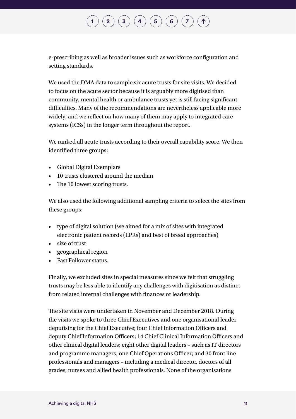## $\bf{(2)}\bf{(3)}\bf{(4)}\bf{(5)}\bf{(6)}\bf{(7)}$  $\bf{(2)}\bf{(3)}\bf{(4)}\bf{(5)}\bf{(6)}\bf{(7)}$  $\bf{(2)}\bf{(3)}\bf{(4)}\bf{(5)}\bf{(6)}\bf{(7)}$  $\bf{(2)}\bf{(3)}\bf{(4)}\bf{(5)}\bf{(6)}\bf{(7)}$  $\bf{(2)}\bf{(3)}\bf{(4)}\bf{(5)}\bf{(6)}\bf{(7)}$  $\bf{(2)}\bf{(3)}\bf{(4)}\bf{(5)}\bf{(6)}\bf{(7)}$  $\bf{(2)}\bf{(3)}\bf{(4)}\bf{(5)}\bf{(6)}\bf{(7)}$  $\bf{(2)}\bf{(3)}\bf{(4)}\bf{(5)}\bf{(6)}\bf{(7)}$  $\bf{(2)}\bf{(3)}\bf{(4)}\bf{(5)}\bf{(6)}\bf{(7)}$  $\bf{(2)}\bf{(3)}\bf{(4)}\bf{(5)}\bf{(6)}\bf{(7)}$  $\bf{(2)}\bf{(3)}\bf{(4)}\bf{(5)}\bf{(6)}\bf{(7)}$  $\bf{(2)}\bf{(3)}\bf{(4)}\bf{(5)}\bf{(6)}\bf{(7)}$  $\bf{(2)}\bf{(3)}\bf{(4)}\bf{(5)}\bf{(6)}\bf{(7)}$

e-prescribing as well as broader issues such as workforce configuration and setting standards.

We used the DMA data to sample six acute trusts for site visits. We decided to focus on the acute sector because it is arguably more digitised than community, mental health or ambulance trusts yet is still facing significant difficulties. Many of the recommendations are nevertheless applicable more widely, and we reflect on how many of them may apply to integrated care systems (ICSs) in the longer term throughout the report.

We ranked all acute trusts according to their overall capability score. We then identified three groups:

- Global Digital Exemplars
- 10 trusts clustered around the median
- The 10 lowest scoring trusts.

We also used the following additional sampling criteria to select the sites from these groups:

- type of digital solution (we aimed for a mix of sites with integrated electronic patient records (EPRs) and best of breed approaches)
- size of trust
- geographical region
- Fast Follower status.

Finally, we excluded sites in special measures since we felt that struggling trusts may be less able to identify any challenges with digitisation as distinct from related internal challenges with finances or leadership.

The site visits were undertaken in November and December 2018. During the visits we spoke to three Chief Executives and one organisational leader deputising for the Chief Executive; four Chief Information Officers and deputy Chief Information Officers; 14 Chief Clinical Information Officers and other clinical digital leaders; eight other digital leaders – such as IT directors and programme managers; one Chief Operations Officer; and 30 front line professionals and managers – including a medical director, doctors of all grades, nurses and allied health professionals. None of the organisations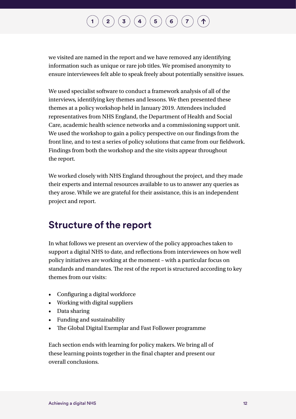we visited are named in the report and we have removed any identifying information such as unique or rare job titles. We promised anonymity to ensure interviewees felt able to speak freely about potentially sensitive issues.

We used specialist software to conduct a framework analysis of all of the interviews, identifying key themes and lessons. We then presented these themes at a policy workshop held in January 2019. Attendees included representatives from NHS England, the Department of Health and Social Care, academic health science networks and a commissioning support unit. We used the workshop to gain a policy perspective on our findings from the front line, and to test a series of policy solutions that came from our fieldwork. Findings from both the workshop and the site visits appear throughout the report.

We worked closely with NHS England throughout the project, and they made their experts and internal resources available to us to answer any queries as they arose. While we are grateful for their assistance, this is an independent project and report.

### **Structure of the report**

In what follows we present an overview of the policy approaches taken to support a digital NHS to date, and reflections from interviewees on how well policy initiatives are working at the moment – with a particular focus on standards and mandates. The rest of the report is structured according to key themes from our visits:

- Configuring a digital workforce
- Working with digital suppliers
- Data sharing
- Funding and sustainability
- The Global Digital Exemplar and Fast Follower programme

Each section ends with learning for policy makers. We bring all of these learning points together in the final chapter and present our overall conclusions.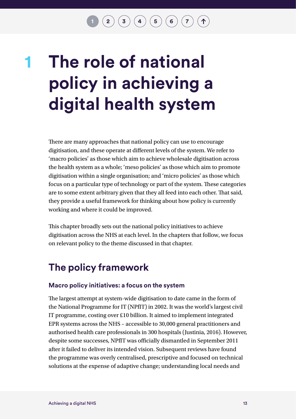# <span id="page-14-0"></span>**The role of national policy in achieving a digital health system 1**

There are many approaches that national policy can use to encourage digitisation, and these operate at different levels of the system. We refer to 'macro policies' as those which aim to achieve wholesale digitisation across the health system as a whole; 'meso policies' as those which aim to promote digitisation within a single organisation; and 'micro policies' as those which focus on a particular type of technology or part of the system. These categories are to some extent arbitrary given that they all feed into each other. That said, they provide a useful framework for thinking about how policy is currently working and where it could be improved.

This chapter broadly sets out the national policy initiatives to achieve digitisation across the NHS at each level. In the chapters that follow, we focus on relevant policy to the theme discussed in that chapter.

### **The policy framework**

### **Macro policy initiatives: a focus on the system**

The largest attempt at system-wide digitisation to date came in the form of the National Programme for IT (NPfIT) in 2002. It was the world's largest civil IT programme, costing over £10 billion. It aimed to implement integrated EPR systems across the NHS – accessible to 30,000 general practitioners and authorised health care professionals in 300 hospitals (Justinia, 2016). However, despite some successes, NPfIT was officially dismantled in September 2011 after it failed to deliver its intended vision. Subsequent reviews have found the programme was overly centralised, prescriptive and focused on technical solutions at the expense of adaptive change; understanding local needs and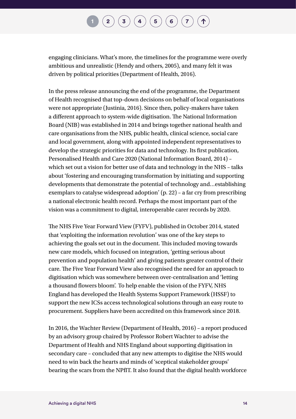engaging clinicians. What's more, the timelines for the programme were overly ambitious and unrealistic (Hendy and others, 2005), and many felt it was driven by political priorities (Department of Health, 2016).

In the press release announcing the end of the programme, the Department of Health recognised that top-down decisions on behalf of local organisations were not appropriate (Justinia, 2016). Since then, policy-makers have taken a different approach to system-wide digitisation. The National Information Board (NIB) was established in 2014 and brings together national health and care organisations from the NHS, public health, clinical science, social care and local government, along with appointed independent representatives to develop the strategic priorities for data and technology. Its first publication, Personalised Health and Care 2020 (National Information Board, 2014) – which set out a vision for better use of data and technology in the NHS – talks about 'fostering and encouraging transformation by initiating and supporting developments that demonstrate the potential of technology and…establishing exemplars to catalyse widespread adoption' (p. 22) – a far cry from prescribing a national electronic health record. Perhaps the most important part of the vision was a commitment to digital, interoperable carer records by 2020.

The NHS Five Year Forward View (FYFV), published in October 2014, stated that 'exploiting the information revolution' was one of the key steps to achieving the goals set out in the document. This included moving towards new care models, which focused on integration, 'getting serious about prevention and population health' and giving patients greater control of their care. The Five Year Forward View also recognised the need for an approach to digitisation which was somewhere between over-centralisation and 'letting a thousand flowers bloom'. To help enable the vision of the FYFV, NHS England has developed the Health Systems Support Framework (HSSF) to support the new ICSs access technological solutions through an easy route to procurement. Suppliers have been accredited on this framework since 2018.

In 2016, the Wachter Review (Department of Health, 2016) – a report produced by an advisory group chaired by Professor Robert Wachter to advise the Department of Health and NHS England about supporting digitisation in secondary care – concluded that any new attempts to digitise the NHS would need to win back the hearts and minds of 'sceptical stakeholder groups' bearing the scars from the NPfIT. It also found that the digital health workforce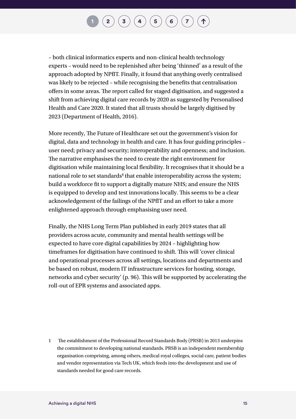$\mathbf{2} \left( \mathbf{3} \right) \mathbf{3} \left( \mathbf{4} \right) \mathbf{4} \left( \mathbf{5} \right) \mathbf{5} \left( \mathbf{6} \right) \mathbf{7}$  $\mathbf{2} \left( \mathbf{3} \right) \mathbf{3} \left( \mathbf{4} \right) \mathbf{4} \left( \mathbf{5} \right) \mathbf{5} \left( \mathbf{6} \right) \mathbf{7}$  $\mathbf{2} \left( \mathbf{3} \right) \mathbf{3} \left( \mathbf{4} \right) \mathbf{4} \left( \mathbf{5} \right) \mathbf{5} \left( \mathbf{6} \right) \mathbf{7}$  $\mathbf{2} \left( \mathbf{3} \right) \mathbf{3} \left( \mathbf{4} \right) \mathbf{4} \left( \mathbf{5} \right) \mathbf{5} \left( \mathbf{6} \right) \mathbf{7}$  $\mathbf{2} \left( \mathbf{3} \right) \mathbf{3} \left( \mathbf{4} \right) \mathbf{4} \left( \mathbf{5} \right) \mathbf{5} \left( \mathbf{6} \right) \mathbf{7}$  $\mathbf{2} \left( \mathbf{3} \right) \mathbf{3} \left( \mathbf{4} \right) \mathbf{4} \left( \mathbf{5} \right) \mathbf{5} \left( \mathbf{6} \right) \mathbf{7}$  $\mathbf{2} \left( \mathbf{3} \right) \mathbf{3} \left( \mathbf{4} \right) \mathbf{4} \left( \mathbf{5} \right) \mathbf{5} \left( \mathbf{6} \right) \mathbf{7}$  $\mathbf{2} \left( \mathbf{3} \right) \mathbf{3} \left( \mathbf{4} \right) \mathbf{4} \left( \mathbf{5} \right) \mathbf{5} \left( \mathbf{6} \right) \mathbf{7}$  $\mathbf{2} \left( \mathbf{3} \right) \mathbf{3} \left( \mathbf{4} \right) \mathbf{4} \left( \mathbf{5} \right) \mathbf{5} \left( \mathbf{6} \right) \mathbf{7}$  $\mathbf{2} \left( \mathbf{3} \right) \mathbf{3} \left( \mathbf{4} \right) \mathbf{4} \left( \mathbf{5} \right) \mathbf{5} \left( \mathbf{6} \right) \mathbf{7}$  $\mathbf{2} \left( \mathbf{3} \right) \mathbf{3} \left( \mathbf{4} \right) \mathbf{4} \left( \mathbf{5} \right) \mathbf{5} \left( \mathbf{6} \right) \mathbf{7}$  $\mathbf{2} \left( \mathbf{3} \right) \mathbf{3} \left( \mathbf{4} \right) \mathbf{4} \left( \mathbf{5} \right) \mathbf{5} \left( \mathbf{6} \right) \mathbf{7}$  $\mathbf{2} \left( \mathbf{3} \right) \mathbf{3} \left( \mathbf{4} \right) \mathbf{4} \left( \mathbf{5} \right) \mathbf{5} \left( \mathbf{6} \right) \mathbf{7}$ 

– both clinical informatics experts and non-clinical health technology experts – would need to be replenished after being 'thinned' as a result of the approach adopted by NPfIT. Finally, it found that anything overly centralised was likely to be rejected – while recognising the benefits that centralisation offers in some areas. The report called for staged digitisation, and suggested a shift from achieving digital care records by 2020 as suggested by Personalised Health and Care 2020. It stated that all trusts should be largely digitised by 2023 (Department of Health, 2016).

More recently, The Future of Healthcare set out the government's vision for digital, data and technology in health and care. It has four guiding principles – user need; privacy and security; interoperability and openness; and inclusion. The narrative emphasises the need to create the right environment for digitisation while maintaining local flexibility. It recognises that it should be a national role to set standards**1** that enable interoperability across the system; build a workforce fit to support a digitally mature NHS; and ensure the NHS is equipped to develop and test innovations locally. This seems to be a clear acknowledgement of the failings of the NPfIT and an effort to take a more enlightened approach through emphasising user need.

Finally, the NHS Long Term Plan published in early 2019 states that all providers across acute, community and mental health settings will be expected to have core digital capabilities by 2024 – highlighting how timeframes for digitisation have continued to shift. This will 'cover clinical and operational processes across all settings, locations and departments and be based on robust, modern IT infrastructure services for hosting, storage, networks and cyber security' (p. 96). This will be supported by accelerating the roll-out of EPR systems and associated apps.

1 The establishment of the Professional Record Standards Body (PRSB) in 2013 underpins the commitment to developing national standards. PRSB is an independent membership organisation comprising, among others, medical royal colleges, social care, patient bodies and vendor representation via Tech UK, which feeds into the development and use of standards needed for good care records.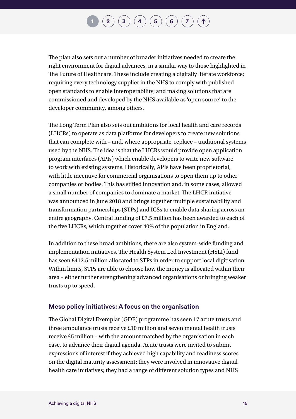The plan also sets out a number of broader initiatives needed to create the right environment for digital advances, in a similar way to those highlighted in The Future of Healthcare. These include creating a digitally literate workforce; requiring every technology supplier in the NHS to comply with published open standards to enable interoperability; and making solutions that are commissioned and developed by the NHS available as 'open source' to the developer community, among others.

The Long Term Plan also sets out ambitions for local health and care records (LHCRs) to operate as data platforms for developers to create new solutions that can complete with – and, where appropriate, replace – traditional systems used by the NHS. The idea is that the LHCRs would provide open application program interfaces (APIs) which enable developers to write new software to work with existing systems. Historically, APIs have been proprietorial, with little incentive for commercial organisations to open them up to other companies or bodies. This has stifled innovation and, in some cases, allowed a small number of companies to dominate a market. The LHCR initiative was announced in June 2018 and brings together multiple sustainability and transformation partnerships (STPs) and ICSs to enable data sharing across an entire geography. Central funding of £7.5 million has been awarded to each of the five LHCRs, which together cover 40% of the population in England.

In addition to these broad ambitions, there are also system-wide funding and implementation initiatives. The Health System Led Investment (HSLI) fund has seen £412.5 million allocated to STPs in order to support local digitisation. Within limits, STPs are able to choose how the money is allocated within their area – either further strengthening advanced organisations or bringing weaker trusts up to speed.

### **Meso policy initiatives: A focus on the organisation**

The Global Digital Exemplar (GDE) programme has seen 17 acute trusts and three ambulance trusts receive £10 million and seven mental health trusts receive £5 million – with the amount matched by the organisation in each case, to advance their digital agenda. Acute trusts were invited to submit expressions of interest if they achieved high capability and readiness scores on the digital maturity assessment; they were involved in innovative digital health care initiatives; they had a range of different solution types and NHS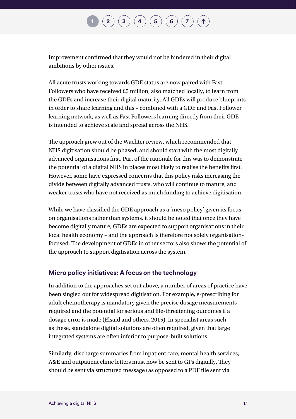Improvement confirmed that they would not be hindered in their digital ambitions by other issues.

All acute trusts working towards GDE status are now paired with Fast Followers who have received £5 million, also matched locally, to learn from the GDEs and increase their digital maturity. All GDEs will produce blueprints in order to share learning and this – combined with a GDE and Fast Follower learning network, as well as Fast Followers learning directly from their GDE – is intended to achieve scale and spread across the NHS.

The approach grew out of the Wachter review, which recommended that NHS digitisation should be phased, and should start with the most digitally advanced organisations first. Part of the rationale for this was to demonstrate the potential of a digital NHS in places most likely to realise the benefits first. However, some have expressed concerns that this policy risks increasing the divide between digitally advanced trusts, who will continue to mature, and weaker trusts who have not received as much funding to achieve digitisation.

While we have classified the GDE approach as a 'meso policy' given its focus on organisations rather than systems, it should be noted that once they have become digitally mature, GDEs are expected to support organisations in their local health economy – and the approach is therefore not solely organisationfocused. The development of GDEs in other sectors also shows the potential of the approach to support digitisation across the system.

### **Micro policy initiatives: A focus on the technology**

In addition to the approaches set out above, a number of areas of practice have been singled out for widespread digitisation. For example, e-prescribing for adult chemotherapy is mandatory given the precise dosage measurements required and the potential for serious and life-threatening outcomes if a dosage error is made (Elsaid and others, 2015). In specialist areas such as these, standalone digital solutions are often required, given that large integrated systems are often inferior to purpose-built solutions.

Similarly, discharge summaries from inpatient care; mental health services; A&E and outpatient clinic letters must now be sent to GPs digitally. They should be sent via structured message (as opposed to a PDF file sent via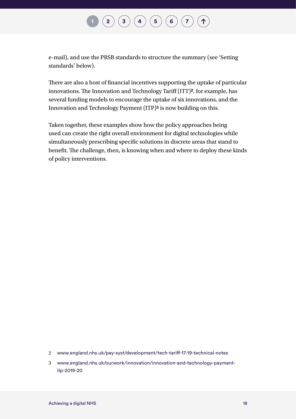### $\binom{2}{3}\binom{3}{4}\binom{5}{6}\binom{7}{7}$  $\binom{2}{3}\binom{3}{4}\binom{5}{6}\binom{7}{7}$  $\binom{2}{3}\binom{3}{4}\binom{5}{6}\binom{7}{7}$  $\binom{2}{3}\binom{3}{4}\binom{5}{6}\binom{7}{7}$  $\binom{2}{3}\binom{3}{4}\binom{5}{6}\binom{7}{7}$  $\binom{2}{3}\binom{3}{4}\binom{5}{6}\binom{7}{7}$  $\binom{2}{3}\binom{3}{4}\binom{5}{6}\binom{7}{7}$  $\binom{2}{3}\binom{3}{4}\binom{5}{6}\binom{7}{7}$  $\binom{2}{3}\binom{3}{4}\binom{5}{6}\binom{7}{7}$  $\binom{2}{3}\binom{3}{4}\binom{5}{6}\binom{7}{7}$  $\binom{2}{3}\binom{3}{4}\binom{5}{6}\binom{7}{7}$  $\binom{2}{3}\binom{3}{4}\binom{5}{6}\binom{7}{7}$  $\binom{2}{3}\binom{3}{4}\binom{5}{6}\binom{7}{7}$  $\uparrow$

e-mail), and use the PRSB standards to structure the summary (see 'Setting standards' below).

There are also a host of financial incentives supporting the uptake of particular innovations. The Innovation and Technology Tariff (ITT)**2**, for example, has several funding models to encourage the uptake of six innovations, and the Innovation and Technology Payment (ITP)**3** is now building on this.

Taken together, these examples show how the policy approaches being used can create the right overall environment for digital technologies while simultaneously prescribing specific solutions in discrete areas that stand to benefit. The challenge, then, is knowing when and where to deploy these kinds of policy interventions.

- 2 [www.england.nhs.uk/pay-syst/development/tech-tariff-17-19-technical-notes](http://www.england.nhs.uk/pay-syst/development/tech-tariff-17-19-technical-notes)
- 3 [www.england.nhs.uk/ourwork/innovation/innovation-and-technology-payment](http://www.england.nhs.uk/ourwork/innovation/innovation-and-technology-payment-itp-2019-20)[itp-2019-20](http://www.england.nhs.uk/ourwork/innovation/innovation-and-technology-payment-itp-2019-20)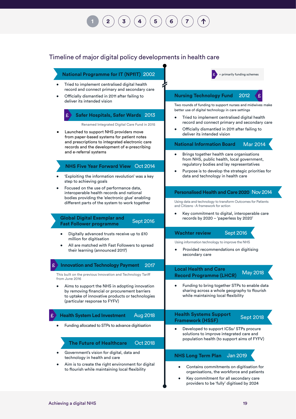### **[1](#page-14-0) [2](#page-32-0) [3](#page-50-0) [4](#page-57-0) [5](#page-66-0) [6](#page-75-0) [7](#page-87-0)**

### Timeline of major digital policy developments in health care

### **National Programme for IT (NPfIT)** 2002

- Tried to implement centralised digital health record and connect primary and secondary care
- Officially dismantled in 2011 after failing to deliver its intended vision

#### **Safer Hospitals, Safer Wards** 2013 £

Renamed Integrated Digital Care Fund in 2015

• Launched to support NHS providers move from paper-based systems for patient notes and prescriptions to integrated electronic care records and the development of e-prescribing and e-referral systems

### **NHS Five Year Forward View** Oct 2014

- 'Exploiting the information revolution' was a key step to achieving goals
- Focused on the use of performance data, interoperable health records and national bodies providing the 'electronic glue' enabling different parts of the system to work together

#### **Global Digital Exemplar and Fast Follower programme** Sept 2016

- Digitally advanced trusts receive up to £10
- million for digitisation All are matched with Fast Followers to spread their learning (announced 2017)
- 2017  $\mathbf{E}$ **Innovation and Technology Payment**

This built on the previous Innovation and Technology Tariff from June 2016

Aims to support the NHS in adopting innovation by removing financial or procurement barriers to uptake of innovative products or technologies (particular response to FYFV)

#### Aug 2018 £ **Health System Led Investment**

• Funding allocated to STPs to advance digitisation • Developed to support ICSs/ STPs procure

#### Oct 2018 **The Future of Healthcare**

- Government's vision for digital, data and technology in health and care
- Aim is to create the right environment for digital to flourish while maintaining local flexibility



£

### **Nursing Technology Fund** 2012

Two rounds of funding to support nurses and midwives make better use of digital technology in care settings

- Tried to implement centralised digital health record and connect primary and secondary care
- Officially dismantled in 2011 after failing to deliver its intended vision

#### **National Information Board** Mar 2014

- Brings together health care organisations from NHS, public health, local government, regulatory bodies and lay representatives
- Purpose is to develop the strategic priorities for data and technology in health care

### **Personalised Health and Care 2020** Nov 2014

Using data and technology to transform Outcomes for Patients and Citizens - A framework for action

• Key commitment to digital, interoperable care records by 2020 – 'paperless by 2020'

### **Wachter review Sept 2016**

Using information technology to improve the NHS

• Provided recommendations on digitising secondary care

#### **Local Health and Care Record Programme (LHCR)**  May 2018

• Funding to bring together STPs to enable data sharing across a whole geography to flourish while maintaining local flexibility

#### Sept 2018 **Health Systems Support Framework (HSSF)**

solutions to improve integrated care and population health (to support aims of FYFV)

#### **NHS Long Term Plan** Jan 2019

- Contains commitments on digitisation for organisations, the workforce and patients
- Key commitment for all secondary care providers to be 'fully' digitised by 2024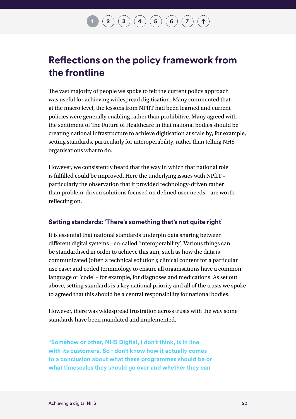## $\mathbf{2} \left( \mathbf{3} \right) \mathbf{3} \left( \mathbf{4} \right) \mathbf{4} \left( \mathbf{5} \right) \mathbf{6} \mathbf{7}$  $\mathbf{2} \left( \mathbf{3} \right) \mathbf{3} \left( \mathbf{4} \right) \mathbf{4} \left( \mathbf{5} \right) \mathbf{6} \mathbf{7}$  $\mathbf{2} \left( \mathbf{3} \right) \mathbf{3} \left( \mathbf{4} \right) \mathbf{4} \left( \mathbf{5} \right) \mathbf{6} \mathbf{7}$  $\mathbf{2} \left( \mathbf{3} \right) \mathbf{3} \left( \mathbf{4} \right) \mathbf{4} \left( \mathbf{5} \right) \mathbf{6} \mathbf{7}$  $\mathbf{2} \left( \mathbf{3} \right) \mathbf{3} \left( \mathbf{4} \right) \mathbf{4} \left( \mathbf{5} \right) \mathbf{6} \mathbf{7}$  $\mathbf{2} \left( \mathbf{3} \right) \mathbf{3} \left( \mathbf{4} \right) \mathbf{4} \left( \mathbf{5} \right) \mathbf{6} \mathbf{7}$  $\mathbf{2} \left( \mathbf{3} \right) \mathbf{3} \left( \mathbf{4} \right) \mathbf{4} \left( \mathbf{5} \right) \mathbf{6} \mathbf{7}$  $\mathbf{2} \left( \mathbf{3} \right) \mathbf{3} \left( \mathbf{4} \right) \mathbf{4} \left( \mathbf{5} \right) \mathbf{6} \mathbf{7}$  $\mathbf{2} \left( \mathbf{3} \right) \mathbf{3} \left( \mathbf{4} \right) \mathbf{4} \left( \mathbf{5} \right) \mathbf{6} \mathbf{7}$  $\mathbf{2} \left( \mathbf{3} \right) \mathbf{3} \left( \mathbf{4} \right) \mathbf{4} \left( \mathbf{5} \right) \mathbf{6} \mathbf{7}$  $\mathbf{2} \left( \mathbf{3} \right) \mathbf{3} \left( \mathbf{4} \right) \mathbf{4} \left( \mathbf{5} \right) \mathbf{6} \mathbf{7}$  $\mathbf{2} \left( \mathbf{3} \right) \mathbf{3} \left( \mathbf{4} \right) \mathbf{4} \left( \mathbf{5} \right) \mathbf{6} \mathbf{7}$  $\mathbf{2} \left( \mathbf{3} \right) \mathbf{3} \left( \mathbf{4} \right) \mathbf{4} \left( \mathbf{5} \right) \mathbf{6} \mathbf{7}$

### **Reflections on the policy framework from the frontline**

The vast majority of people we spoke to felt the current policy approach was useful for achieving widespread digitisation. Many commented that, at the macro level, the lessons from NPfIT had been learned and current policies were generally enabling rather than prohibitive. Many agreed with the sentiment of The Future of Healthcare in that national bodies should be creating national infrastructure to achieve digitisation at scale by, for example, setting standards, particularly for interoperability, rather than telling NHS organisations what to do.

However, we consistently heard that the way in which that national role is fulfilled could be improved. Here the underlying issues with NPfIT – particularly the observation that it provided technology-driven rather than problem-driven solutions focused on defined user needs – are worth reflecting on.

### **Setting standards: 'There's something that's not quite right'**

It is essential that national standards underpin data sharing between different digital systems – so-called 'interoperability'. Various things can be standardised in order to achieve this aim, such as how the data is communicated (often a technical solution); clinical content for a particular use case; and coded terminology to ensure all organisations have a common language or 'code' – for example, for diagnoses and medications. As set out above, setting standards is a key national priority and all of the trusts we spoke to agreed that this should be a central responsibility for national bodies.

However, there was widespread frustration across trusts with the way some standards have been mandated and implemented.

**"Somehow or other, NHS Digital, I don't think, is in line with its customers. So I don't know how it actually comes to a conclusion about what these programmes should be or what timescales they should go over and whether they can**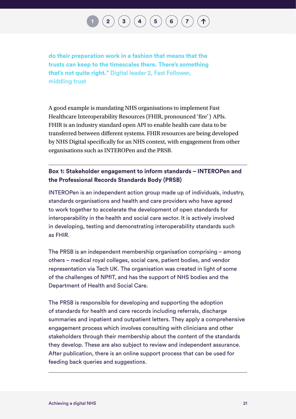## $\mathbf{2} \left( \mathbf{3} \right) \mathbf{3} \left( \mathbf{4} \right) \mathbf{4} \left( \mathbf{5} \right) \mathbf{6} \mathbf{7}$  $\mathbf{2} \left( \mathbf{3} \right) \mathbf{3} \left( \mathbf{4} \right) \mathbf{4} \left( \mathbf{5} \right) \mathbf{6} \mathbf{7}$  $\mathbf{2} \left( \mathbf{3} \right) \mathbf{3} \left( \mathbf{4} \right) \mathbf{4} \left( \mathbf{5} \right) \mathbf{6} \mathbf{7}$  $\mathbf{2} \left( \mathbf{3} \right) \mathbf{3} \left( \mathbf{4} \right) \mathbf{4} \left( \mathbf{5} \right) \mathbf{6} \mathbf{7}$  $\mathbf{2} \left( \mathbf{3} \right) \mathbf{3} \left( \mathbf{4} \right) \mathbf{4} \left( \mathbf{5} \right) \mathbf{6} \mathbf{7}$  $\mathbf{2} \left( \mathbf{3} \right) \mathbf{3} \left( \mathbf{4} \right) \mathbf{4} \left( \mathbf{5} \right) \mathbf{6} \mathbf{7}$  $\mathbf{2} \left( \mathbf{3} \right) \mathbf{3} \left( \mathbf{4} \right) \mathbf{4} \left( \mathbf{5} \right) \mathbf{6} \mathbf{7}$  $\mathbf{2} \left( \mathbf{3} \right) \mathbf{3} \left( \mathbf{4} \right) \mathbf{4} \left( \mathbf{5} \right) \mathbf{6} \mathbf{7}$  $\mathbf{2} \left( \mathbf{3} \right) \mathbf{3} \left( \mathbf{4} \right) \mathbf{4} \left( \mathbf{5} \right) \mathbf{6} \mathbf{7}$  $\mathbf{2} \left( \mathbf{3} \right) \mathbf{3} \left( \mathbf{4} \right) \mathbf{4} \left( \mathbf{5} \right) \mathbf{6} \mathbf{7}$  $\mathbf{2} \left( \mathbf{3} \right) \mathbf{3} \left( \mathbf{4} \right) \mathbf{4} \left( \mathbf{5} \right) \mathbf{6} \mathbf{7}$  $\mathbf{2} \left( \mathbf{3} \right) \mathbf{3} \left( \mathbf{4} \right) \mathbf{4} \left( \mathbf{5} \right) \mathbf{6} \mathbf{7}$  $\mathbf{2} \left( \mathbf{3} \right) \mathbf{3} \left( \mathbf{4} \right) \mathbf{4} \left( \mathbf{5} \right) \mathbf{6} \mathbf{7}$

**do their preparation work in a fashion that means that the trusts can keep to the timescales there. There's something that's not quite right."** Digital leader 2, Fast Follower, middling trust

A good example is mandating NHS organisations to implement Fast Healthcare Interoperability Resources (FHIR, pronounced 'fire') APIs. FHIR is an industry standard open API to enable health care data to be transferred between different systems. FHIR resources are being developed by NHS Digital specifically for an NHS context, with engagement from other organisations such as INTEROPen and the PRSB.

### **Box 1: Stakeholder engagement to inform standards – INTEROPen and the Professional Records Standards Body (PRSB)**

INTEROPen is an independent action group made up of individuals, industry, standards organisations and health and care providers who have agreed to work together to accelerate the development of open standards for interoperability in the health and social care sector. It is actively involved in developing, testing and demonstrating interoperability standards such as FHIR.

The PRSB is an independent membership organisation comprising – among others – medical royal colleges, social care, patient bodies, and vendor representation via Tech UK. The organisation was created in light of some of the challenges of NPfIT, and has the support of NHS bodies and the Department of Health and Social Care.

The PRSB is responsible for developing and supporting the adoption of standards for health and care records including referrals, discharge summaries and inpatient and outpatient letters. They apply a comprehensive engagement process which involves consulting with clinicians and other stakeholders through their membership about the content of the standards they develop. These are also subject to review and independent assurance. After publication, there is an online support process that can be used for feeding back queries and suggestions.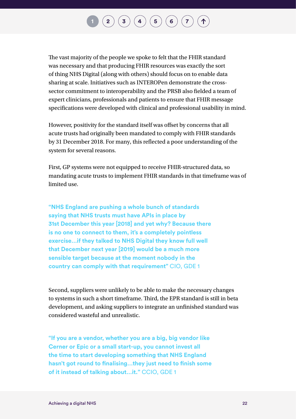## $\mathbf{2}\mathbf{2}\mathbf{3}\mathbf{4}$  $\mathbf{2}\mathbf{2}\mathbf{3}\mathbf{4}$  $\mathbf{2}\mathbf{2}\mathbf{3}\mathbf{4}$  $\mathbf{2}\mathbf{2}\mathbf{3}\mathbf{4}$  $\mathbf{2}\mathbf{2}\mathbf{3}\mathbf{4}$  $\mathbf{2}\mathbf{2}\mathbf{3}\mathbf{4}$  $\mathbf{2}\mathbf{2}\mathbf{3}\mathbf{4}$   $\mathbf{4}\mathbf{5}\mathbf{5}$  $\mathbf{4}\mathbf{5}\mathbf{5}$  $\mathbf{4}\mathbf{5}\mathbf{5}$   $\mathbf{5}\mathbf{6}\mathbf{6}$  $\mathbf{5}\mathbf{6}\mathbf{6}$  $\mathbf{5}\mathbf{6}\mathbf{6}$   $\mathbf{7}\mathbf{7}\mathbf{7}$  $\mathbf{7}\mathbf{7}\mathbf{7}$  $\mathbf{7}\mathbf{7}\mathbf{7}$

The vast majority of the people we spoke to felt that the FHIR standard was necessary and that producing FHIR resources was exactly the sort of thing NHS Digital (along with others) should focus on to enable data sharing at scale. Initiatives such as INTEROPen demonstrate the crosssector commitment to interoperability and the PRSB also fielded a team of expert clinicians, professionals and patients to ensure that FHIR message specifications were developed with clinical and professional usability in mind.

However, positivity for the standard itself was offset by concerns that all acute trusts had originally been mandated to comply with FHIR standards by 31 December 2018. For many, this reflected a poor understanding of the system for several reasons.

First, GP systems were not equipped to receive FHIR-structured data, so mandating acute trusts to implement FHIR standards in that timeframe was of limited use.

**"NHS England are pushing a whole bunch of standards saying that NHS trusts must have APIs in place by 31st December this year [2018] and yet why? Because there is no one to connect to them, it's a completely pointless exercise…if they talked to NHS Digital they know full well that December next year [2019] would be a much more sensible target because at the moment nobody in the country can comply with that requirement"** CIO, GDE 1

Second, suppliers were unlikely to be able to make the necessary changes to systems in such a short timeframe. Third, the EPR standard is still in beta development, and asking suppliers to integrate an unfinished standard was considered wasteful and unrealistic.

**"If you are a vendor, whether you are a big, big vendor like Cerner or Epic or a small start-up, you cannot invest all the time to start developing something that NHS England hasn't got round to finalising…they just need to finish some of it instead of talking about…it."** CCIO, GDE 1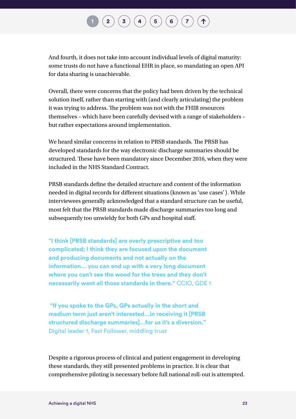## $\mathbf{2}\mathbf{2}\mathbf{3}\mathbf{4}$  $\mathbf{2}\mathbf{2}\mathbf{3}\mathbf{4}$  $\mathbf{2}\mathbf{2}\mathbf{3}\mathbf{4}$  $\mathbf{2}\mathbf{2}\mathbf{3}\mathbf{4}$  $\mathbf{2}\mathbf{2}\mathbf{3}\mathbf{4}$  $\mathbf{2}\mathbf{2}\mathbf{3}\mathbf{4}$  $\mathbf{2}\mathbf{2}\mathbf{3}\mathbf{4}$   $\mathbf{4}\mathbf{5}\mathbf{5}$  $\mathbf{4}\mathbf{5}\mathbf{5}$  $\mathbf{4}\mathbf{5}\mathbf{5}$   $\mathbf{5}\mathbf{6}\mathbf{6}$  $\mathbf{5}\mathbf{6}\mathbf{6}$  $\mathbf{5}\mathbf{6}\mathbf{6}$   $\mathbf{7}\mathbf{7}\mathbf{7}$  $\mathbf{7}\mathbf{7}\mathbf{7}$  $\mathbf{7}\mathbf{7}\mathbf{7}$

And fourth, it does not take into account individual levels of digital maturity: some trusts do not have a functional EHR in place, so mandating an open API for data sharing is unachievable.

Overall, there were concerns that the policy had been driven by the technical solution itself, rather than starting with (and clearly articulating) the problem it was trying to address. The problem was not with the FHIR resources themselves – which have been carefully devised with a range of stakeholders – but rather expectations around implementation.

We heard similar concerns in relation to PRSB standards. The PRSB has developed standards for the way electronic discharge summaries should be structured. These have been mandatory since December 2016, when they were included in the NHS Standard Contract.

PRSB standards define the detailed structure and content of the information needed in digital records for different situations (known as 'use cases'). While interviewees generally acknowledged that a standard structure can be useful, most felt that the PRSB standards made discharge summaries too long and subsequently too unwieldy for both GPs and hospital staff.

**"I think [PRSB standards] are overly prescriptive and too complicated; I think they are focused upon the document and producing documents and not actually on the information… you can end up with a very long document where you can't see the wood for the trees and they don't necessarily want all those standards in there."** CCIO, GDE 1

 **"If you spoke to the GPs, GPs actually in the short and medium term just aren't interested…in receiving it [PRSB structured discharge summaries]…for us it's a diversion."**  Digital leader 1, Fast Follower, middling trust

Despite a rigorous process of clinical and patient engagement in developing these standards, they still presented problems in practice. It is clear that comprehensive piloting is necessary before full national roll-out is attempted.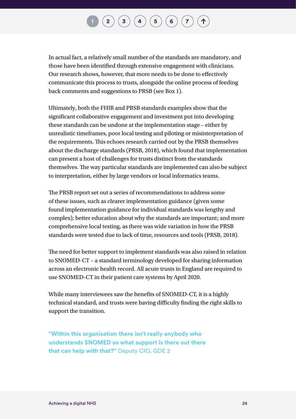In actual fact, a relatively small number of the standards are mandatory, and those have been identified through extensive engagement with clinicians. Our research shows, however, that more needs to be done to effectively communicate this process to trusts, alongside the online process of feeding back comments and suggestions to PRSB (see Box 1).

Ultimately, both the FHIR and PRSB standards examples show that the significant collaborative engagement and investment put into developing these standards can be undone at the implementation stage – either by unrealistic timeframes, poor local testing and piloting or misinterpretation of the requirements. This echoes research carried out by the PRSB themselves about the discharge standards (PRSB, 2018), which found that implementation can present a host of challenges for trusts distinct from the standards themselves. The way particular standards are implemented can also be subject to interpretation, either by large vendors or local informatics teams.

The PRSB report set out a series of recommendations to address some of these issues, such as clearer implementation guidance (given some found implementation guidance for individual standards was lengthy and complex); better education about why the standards are important; and more comprehensive local testing, as there was wide variation in how the PRSB standards were tested due to lack of time, resources and tools (PRSB, 2018).

The need for better support to implement standards was also raised in relation to SNOMED-CT – a standard terminology developed for sharing information across an electronic health record. All acute trusts in England are required to use SNOMED-CT in their patient care systems by April 2020.

While many interviewees saw the benefits of SNOMED-CT, it is a highly technical standard, and trusts were having difficulty finding the right skills to support the transition.

**"Within this organisation there isn't really anybody who understands SNOMED so what support is there out there that can help with that?"** Deputy CIO, GDE 2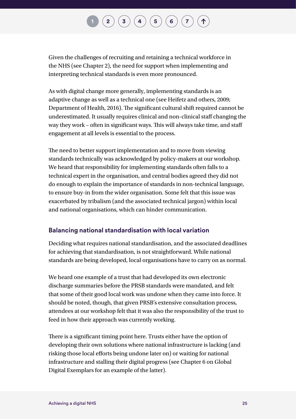Given the challenges of recruiting and retaining a technical workforce in the NHS (see Chapter 2), the need for support when implementing and interpreting technical standards is even more pronounced.

As with digital change more generally, implementing standards is an adaptive change as well as a technical one (see Heifetz and others, 2009; Department of Health, 2016). The significant cultural shift required cannot be underestimated. It usually requires clinical and non-clinical staff changing the way they work – often in significant ways. This will always take time, and staff engagement at all levels is essential to the process.

The need to better support implementation and to move from viewing standards technically was acknowledged by policy-makers at our workshop. We heard that responsibility for implementing standards often falls to a technical expert in the organisation, and central bodies agreed they did not do enough to explain the importance of standards in non-technical language, to ensure buy-in from the wider organisation. Some felt that this issue was exacerbated by tribalism (and the associated technical jargon) within local and national organisations, which can hinder communication.

### **Balancing national standardisation with local variation**

Deciding what requires national standardisation, and the associated deadlines for achieving that standardisation, is not straightforward. While national standards are being developed, local organisations have to carry on as normal.

We heard one example of a trust that had developed its own electronic discharge summaries before the PRSB standards were mandated, and felt that some of their good local work was undone when they came into force. It should be noted, though, that given PRSB's extensive consultation process, attendees at our workshop felt that it was also the responsibility of the trust to feed in how their approach was currently working.

There is a significant timing point here. Trusts either have the option of developing their own solutions where national infrastructure is lacking (and risking those local efforts being undone later on) or waiting for national infrastructure and stalling their digital progress (see Chapter 6 on Global Digital Exemplars for an example of the latter).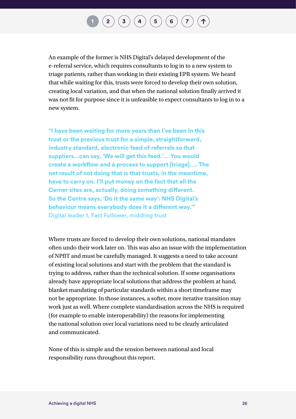An example of the former is NHS Digital's delayed development of the e-referral service, which requires consultants to log in to a new system to triage patients, rather than working in their existing EPR system. We heard that while waiting for this, trusts were forced to develop their own solution, creating local variation, and that when the national solution finally arrived it was not fit for purpose since it is unfeasible to expect consultants to log in to a new system.

**"I have been waiting for more years than I've been in this trust or the previous trust for a simple, straightforward, industry standard, electronic feed of referrals so that suppliers…can say, 'We will get this feed.'… You would create a workflow and a process to support [triage]…. The net result of not doing that is that trusts, in the meantime, have to carry on. I'll put money on the fact that all the Cerner sites are, actually, doing something different. So the Centre says, 'Do it the same way': NHS Digital's behaviour means everybody does it a different way.'"**  Digital leader 1, Fast Follower, middling trust

Where trusts are forced to develop their own solutions, national mandates often undo their work later on. This was also an issue with the implementation of NPfIT and must be carefully managed. It suggests a need to take account of existing local solutions and start with the problem that the standard is trying to address, rather than the technical solution. If some organisations already have appropriate local solutions that address the problem at hand, blanket mandating of particular standards within a short timeframe may not be appropriate. In those instances, a softer, more iterative transition may work just as well. Where complete standardisation across the NHS is required (for example to enable interoperability) the reasons for implementing the national solution over local variations need to be clearly articulated and communicated.

None of this is simple and the tension between national and local responsibility runs throughout this report.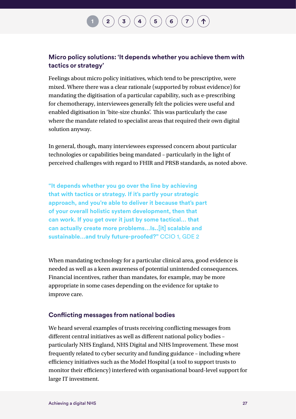### **Micro policy solutions: 'It depends whether you achieve them with tactics or strategy'**

Feelings about micro policy initiatives, which tend to be prescriptive, were mixed. Where there was a clear rationale (supported by robust evidence) for mandating the digitisation of a particular capability, such as e-prescribing for chemotherapy, interviewees generally felt the policies were useful and enabled digitisation in 'bite-size chunks'. This was particularly the case where the mandate related to specialist areas that required their own digital solution anyway.

In general, though, many interviewees expressed concern about particular technologies or capabilities being mandated – particularly in the light of perceived challenges with regard to FHIR and PRSB standards, as noted above.

**"It depends whether you go over the line by achieving that with tactics or strategy. If it's partly your strategic approach, and you're able to deliver it because that's part of your overall holistic system development, then that can work. If you get over it just by some tactical… that can actually create more problems…Is..[it] scalable and sustainable…and truly future-proofed?"** CCIO 1, GDE 2

When mandating technology for a particular clinical area, good evidence is needed as well as a keen awareness of potential unintended consequences. Financial incentives, rather than mandates, for example, may be more appropriate in some cases depending on the evidence for uptake to improve care.

### **Conflicting messages from national bodies**

We heard several examples of trusts receiving conflicting messages from different central initiatives as well as different national policy bodies – particularly NHS England, NHS Digital and NHS Improvement. These most frequently related to cyber security and funding guidance – including where efficiency initiatives such as the Model Hospital (a tool to support trusts to monitor their efficiency) interfered with organisational board-level support for large IT investment.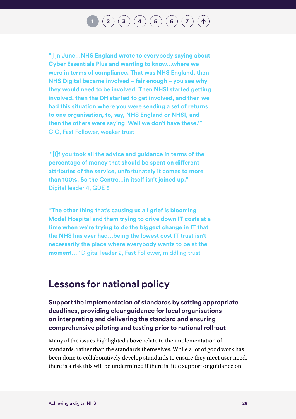$\mathbf{2}\mathbf{2}\mathbf{3}\mathbf{4}$  $\mathbf{2}\mathbf{2}\mathbf{3}\mathbf{4}$  $\mathbf{2}\mathbf{2}\mathbf{3}\mathbf{4}$  $\mathbf{2}\mathbf{2}\mathbf{3}\mathbf{4}$  $\mathbf{2}\mathbf{2}\mathbf{3}\mathbf{4}$  $\mathbf{2}\mathbf{2}\mathbf{3}\mathbf{4}$  $\mathbf{2}\mathbf{2}\mathbf{3}\mathbf{4}$   $\mathbf{4}\mathbf{5}\mathbf{5}$  $\mathbf{4}\mathbf{5}\mathbf{5}$  $\mathbf{4}\mathbf{5}\mathbf{5}$   $\mathbf{5}\mathbf{6}\mathbf{6}$  $\mathbf{5}\mathbf{6}\mathbf{6}$  $\mathbf{5}\mathbf{6}\mathbf{6}$   $\mathbf{7}\mathbf{7}\mathbf{7}$  $\mathbf{7}\mathbf{7}\mathbf{7}$  $\mathbf{7}\mathbf{7}\mathbf{7}$ 

**"[I]n June…NHS England wrote to everybody saying about Cyber Essentials Plus and wanting to know…where we were in terms of compliance. That was NHS England, then NHS Digital became involved – fair enough – you see why they would need to be involved. Then NHSI started getting involved, then the DH started to get involved, and then we had this situation where you were sending a set of returns to one organisation, to, say, NHS England or NHSI, and then the others were saying 'Well we don't have these.'"**  CIO, Fast Follower, weaker trust

 **"[I]f you took all the advice and guidance in terms of the percentage of money that should be spent on different attributes of the service, unfortunately it comes to more than 100%. So the Centre…in itself isn't joined up."**  Digital leader 4, GDE 3

**"The other thing that's causing us all grief is blooming Model Hospital and them trying to drive down IT costs at a time when we're trying to do the biggest change in IT that the NHS has ever had…being the lowest cost IT trust isn't necessarily the place where everybody wants to be at the moment…"** Digital leader 2, Fast Follower, middling trust

### **Lessons for national policy**

**Support the implementation of standards by setting appropriate deadlines, providing clear guidance for local organisations on interpreting and delivering the standard and ensuring comprehensive piloting and testing prior to national roll-out**

Many of the issues highlighted above relate to the implementation of standards, rather than the standards themselves. While a lot of good work has been done to collaboratively develop standards to ensure they meet user need, there is a risk this will be undermined if there is little support or guidance on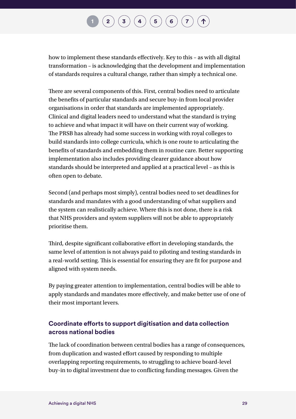how to implement these standards effectively. Key to this – as with all digital transformation – is acknowledging that the development and implementation of standards requires a cultural change, rather than simply a technical one.

There are several components of this. First, central bodies need to articulate the benefits of particular standards and secure buy-in from local provider organisations in order that standards are implemented appropriately. Clinical and digital leaders need to understand what the standard is trying to achieve and what impact it will have on their current way of working. The PRSB has already had some success in working with royal colleges to build standards into college curricula, which is one route to articulating the benefits of standards and embedding them in routine care. Better supporting implementation also includes providing clearer guidance about how standards should be interpreted and applied at a practical level – as this is often open to debate.

Second (and perhaps most simply), central bodies need to set deadlines for standards and mandates with a good understanding of what suppliers and the system can realistically achieve. Where this is not done, there is a risk that NHS providers and system suppliers will not be able to appropriately prioritise them.

Third, despite significant collaborative effort in developing standards, the same level of attention is not always paid to piloting and testing standards in a real-world setting. This is essential for ensuring they are fit for purpose and aligned with system needs.

By paying greater attention to implementation, central bodies will be able to apply standards and mandates more effectively, and make better use of one of their most important levers.

### **Coordinate efforts to support digitisation and data collection across national bodies**

The lack of coordination between central bodies has a range of consequences, from duplication and wasted effort caused by responding to multiple overlapping reporting requirements, to struggling to achieve board-level buy-in to digital investment due to conflicting funding messages. Given the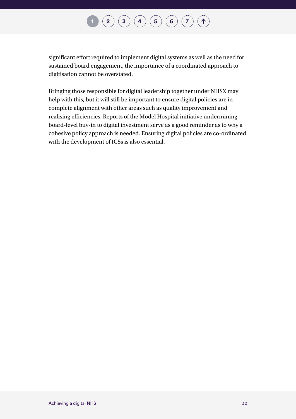### $\binom{2}{\phantom{1}}\binom{3}{\phantom{1}}\binom{4}{\phantom{1}}\binom{5}{\phantom{1}}\binom{6}{\phantom{1}}\binom{7}{\phantom{1}}$  $\binom{2}{\phantom{1}}\binom{3}{\phantom{1}}\binom{4}{\phantom{1}}\binom{5}{\phantom{1}}\binom{6}{\phantom{1}}\binom{7}{\phantom{1}}$  $\binom{2}{\phantom{1}}\binom{3}{\phantom{1}}\binom{4}{\phantom{1}}\binom{5}{\phantom{1}}\binom{6}{\phantom{1}}\binom{7}{\phantom{1}}$  $\binom{2}{\phantom{1}}\binom{3}{\phantom{1}}\binom{4}{\phantom{1}}\binom{5}{\phantom{1}}\binom{6}{\phantom{1}}\binom{7}{\phantom{1}}$  $\binom{2}{\phantom{1}}\binom{3}{\phantom{1}}\binom{4}{\phantom{1}}\binom{5}{\phantom{1}}\binom{6}{\phantom{1}}\binom{7}{\phantom{1}}$  $\binom{2}{\phantom{1}}\binom{3}{\phantom{1}}\binom{4}{\phantom{1}}\binom{5}{\phantom{1}}\binom{6}{\phantom{1}}\binom{7}{\phantom{1}}$  $\binom{2}{\phantom{1}}\binom{3}{\phantom{1}}\binom{4}{\phantom{1}}\binom{5}{\phantom{1}}\binom{6}{\phantom{1}}\binom{7}{\phantom{1}}$  $\binom{2}{\phantom{1}}\binom{3}{\phantom{1}}\binom{4}{\phantom{1}}\binom{5}{\phantom{1}}\binom{6}{\phantom{1}}\binom{7}{\phantom{1}}$  $\binom{2}{\phantom{1}}\binom{3}{\phantom{1}}\binom{4}{\phantom{1}}\binom{5}{\phantom{1}}\binom{6}{\phantom{1}}\binom{7}{\phantom{1}}$  $\binom{2}{\phantom{1}}\binom{3}{\phantom{1}}\binom{4}{\phantom{1}}\binom{5}{\phantom{1}}\binom{6}{\phantom{1}}\binom{7}{\phantom{1}}$  $\binom{2}{\phantom{1}}\binom{3}{\phantom{1}}\binom{4}{\phantom{1}}\binom{5}{\phantom{1}}\binom{6}{\phantom{1}}\binom{7}{\phantom{1}}$  $\binom{2}{\phantom{1}}\binom{3}{\phantom{1}}\binom{4}{\phantom{1}}\binom{5}{\phantom{1}}\binom{6}{\phantom{1}}\binom{7}{\phantom{1}}$  $\binom{2}{\phantom{1}}\binom{3}{\phantom{1}}\binom{4}{\phantom{1}}\binom{5}{\phantom{1}}\binom{6}{\phantom{1}}\binom{7}{\phantom{1}}$ 个

significant effort required to implement digital systems as well as the need for sustained board engagement, the importance of a coordinated approach to digitisation cannot be overstated.

Bringing those responsible for digital leadership together under NHSX may help with this, but it will still be important to ensure digital policies are in complete alignment with other areas such as quality improvement and realising efficiencies. Reports of the Model Hospital initiative undermining board-level buy-in to digital investment serve as a good reminder as to why a cohesive policy approach is needed. Ensuring digital policies are co-ordinated with the development of ICSs is also essential.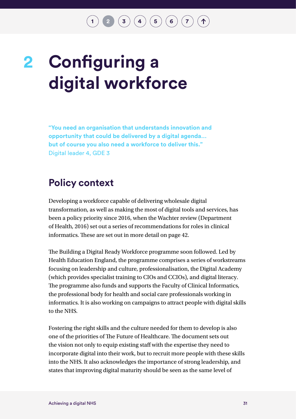## $\binom{3}{4}\binom{4}{5}\binom{5}{6}\binom{7}{7}$  $\binom{3}{4}\binom{4}{5}\binom{5}{6}\binom{7}{7}$  $\binom{3}{4}\binom{4}{5}\binom{5}{6}\binom{7}{7}$  $\binom{3}{4}\binom{4}{5}\binom{5}{6}\binom{7}{7}$  $\binom{3}{4}\binom{4}{5}\binom{5}{6}\binom{7}{7}$  $\binom{3}{4}\binom{4}{5}\binom{5}{6}\binom{7}{7}$  $\binom{3}{4}\binom{4}{5}\binom{5}{6}\binom{7}{7}$  $\binom{3}{4}\binom{4}{5}\binom{5}{6}\binom{7}{7}$  $\binom{3}{4}\binom{4}{5}\binom{5}{6}\binom{7}{7}$  $\binom{3}{4}\binom{4}{5}\binom{5}{6}\binom{7}{7}$  $\binom{3}{4}\binom{4}{5}\binom{5}{6}\binom{7}{7}$

## <span id="page-32-0"></span>**Configuring a digital workforce 2**

**"You need an organisation that understands innovation and opportunity that could be delivered by a digital agenda… but of course you also need a workforce to deliver this."**  Digital leader 4, GDE 3

### **Policy context**

Developing a workforce capable of delivering wholesale digital transformation, as well as making the most of digital tools and services, has been a policy priority since 2016, when the Wachter review (Department of Health, 2016) set out a series of recommendations for roles in clinical informatics. These are set out in more detail on page 42.

The Building a Digital Ready Workforce programme soon followed. Led by Health Education England, the programme comprises a series of workstreams focusing on leadership and culture, professionalisation, the Digital Academy (which provides specialist training to CIOs and CCIOs), and digital literacy. The programme also funds and supports the Faculty of Clinical Informatics, the professional body for health and social care professionals working in informatics. It is also working on campaigns to attract people with digital skills to the NHS.

Fostering the right skills and the culture needed for them to develop is also one of the priorities of The Future of Healthcare. The document sets out the vision not only to equip existing staff with the expertise they need to incorporate digital into their work, but to recruit more people with these skills into the NHS. It also acknowledges the importance of strong leadership, and states that improving digital maturity should be seen as the same level of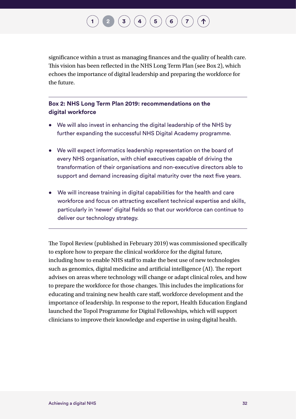## $\mathbf{a} \cdot \mathbf{b} \cdot \mathbf{c} \cdot \mathbf{c} \cdot \mathbf{c} \cdot \mathbf{c} \cdot \mathbf{c} \cdot \mathbf{c} \cdot \mathbf{c} \cdot \mathbf{c} \cdot \mathbf{c} \cdot \mathbf{c} \cdot \mathbf{c} \cdot \mathbf{c} \cdot \mathbf{c} \cdot \mathbf{c} \cdot \mathbf{c} \cdot \mathbf{c} \cdot \mathbf{c} \cdot \mathbf{c} \cdot \mathbf{c} \cdot \mathbf{c} \cdot \mathbf{c} \cdot \mathbf{c} \cdot \mathbf{c} \cdot \mathbf{c} \cdot \mathbf{c} \cdot \mathbf{$

significance within a trust as managing finances and the quality of health care. This vision has been reflected in the NHS Long Term Plan (see Box 2), which echoes the importance of digital leadership and preparing the workforce for the future.

### **Box 2: NHS Long Term Plan 2019: recommendations on the digital workforce**

- We will also invest in enhancing the digital leadership of the NHS by further expanding the successful NHS Digital Academy programme.
- We will expect informatics leadership representation on the board of every NHS organisation, with chief executives capable of driving the transformation of their organisations and non-executive directors able to support and demand increasing digital maturity over the next five years.
- We will increase training in digital capabilities for the health and care workforce and focus on attracting excellent technical expertise and skills, particularly in 'newer' digital fields so that our workforce can continue to deliver our technology strategy.

The Topol Review (published in February 2019) was commissioned specifically to explore how to prepare the clinical workforce for the digital future, including how to enable NHS staff to make the best use of new technologies such as genomics, digital medicine and artificial intelligence (AI). The report advises on areas where technology will change or adapt clinical roles, and how to prepare the workforce for those changes. This includes the implications for educating and training new health care staff, workforce development and the importance of leadership. In response to the report, Health Education England launched the Topol Programme for Digital Fellowships, which will support clinicians to improve their knowledge and expertise in using digital health.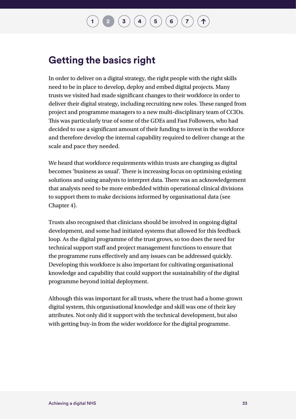### **Getting the basics right**

In order to deliver on a digital strategy, the right people with the right skills need to be in place to develop, deploy and embed digital projects. Many trusts we visited had made significant changes to their workforce in order to deliver their digital strategy, including recruiting new roles. These ranged from project and programme managers to a new multi-disciplinary team of CCIOs. This was particularly true of some of the GDEs and Fast Followers, who had decided to use a significant amount of their funding to invest in the workforce and therefore develop the internal capability required to deliver change at the scale and pace they needed.

We heard that workforce requirements within trusts are changing as digital becomes 'business as usual'. There is increasing focus on optimising existing solutions and using analysts to interpret data. There was an acknowledgement that analysts need to be more embedded within operational clinical divisions to support them to make decisions informed by organisational data (see Chapter 4).

Trusts also recognised that clinicians should be involved in ongoing digital development, and some had initiated systems that allowed for this feedback loop. As the digital programme of the trust grows, so too does the need for technical support staff and project management functions to ensure that the programme runs effectively and any issues can be addressed quickly. Developing this workforce is also important for cultivating organisational knowledge and capability that could support the sustainability of the digital programme beyond initial deployment.

Although this was important for all trusts, where the trust had a home-grown digital system, this organisational knowledge and skill was one of their key attributes. Not only did it support with the technical development, but also with getting buy-in from the wider workforce for the digital programme.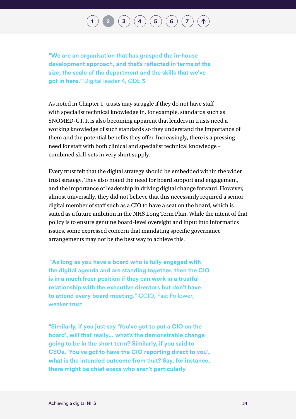**"We are an organisation that has grasped the in-house development approach, and that's reflected in terms of the size, the scale of the department and the skills that we've got in here."** Digital leader 4, GDE 3

As noted in Chapter 1, trusts may struggle if they do not have staff with specialist technical knowledge in, for example, standards such as SNOMED-CT. It is also becoming apparent that leaders in trusts need a working knowledge of such standards so they understand the importance of them and the potential benefits they offer. Increasingly, there is a pressing need for staff with both clinical and specialist technical knowledge – combined skill-sets in very short supply.

Every trust felt that the digital strategy should be embedded within the wider trust strategy. They also noted the need for board support and engagement, and the importance of leadership in driving digital change forward. However, almost universally, they did not believe that this necessarily required a senior digital member of staff such as a CIO to have a seat on the board, which is stated as a future ambition in the NHS Long Term Plan. While the intent of that policy is to ensure genuine board-level oversight and input into informatics issues, some expressed concern that mandating specific governance arrangements may not be the best way to achieve this.

 **"As long as you have a board who is fully engaged with the digital agenda and are standing together, then the CIO is in a much freer position if they can work in a trustful relationship with the executive directors but don't have to attend every board meeting."** CCIO, Fast Follower, weaker trust

**"Similarly, if you just say 'You've got to put a CIO on the board', will that really... what's the demonstrable change going to be in the short term? Similarly, if you said to CEOs, 'You've got to have the CIO reporting direct to you', what is the intended outcome from that? Say, for instance, there might be chief execs who aren't particularly**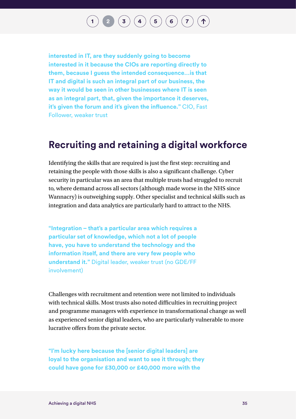## **[1](#page-14-0) [2](#page-32-0) [3](#page-50-0) [4](#page-57-0) [5](#page-66-0) [6](#page-75-0) [7](#page-87-0)**

**interested in IT, are they suddenly going to become interested in it because the CIOs are reporting directly to them, because I guess the intended consequence…is that IT and digital is such an integral part of our business, the way it would be seen in other businesses where IT is seen as an integral part, that, given the importance it deserves, it's given the forum and it's given the influence."** CIO, Fast Follower, weaker trust

### **Recruiting and retaining a digital workforce**

Identifying the skills that are required is just the first step: recruiting and retaining the people with those skills is also a significant challenge. Cyber security in particular was an area that multiple trusts had struggled to recruit to, where demand across all sectors (although made worse in the NHS since Wannacry) is outweighing supply. Other specialist and technical skills such as integration and data analytics are particularly hard to attract to the NHS.

**"Integration – that's a particular area which requires a particular set of knowledge, which not a lot of people have, you have to understand the technology and the information itself, and there are very few people who understand it."** Digital leader, weaker trust (no GDE/FF involvement)

Challenges with recruitment and retention were not limited to individuals with technical skills. Most trusts also noted difficulties in recruiting project and programme managers with experience in transformational change as well as experienced senior digital leaders, who are particularly vulnerable to more lucrative offers from the private sector.

**"I'm lucky here because the [senior digital leaders] are loyal to the organisation and want to see it through; they could have gone for £30,000 or £40,000 more with the**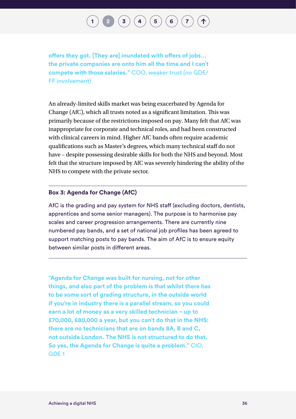**offers they got. [They are] inundated with offers of jobs… the private companies are onto him all the time and I can't compete with those salaries."** COO, weaker trust (no GDE/ FF involvement)

An already-limited skills market was being exacerbated by Agenda for Change (AfC), which all trusts noted as a significant limitation. This was primarily because of the restrictions imposed on pay. Many felt that AfC was inappropriate for corporate and technical roles, and had been constructed with clinical careers in mind. Higher AfC bands often require academic qualifications such as Master's degrees, which many technical staff do not have – despite possessing desirable skills for both the NHS and beyond. Most felt that the structure imposed by AfC was severely hindering the ability of the NHS to compete with the private sector.

#### **Box 3: Agenda for Change (AfC)**

AfC is the grading and pay system for NHS staff (excluding doctors, dentists, apprentices and some senior managers). The purpose is to harmonise pay scales and career progression arrangements. There are currently nine numbered pay bands, and a set of national job profiles has been agreed to support matching posts to pay bands. The aim of AfC is to ensure equity between similar posts in different areas.

**"Agenda for Change was built for nursing, not for other things, and also part of the problem is that whilst there has to be some sort of grading structure, in the outside world if you're in industry there is a parallel stream, so you could earn a lot of money as a very skilled technician – up to £70,000, £80,000 a year, but you can't do that in the NHS: there are no technicians that are on bands 8A, B and C, not outside London. The NHS is not structured to do that. So yes, the Agenda for Change is quite a problem."** CIO, GDE 1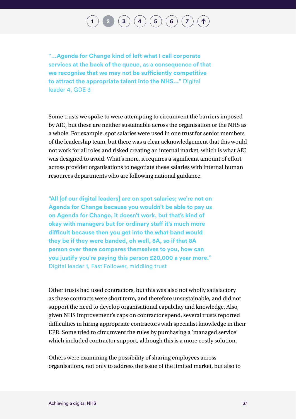**"…Agenda for Change kind of left what I call corporate services at the back of the queue, as a consequence of that we recognise that we may not be sufficiently competitive to attract the appropriate talent into the NHS..."** Digital leader 4, GDE 3

Some trusts we spoke to were attempting to circumvent the barriers imposed by AfC, but these are neither sustainable across the organisation or the NHS as a whole. For example, spot salaries were used in one trust for senior members of the leadership team, but there was a clear acknowledgement that this would not work for all roles and risked creating an internal market, which is what AfC was designed to avoid. What's more, it requires a significant amount of effort across provider organisations to negotiate these salaries with internal human resources departments who are following national guidance.

**"All [of our digital leaders] are on spot salaries; we're not on Agenda for Change because you wouldn't be able to pay us on Agenda for Change, it doesn't work, but that's kind of okay with managers but for ordinary staff it's much more difficult because then you get into the what band would they be if they were banded, oh well, 8A, so if that 8A person over there compares themselves to you, how can you justify you're paying this person £20,000 a year more."**  Digital leader 1, Fast Follower, middling trust

Other trusts had used contractors, but this was also not wholly satisfactory as these contracts were short term, and therefore unsustainable, and did not support the need to develop organisational capability and knowledge. Also, given NHS Improvement's caps on contractor spend, several trusts reported difficulties in hiring appropriate contractors with specialist knowledge in their EPR. Some tried to circumvent the rules by purchasing a 'managed service' which included contractor support, although this is a more costly solution.

Others were examining the possibility of sharing employees across organisations, not only to address the issue of the limited market, but also to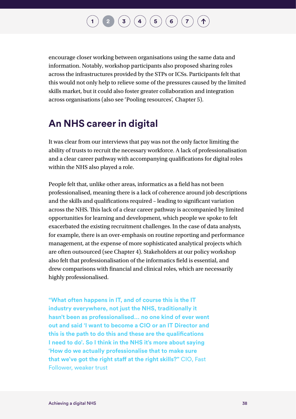encourage closer working between organisations using the same data and information. Notably, workshop participants also proposed sharing roles across the infrastructures provided by the STPs or ICSs. Participants felt that this would not only help to relieve some of the pressures caused by the limited skills market, but it could also foster greater collaboration and integration across organisations (also see 'Pooling resources', Chapter 5).

## **An NHS career in digital**

It was clear from our interviews that pay was not the only factor limiting the ability of trusts to recruit the necessary workforce. A lack of professionalisation and a clear career pathway with accompanying qualifications for digital roles within the NHS also played a role.

People felt that, unlike other areas, informatics as a field has not been professionalised, meaning there is a lack of coherence around job descriptions and the skills and qualifications required – leading to significant variation across the NHS. This lack of a clear career pathway is accompanied by limited opportunities for learning and development, which people we spoke to felt exacerbated the existing recruitment challenges. In the case of data analysts, for example, there is an over-emphasis on routine reporting and performance management, at the expense of more sophisticated analytical projects which are often outsourced (see Chapter 4). Stakeholders at our policy workshop also felt that professionalisation of the informatics field is essential, and drew comparisons with financial and clinical roles, which are necessarily highly professionalised.

**"What often happens in IT, and of course this is the IT industry everywhere, not just the NHS, traditionally it hasn't been as professionalised… no one kind of ever went out and said 'I want to become a CIO or an IT Director and this is the path to do this and these are the qualifications I need to do'. So I think in the NHS it's more about saying 'How do we actually professionalise that to make sure that we've got the right staff at the right skills?"** CIO, Fast Follower, weaker trust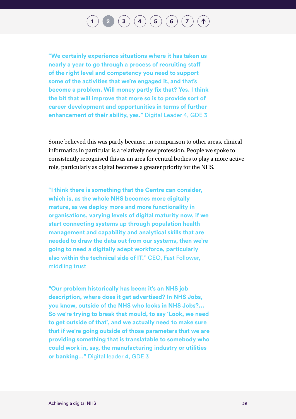# **[1](#page-14-0) [2](#page-32-0) [3](#page-50-0) [4](#page-57-0) [5](#page-66-0) [6](#page-75-0) [7](#page-87-0)**

**"We certainly experience situations where it has taken us nearly a year to go through a process of recruiting staff of the right level and competency you need to support some of the activities that we're engaged it, and that's become a problem. Will money partly fix that? Yes. I think the bit that will improve that more so is to provide sort of career development and opportunities in terms of further enhancement of their ability, yes."** Digital Leader 4, GDE 3

Some believed this was partly because, in comparison to other areas, clinical informatics in particular is a relatively new profession. People we spoke to consistently recognised this as an area for central bodies to play a more active role, particularly as digital becomes a greater priority for the NHS.

**"I think there is something that the Centre can consider, which is, as the whole NHS becomes more digitally mature, as we deploy more and more functionality in organisations, varying levels of digital maturity now, if we start connecting systems up through population health management and capability and analytical skills that are needed to draw the data out from our systems, then we're going to need a digitally adept workforce, particularly also within the technical side of IT."** CEO, Fast Follower, middling trust

**"Our problem historically has been: it's an NHS job description, where does it get advertised? In NHS Jobs, you know, outside of the NHS who looks in NHS Jobs?... So we're trying to break that mould, to say 'Look, we need to get outside of that', and we actually need to make sure that if we're going outside of those parameters that we are providing something that is translatable to somebody who could work in, say, the manufacturing industry or utilities or banking…"** Digital leader 4, GDE 3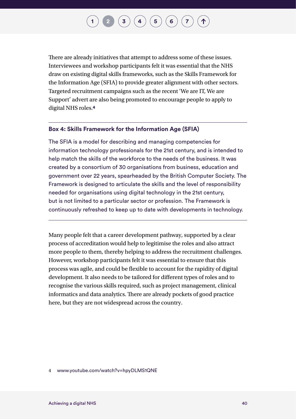There are already initiatives that attempt to address some of these issues. Interviewees and workshop participants felt it was essential that the NHS draw on existing digital skills frameworks, such as the Skills Framework for the Information Age (SFIA) to provide greater alignment with other sectors. Targeted recruitment campaigns such as the recent 'We are IT, We are Support' advert are also being promoted to encourage people to apply to digital NHS roles.**4**

#### **Box 4: Skills Framework for the Information Age (SFIA)**

The SFIA is a model for describing and managing competencies for information technology professionals for the 21st century, and is intended to help match the skills of the workforce to the needs of the business. It was created by a consortium of 30 organisations from business, education and government over 22 years, spearheaded by the British Computer Society. The Framework is designed to articulate the skills and the level of responsibility needed for organisations using digital technology in the 21st century, but is not limited to a particular sector or profession. The Framework is continuously refreshed to keep up to date with developments in technology.

Many people felt that a career development pathway, supported by a clear process of accreditation would help to legitimise the roles and also attract more people to them, thereby helping to address the recruitment challenges. However, workshop participants felt it was essential to ensure that this process was agile, and could be flexible to account for the rapidity of digital development. It also needs to be tailored for different types of roles and to recognise the various skills required, such as project management, clinical informatics and data analytics. There are already pockets of good practice here, but they are not widespread across the country.

4 [www.youtube.com/watch?v=hpyDLMS1QNE](http://www.youtube.com/watch?v=hpyDLMS1QNE)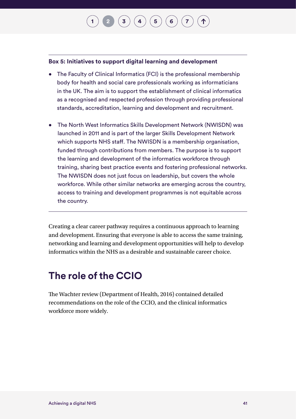#### **Box 5: Initiatives to support digital learning and development**

- The Faculty of Clinical Informatics (FCI) is the professional membership body for health and social care professionals working as informaticians in the UK. The aim is to support the establishment of clinical informatics as a recognised and respected profession through providing professional standards, accreditation, learning and development and recruitment.
- The North West Informatics Skills Development Network (NWISDN) was launched in 2011 and is part of the larger Skills Development Network which supports NHS staff. The NWISDN is a membership organisation, funded through contributions from members. The purpose is to support the learning and development of the informatics workforce through training, sharing best practice events and fostering professional networks. The NWISDN does not just focus on leadership, but covers the whole workforce. While other similar networks are emerging across the country, access to training and development programmes is not equitable across the country.

Creating a clear career pathway requires a continuous approach to learning and development. Ensuring that everyone is able to access the same training, networking and learning and development opportunities will help to develop informatics within the NHS as a desirable and sustainable career choice.

## **The role of the CCIO**

The Wachter review (Department of Health, 2016) contained detailed recommendations on the role of the CCIO, and the clinical informatics workforce more widely.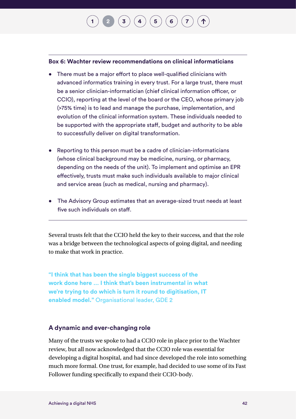#### **Box 6: Wachter review recommendations on clinical informaticians**

- There must be a major effort to place well-qualified clinicians with advanced informatics training in every trust. For a large trust, there must be a senior clinician-informatician (chief clinical information officer, or CCIO), reporting at the level of the board or the CEO, whose primary job (>75% time) is to lead and manage the purchase, implementation, and evolution of the clinical information system. These individuals needed to be supported with the appropriate staff, budget and authority to be able to successfully deliver on digital transformation.
- Reporting to this person must be a cadre of clinician-informaticians (whose clinical background may be medicine, nursing, or pharmacy, depending on the needs of the unit). To implement and optimise an EPR effectively, trusts must make such individuals available to major clinical and service areas (such as medical, nursing and pharmacy).
- The Advisory Group estimates that an average-sized trust needs at least five such individuals on staff.

Several trusts felt that the CCIO held the key to their success, and that the role was a bridge between the technological aspects of going digital, and needing to make that work in practice.

**"I think that has been the single biggest success of the work done here … I think that's been instrumental in what we're trying to do which is turn it round to digitisation, IT enabled model."** Organisational leader, GDE 2

#### **A dynamic and ever-changing role**

Many of the trusts we spoke to had a CCIO role in place prior to the Wachter review, but all now acknowledged that the CCIO role was essential for developing a digital hospital, and had since developed the role into something much more formal. One trust, for example, had decided to use some of its Fast Follower funding specifically to expand their CCIO-body.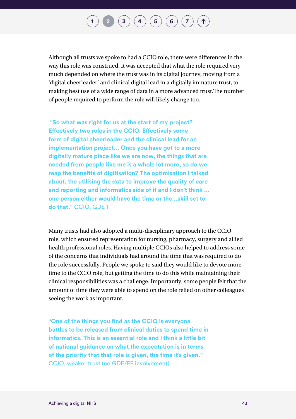# $\binom{3}{4}\binom{4}{5}\binom{5}{6}\binom{7}{7}$  $\binom{3}{4}\binom{4}{5}\binom{5}{6}\binom{7}{7}$  $\binom{3}{4}\binom{4}{5}\binom{5}{6}\binom{7}{7}$  $\binom{3}{4}\binom{4}{5}\binom{5}{6}\binom{7}{7}$  $\binom{3}{4}\binom{4}{5}\binom{5}{6}\binom{7}{7}$  $\binom{3}{4}\binom{4}{5}\binom{5}{6}\binom{7}{7}$  $\binom{3}{4}\binom{4}{5}\binom{5}{6}\binom{7}{7}$  $\binom{3}{4}\binom{4}{5}\binom{5}{6}\binom{7}{7}$  $\binom{3}{4}\binom{4}{5}\binom{5}{6}\binom{7}{7}$  $\binom{3}{4}\binom{4}{5}\binom{5}{6}\binom{7}{7}$  $\binom{3}{4}\binom{4}{5}\binom{5}{6}\binom{7}{7}$

Although all trusts we spoke to had a CCIO role, there were differences in the way this role was construed. It was accepted that what the role required very much depended on where the trust was in its digital journey, moving from a 'digital cheerleader' and clinical digital lead in a digitally immature trust, to making best use of a wide range of data in a more advanced trust.The number of people required to perform the role will likely change too.

 **"So what was right for us at the start of my project? Effectively two roles in the CCIO. Effectively some form of digital cheerleader and the clinical lead for an implementation project… Once you have got to a more digitally mature place like we are now, the things that are needed from people like me is a whole lot more, so do we reap the benefits of digitisation? The optimisation I talked about, the utilising the data to improve the quality of care and reporting and informatics side of it and I don't think … one person either would have the time or the…skill set to do that."** CCIO, GDE 1

Many trusts had also adopted a multi-disciplinary approach to the CCIO role, which ensured representation for nursing, pharmacy, surgery and allied health professional roles. Having multiple CCIOs also helped to address some of the concerns that individuals had around the time that was required to do the role successfully. People we spoke to said they would like to devote more time to the CCIO role, but getting the time to do this while maintaining their clinical responsibilities was a challenge. Importantly, some people felt that the amount of time they were able to spend on the role relied on other colleagues seeing the work as important.

**"One of the things you find as the CCIO is everyone battles to be released from clinical duties to spend time in informatics. This is an essential role and I think a little bit of national guidance on what the expectation is in terms of the priority that that role is given, the time it's given."**  CCIO, weaker trust (no GDE/FF involvement)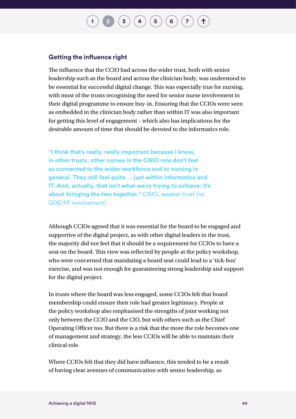#### **Getting the influence right**

The influence that the CCIO had across the wider trust, both with senior leadership such as the board and across the clinician body, was understood to be essential for successful digital change. This was especially true for nursing, with most of the trusts recognising the need for senior nurse involvement in their digital programme to ensure buy-in. Ensuring that the CCIOs were seen as embedded in the clinician body rather than within IT was also important for getting this level of engagement – which also has implications for the desirable amount of time that should be devoted to the informatics role.

**"I think that's really, really important because I know, in other trusts, other nurses in the CNIO role don't feel as connected to the wider workforce and to nursing in general. They still feel quite … just within informatics and IT. And, actually, that isn't what we're trying to achieve: it's about bringing the two together."** CNIO, weaker trust (no GDE/FF involvement)

Although CCIOs agreed that it was essential for the board to be engaged and supportive of the digital project, as with other digital leaders in the trust, the majority did not feel that it should be a requirement for CCIOs to have a seat on the board. This view was reflected by people at the policy workshop, who were concerned that mandating a board seat could lead to a 'tick-box' exercise, and was not enough for guaranteeing strong leadership and support for the digital project.

In trusts where the board was less engaged, some CCIOs felt that board membership could ensure their role had greater legitimacy. People at the policy workshop also emphasised the strengths of joint working not only between the CCIO and the CIO, but with others such as the Chief Operating Officer too. But there is a risk that the more the role becomes one of management and strategy, the less CCIOs will be able to maintain their clinical role.

Where CCIOs felt that they did have influence, this tended to be a result of having clear avenues of communication with senior leadership, as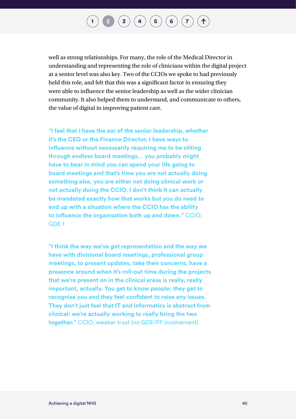## **[1](#page-14-0) [2](#page-32-0) ([3](#page-50-0) [4](#page-57-0) (4 ) ([5](#page-66-0) ) [6](#page-75-0) [7](#page-87-0) 1**

well as strong relationships. For many, the role of the Medical Director in understanding and representing the role of clinicians within the digital project at a senior level was also key. Two of the CCIOs we spoke to had previously held this role, and felt that this was a significant factor in ensuring they were able to influence the senior leadership as well as the wider clinician community. It also helped them to understand, and communicate to others, the value of digital in improving patient care.

**"I feel that I have the ear of the senior leadership, whether it's the CEO or the Finance Director, I have ways to influence without necessarily requiring me to be sitting through endless board meetings… you probably might have to bear in mind you can spend your life going to board meetings and that's time you are not actually doing something else, you are either not doing clinical work or not actually doing the CCIO. I don't think it can actually be mandated exactly how that works but you do need to end up with a situation where the CCIO has the ability to influence the organisation both up and down."** CCIO, GDE 1

**"I think the way we've got representation and the way we have with divisional board meetings, professional group meetings, to present updates, take their concerns, have a presence around when it's roll-out time during the projects that we're present on in the clinical areas is really, really important, actually. You get to know people; they get to recognise you and they feel confident to raise any issues. They don't just feel that IT and informatics is abstract from clinical: we're actually working to really bring the two together."** CCIO, weaker trust (no GDE/FF involvement)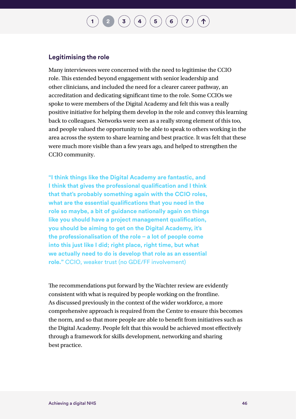#### **Legitimising the role**

Many interviewees were concerned with the need to legitimise the CCIO role. This extended beyond engagement with senior leadership and other clinicians, and included the need for a clearer career pathway, an accreditation and dedicating significant time to the role. Some CCIOs we spoke to were members of the Digital Academy and felt this was a really positive initiative for helping them develop in the role and convey this learning back to colleagues. Networks were seen as a really strong element of this too, and people valued the opportunity to be able to speak to others working in the area across the system to share learning and best practice. It was felt that these were much more visible than a few years ago, and helped to strengthen the CCIO community.

**"I think things like the Digital Academy are fantastic, and I think that gives the professional qualification and I think that that's probably something again with the CCIO roles, what are the essential qualifications that you need in the role so maybe, a bit of guidance nationally again on things like you should have a project management qualification, you should be aiming to get on the Digital Academy, it's the professionalisation of the role – a lot of people come into this just like I did; right place, right time, but what we actually need to do is develop that role as an essential role."** CCIO, weaker trust (no GDE/FF involvement)

The recommendations put forward by the Wachter review are evidently consistent with what is required by people working on the frontline. As discussed previously in the context of the wider workforce, a more comprehensive approach is required from the Centre to ensure this becomes the norm, and so that more people are able to benefit from initiatives such as the Digital Academy. People felt that this would be achieved most effectively through a framework for skills development, networking and sharing best practice.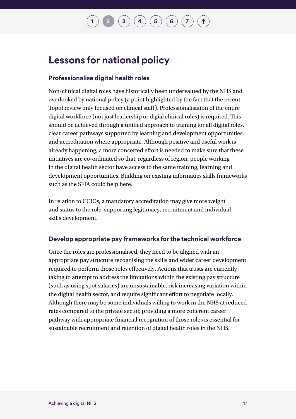## **Lessons for national policy**

### **Professionalise digital health roles**

Non-clinical digital roles have historically been undervalued by the NHS and overlooked by national policy (a point highlighted by the fact that the recent Topol review only focused on clinical staff). Professionalisation of the entire digital workforce (not just leadership or digial clinical roles) is required. This should be achieved through a unified approach to training for all digital roles, clear career pathways supported by learning and development opportunities, and accreditation where appropriate. Although positive and useful work is already happening, a more concerted effort is needed to make sure that these initiatives are co-ordinated so that, regardless of region, people working in the digital health sector have access to the same training, learning and development opportunities. Building on existing informatics skills frameworks such as the SFIA could help here.

In relation to CCIOs, a mandatory accreditation may give more weight and status to the role, supporting legitimacy, recruitment and individual skills development.

#### **Develop appropriate pay frameworks for the technical workforce**

Once the roles are professionalised, they need to be aligned with an appropriate pay structure recognising the skills and wider career development required to perform those roles effectively. Actions that trusts are currently taking to attempt to address the limitations within the existing pay structure (such as using spot salaries) are unsustainable, risk increasing variation within the digital health sector, and require significant effort to negotiate locally. Although there may be some individuals willing to work in the NHS at reduced rates compared to the private sector, providing a more coherent career pathway with appropriate financial recognition of those roles is essential for sustainable recruitment and retention of digital health roles in the NHS.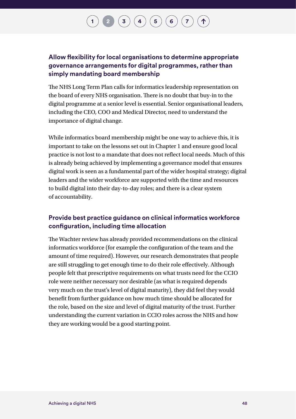### **Allow flexibility for local organisations to determine appropriate governance arrangements for digital programmes, rather than simply mandating board membership**

The NHS Long Term Plan calls for informatics leadership representation on the board of every NHS organisation. There is no doubt that buy-in to the digital programme at a senior level is essential. Senior organisational leaders, including the CEO, COO and Medical Director, need to understand the importance of digital change.

While informatics board membership might be one way to achieve this, it is important to take on the lessons set out in Chapter 1 and ensure good local practice is not lost to a mandate that does not reflect local needs. Much of this is already being achieved by implementing a governance model that ensures digital work is seen as a fundamental part of the wider hospital strategy; digital leaders and the wider workforce are supported with the time and resources to build digital into their day-to-day roles; and there is a clear system of accountability.

#### **Provide best practice guidance on clinical informatics workforce configuration, including time allocation**

The Wachter review has already provided recommendations on the clinical informatics workforce (for example the configuration of the team and the amount of time required). However, our research demonstrates that people are still struggling to get enough time to do their role effectively. Although people felt that prescriptive requirements on what trusts need for the CCIO role were neither necessary nor desirable (as what is required depends very much on the trust's level of digital maturity), they did feel they would benefit from further guidance on how much time should be allocated for the role, based on the size and level of digital maturity of the trust. Further understanding the current variation in CCIO roles across the NHS and how they are working would be a good starting point.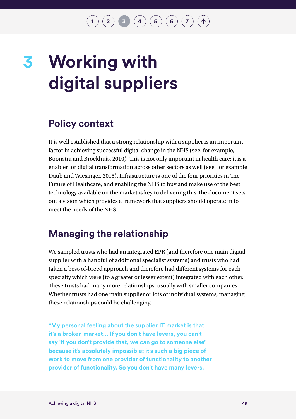$\mathbf{2} \left( \begin{array}{c} 2 \end{array} \right) \left( \begin{array}{c} 3 \end{array} \right) \left( \begin{array}{c} 4 \end{array} \right) \left( \begin{array}{c} 5 \end{array} \right) \left( \begin{array}{c} 6 \end{array} \right) \left( \begin{array}{c} 7 \end{array} \right)$  $\mathbf{2} \left( \begin{array}{c} 2 \end{array} \right) \left( \begin{array}{c} 3 \end{array} \right) \left( \begin{array}{c} 4 \end{array} \right) \left( \begin{array}{c} 5 \end{array} \right) \left( \begin{array}{c} 6 \end{array} \right) \left( \begin{array}{c} 7 \end{array} \right)$  $\mathbf{2} \left( \begin{array}{c} 2 \end{array} \right) \left( \begin{array}{c} 3 \end{array} \right) \left( \begin{array}{c} 4 \end{array} \right) \left( \begin{array}{c} 5 \end{array} \right) \left( \begin{array}{c} 6 \end{array} \right) \left( \begin{array}{c} 7 \end{array} \right)$  $\mathbf{2} \left( \begin{array}{c} 2 \end{array} \right) \left( \begin{array}{c} 3 \end{array} \right) \left( \begin{array}{c} 4 \end{array} \right) \left( \begin{array}{c} 5 \end{array} \right) \left( \begin{array}{c} 6 \end{array} \right) \left( \begin{array}{c} 7 \end{array} \right)$  $\mathbf{2} \left( \begin{array}{c} 2 \end{array} \right) \left( \begin{array}{c} 3 \end{array} \right) \left( \begin{array}{c} 4 \end{array} \right) \left( \begin{array}{c} 5 \end{array} \right) \left( \begin{array}{c} 6 \end{array} \right) \left( \begin{array}{c} 7 \end{array} \right)$  $\mathbf{2} \left( \begin{array}{c} 2 \end{array} \right) \left( \begin{array}{c} 3 \end{array} \right) \left( \begin{array}{c} 4 \end{array} \right) \left( \begin{array}{c} 5 \end{array} \right) \left( \begin{array}{c} 6 \end{array} \right) \left( \begin{array}{c} 7 \end{array} \right)$  $\mathbf{2} \left( \begin{array}{c} 2 \end{array} \right) \left( \begin{array}{c} 3 \end{array} \right) \left( \begin{array}{c} 4 \end{array} \right) \left( \begin{array}{c} 5 \end{array} \right) \left( \begin{array}{c} 6 \end{array} \right) \left( \begin{array}{c} 7 \end{array} \right)$  $\mathbf{2} \left( \begin{array}{c} 2 \end{array} \right) \left( \begin{array}{c} 3 \end{array} \right) \left( \begin{array}{c} 4 \end{array} \right) \left( \begin{array}{c} 5 \end{array} \right) \left( \begin{array}{c} 6 \end{array} \right) \left( \begin{array}{c} 7 \end{array} \right)$  $\mathbf{2} \left( \begin{array}{c} 2 \end{array} \right) \left( \begin{array}{c} 3 \end{array} \right) \left( \begin{array}{c} 4 \end{array} \right) \left( \begin{array}{c} 5 \end{array} \right) \left( \begin{array}{c} 6 \end{array} \right) \left( \begin{array}{c} 7 \end{array} \right)$  $\mathbf{2} \left( \begin{array}{c} 2 \end{array} \right) \left( \begin{array}{c} 3 \end{array} \right) \left( \begin{array}{c} 4 \end{array} \right) \left( \begin{array}{c} 5 \end{array} \right) \left( \begin{array}{c} 6 \end{array} \right) \left( \begin{array}{c} 7 \end{array} \right)$  $\mathbf{2} \left( \begin{array}{c} 2 \end{array} \right) \left( \begin{array}{c} 3 \end{array} \right) \left( \begin{array}{c} 4 \end{array} \right) \left( \begin{array}{c} 5 \end{array} \right) \left( \begin{array}{c} 6 \end{array} \right) \left( \begin{array}{c} 7 \end{array} \right)$ 

# <span id="page-50-0"></span>**Working with digital suppliers 3**

## **Policy context**

It is well established that a strong relationship with a supplier is an important factor in achieving successful digital change in the NHS (see, for example, Boonstra and Broekhuis, 2010). This is not only important in health care; it is a enabler for digital transformation across other sectors as well (see, for example Daub and Wiesinger, 2015). Infrastructure is one of the four priorities in The Future of Healthcare, and enabling the NHS to buy and make use of the best technology available on the market is key to delivering this.The document sets out a vision which provides a framework that suppliers should operate in to meet the needs of the NHS.

## **Managing the relationship**

We sampled trusts who had an integrated EPR (and therefore one main digital supplier with a handful of additional specialist systems) and trusts who had taken a best-of-breed approach and therefore had different systems for each specialty which were (to a greater or lesser extent) integrated with each other. These trusts had many more relationships, usually with smaller companies. Whether trusts had one main supplier or lots of individual systems, managing these relationships could be challenging.

**"My personal feeling about the supplier IT market is that it's a broken market… If you don't have levers, you can't say 'If you don't provide that, we can go to someone else' because it's absolutely impossible: it's such a big piece of work to move from one provider of functionality to another provider of functionality. So you don't have many levers.**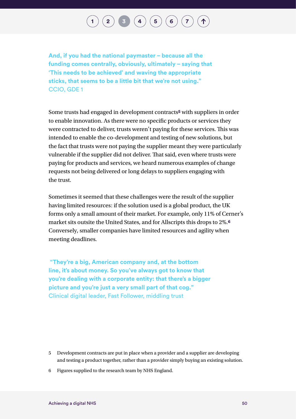# $\binom{2}{\frac{3}{2}}$  $\binom{2}{\frac{3}{2}}$  $\binom{2}{\frac{3}{2}}$  $\binom{2}{\frac{3}{2}}$  $\binom{2}{\frac{3}{2}}$   $\binom{3}{4}$  $\binom{3}{4}$  $\binom{3}{4}$   $\binom{5}{5}$  $\binom{5}{5}$  $\binom{5}{5}$   $\binom{6}{7}$  $\binom{6}{7}$  $\binom{6}{7}$  $\binom{6}{7}$  $\binom{6}{7}$

**And, if you had the national paymaster – because all the funding comes centrally, obviously, ultimately – saying that 'This needs to be achieved' and waving the appropriate sticks, that seems to be a little bit that we're not using."**  CCIO, GDE 1

Some trusts had engaged in development contracts**5** with suppliers in order to enable innovation. As there were no specific products or services they were contracted to deliver, trusts weren't paying for these services. This was intended to enable the co-development and testing of new solutions, but the fact that trusts were not paying the supplier meant they were particularly vulnerable if the supplier did not deliver. That said, even where trusts were paying for products and services, we heard numerous examples of change requests not being delivered or long delays to suppliers engaging with the trust.

Sometimes it seemed that these challenges were the result of the supplier having limited resources: if the solution used is a global product, the UK forms only a small amount of their market. For example, only 11% of Cerner's market sits outsite the United States, and for Allscripts this drops to 2%.**<sup>6</sup>** Conversely, smaller companies have limited resources and agility when meeting deadlines.

 **"They're a big, American company and, at the bottom line, it's about money. So you've always got to know that you're dealing with a corporate entity: that there's a bigger picture and you're just a very small part of that cog."**  Clinical digital leader, Fast Follower, middling trust

- 5 Development contracts are put in place when a provider and a supplier are developing and testing a product together, rather than a provider simply buying an existing solution.
- 6 Figures supplied to the research team by NHS England.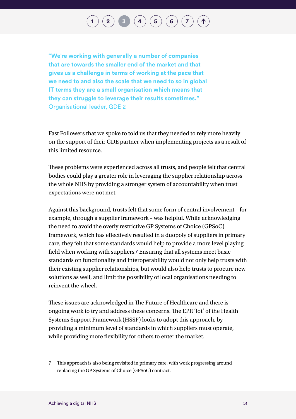# $\binom{2}{\phantom{1}}$  $\binom{2}{\phantom{1}}$  $\binom{2}{\phantom{1}}$  **[3](#page-50-0)**  $\binom{4}{\phantom{1}}$  $\binom{4}{\phantom{1}}$  $\binom{4}{\phantom{1}}$  **[6](#page-75-0)**  $\binom{6}{\phantom{1}}$  **[7](#page-87-0)**

**"We're working with generally a number of companies that are towards the smaller end of the market and that gives us a challenge in terms of working at the pace that we need to and also the scale that we need to so in global IT terms they are a small organisation which means that they can struggle to leverage their results sometimes."**  Organisational leader, GDE 2

Fast Followers that we spoke to told us that they needed to rely more heavily on the support of their GDE partner when implementing projects as a result of this limited resource.

These problems were experienced across all trusts, and people felt that central bodies could play a greater role in leveraging the supplier relationship across the whole NHS by providing a stronger system of accountability when trust expectations were not met.

Against this background, trusts felt that some form of central involvement – for example, through a supplier framework – was helpful. While acknowledging the need to avoid the overly restrictive GP Systems of Choice (GPSoC) framework, which has effectively resulted in a duopoly of suppliers in primary care, they felt that some standards would help to provide a more level playing field when working with suppliers.**7** Ensuring that all systems meet basic standards on functionality and interoperability would not only help trusts with their existing supplier relationships, but would also help trusts to procure new solutions as well, and limit the possibility of local organisations needing to reinvent the wheel.

These issues are acknowledged in The Future of Healthcare and there is ongoing work to try and address these concerns. The EPR 'lot' of the Health Systems Support Framework (HSSF) looks to adopt this approach, by providing a minimum level of standards in which suppliers must operate, while providing more flexibility for others to enter the market.

<sup>7</sup> This approach is also being revisited in primary care, with work progressing around replacing the GP Systems of Choice (GPSoC) contract.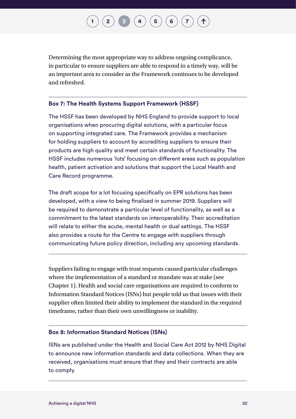# **[2](#page-32-0)**  $\binom{1}{3}$  $\binom{1}{3}$  $\binom{1}{3}$  $\binom{1}{3}$  $\binom{1}{3}$   $\binom{4}{4}$  $\binom{4}{4}$  $\binom{4}{4}$   $\binom{5}{6}$  $\binom{5}{6}$  $\binom{5}{6}$  $\binom{5}{6}$  $\binom{5}{6}$

Determining the most appropriate way to address ongoing complicance, in particular to ensure suppliers are able to respond in a timely way, will be an important area to consider as the Framework continues to be developed and refreshed.

#### **Box 7: The Health Systems Support Framework (HSSF)**

The HSSF has been developed by NHS England to provide support to local organisations when procuring digital solutions, with a particular focus on supporting integrated care. The Framework provides a mechanism for holding suppliers to account by accrediting suppliers to ensure their products are high quality and meet certain standards of functionality. The HSSF includes numerous 'lots' focusing on different areas such as population health, patient activation and solutions that support the Local Health and Care Record programme.

The draft scope for a lot focusing specifically on EPR solutions has been developed, with a view to being finalised in summer 2019. Suppliers will be required to demonstrate a particular level of functionality, as well as a commitment to the latest standards on interoperability. Their accreditation will relate to either the acute, mental health or dual settings. The HSSF also provides a route for the Centre to engage with suppliers through communicating future policy direction, including any upcoming standards.

Suppliers failing to engage with trust requests caused particular challenges where the implementation of a standard or mandate was at stake (see Chapter 1). Health and social care organisations are required to conform to Information Standard Notices (ISNs) but people told us that issues with their supplier often limited their ability to implement the standard in the required timeframe, rather than their own unwillingness or inability.

#### **Box 8: Information Standard Notices (ISNs)**

ISNs are published under the Health and Social Care Act 2012 by NHS Digital to announce new information standards and data collections. When they are received, organisations must ensure that they and their contracts are able to comply.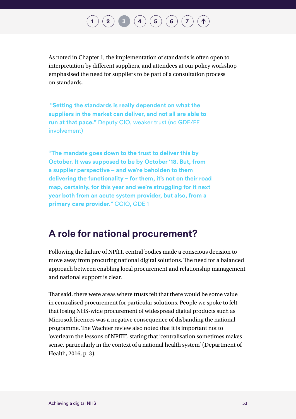# $\binom{2}{3}$  $\binom{2}{3}$  $\binom{2}{3}$  $\binom{2}{3}$  $\binom{2}{3}$  **[4](#page-57-0) [6](#page-75-0) 6 [7](#page-87-0)**

As noted in Chapter 1, the implementation of standards is often open to interpretation by different suppliers, and attendees at our policy workshop emphasised the need for suppliers to be part of a consultation process on standards.

 **"Setting the standards is really dependent on what the suppliers in the market can deliver, and not all are able to run at that pace."** Deputy CIO, weaker trust (no GDE/FF involvement)

**"The mandate goes down to the trust to deliver this by October. It was supposed to be by October '18. But, from a supplier perspective – and we're beholden to them delivering the functionality – for them, it's not on their road map, certainly, for this year and we're struggling for it next year both from an acute system provider, but also, from a primary care provider."** CCIO, GDE 1

## **A role for national procurement?**

Following the failure of NPfIT, central bodies made a conscious decision to move away from procuring national digital solutions. The need for a balanced approach between enabling local procurement and relationship management and national support is clear.

That said, there were areas where trusts felt that there would be some value in centralised procurement for particular solutions. People we spoke to felt that losing NHS-wide procurement of widespread digital products such as Microsoft licences was a negative consequence of disbanding the national programme. The Wachter review also noted that it is important not to 'overlearn the lessons of NPfIT', stating that 'centralisation sometimes makes sense, particularly in the context of a national health system' (Department of Health, 2016, p. 3).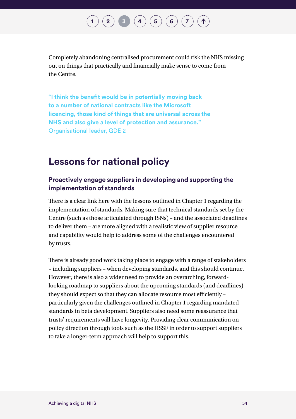# $\binom{2}{\frac{3}{2}}$  $\binom{2}{\frac{3}{2}}$  $\binom{2}{\frac{3}{2}}$  $\binom{2}{\frac{3}{2}}$  $\binom{2}{\frac{3}{2}}$  **[4](#page-57-0)**  $\binom{4}{\frac{5}{2}}$  $\binom{4}{\frac{5}{2}}$  $\binom{4}{\frac{5}{2}}$  **[6](#page-75-0)**  $\binom{6}{\frac{7}{2}}$  $\binom{6}{\frac{7}{2}}$  $\binom{6}{\frac{7}{2}}$

Completely abandoning centralised procurement could risk the NHS missing out on things that practically and financially make sense to come from the Centre.

**"I think the benefit would be in potentially moving back to a number of national contracts like the Microsoft licencing, those kind of things that are universal across the NHS and also give a level of protection and assurance."**  Organisational leader, GDE 2

### **Lessons for national policy**

#### **Proactively engage suppliers in developing and supporting the implementation of standards**

There is a clear link here with the lessons outlined in Chapter 1 regarding the implementation of standards. Making sure that technical standards set by the Centre (such as those articulated through ISNs) – and the associated deadlines to deliver them – are more aligned with a realistic view of supplier resource and capability would help to address some of the challenges encountered by trusts.

There is already good work taking place to engage with a range of stakeholders – including suppliers – when developing standards, and this should continue. However, there is also a wider need to provide an overarching, forwardlooking roadmap to suppliers about the upcoming standards (and deadlines) they should expect so that they can allocate resource most efficiently – particularly given the challenges outlined in Chapter 1 regarding mandated standards in beta development. Suppliers also need some reassurance that trusts' requirements will have longevity. Providing clear communication on policy direction through tools such as the HSSF in order to support suppliers to take a longer-term approach will help to support this.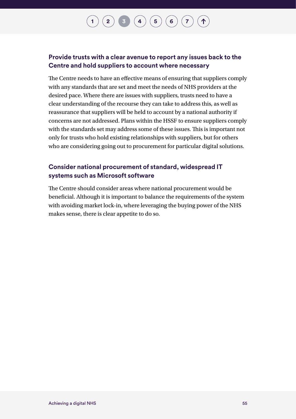# $\binom{2}{\frac{3}{2}}$  $\binom{2}{\frac{3}{2}}$  $\binom{2}{\frac{3}{2}}$  $\binom{2}{\frac{3}{2}}$  $\binom{2}{\frac{3}{2}}$  **[4](#page-57-0)**  $\binom{4}{\frac{5}{2}}$  $\binom{4}{\frac{5}{2}}$  $\binom{4}{\frac{5}{2}}$  **[6](#page-75-0)**  $\binom{7}{\frac{7}{2}}$  $\binom{7}{\frac{7}{2}}$  $\binom{7}{\frac{7}{2}}$

### **Provide trusts with a clear avenue to report any issues back to the Centre and hold suppliers to account where necessary**

The Centre needs to have an effective means of ensuring that suppliers comply with any standards that are set and meet the needs of NHS providers at the desired pace. Where there are issues with suppliers, trusts need to have a clear understanding of the recourse they can take to address this, as well as reassurance that suppliers will be held to account by a national authority if concerns are not addressed. Plans within the HSSF to ensure suppliers comply with the standards set may address some of these issues. This is important not only for trusts who hold existing relationships with suppliers, but for others who are considering going out to procurement for particular digital solutions.

### **Consider national procurement of standard, widespread IT systems such as Microsoft software**

The Centre should consider areas where national procurement would be beneficial. Although it is important to balance the requirements of the system with avoiding market lock-in, where leveraging the buying power of the NHS makes sense, there is clear appetite to do so.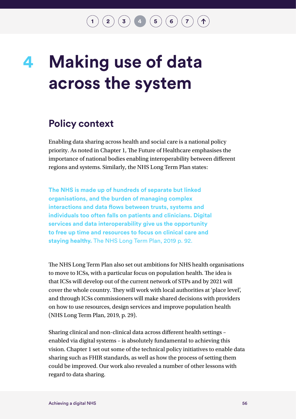$\binom{2}{3}$  $\binom{2}{3}$  $\binom{2}{3}$  $\binom{2}{3}$  $\binom{2}{3}$  **4 [6](#page-75-0) 6 [7](#page-87-0)** 

## <span id="page-57-0"></span>**Making use of data across the system 4**

## **Policy context**

Enabling data sharing across health and social care is a national policy priority. As noted in Chapter 1, The Future of Healthcare emphasises the importance of national bodies enabling interoperability between different regions and systems. Similarly, the NHS Long Term Plan states:

**The NHS is made up of hundreds of separate but linked organisations, and the burden of managing complex interactions and data flows between trusts, systems and individuals too often falls on patients and clinicians. Digital services and data interoperability give us the opportunity to free up time and resources to focus on clinical care and staying healthy.** The NHS Long Term Plan, 2019 p. 92.

The NHS Long Term Plan also set out ambitions for NHS health organisations to move to ICSs, with a particular focus on population health. The idea is that ICSs will develop out of the current network of STPs and by 2021 will cover the whole country. They will work with local authorities at 'place level', and through ICSs commissioners will make shared decisions with providers on how to use resources, design services and improve population health (NHS Long Term Plan, 2019, p. 29).

Sharing clinical and non-clinical data across different health settings – enabled via digital systems – is absolutely fundamental to achieving this vision. Chapter 1 set out some of the technical policy initiatives to enable data sharing such as FHIR standards, as well as how the process of setting them could be improved. Our work also revealed a number of other lessons with regard to data sharing.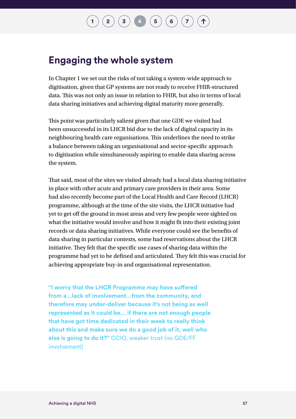### **Engaging the whole system**

In Chapter 1 we set out the risks of not taking a system-wide approach to digitisation, given that GP systems are not ready to receive FHIR-structured data. This was not only an issue in relation to FHIR, but also in terms of local data sharing initiatives and achieving digital maturity more generally.

This point was particularly salient given that one GDE we visited had been unsuccessful in its LHCR bid due to the lack of digital capacity in its neighbouring health care organisations. This underlines the need to strike a balance between taking an organisational and sector-specific approach to digitisation while simultaneously aspiring to enable data sharing across the system.

That said, most of the sites we visited already had a local data sharing initiative in place with other acute and primary care providers in their area. Some had also recently become part of the Local Health and Care Record (LHCR) programme, although at the time of the site visits, the LHCR initiative had yet to get off the ground in most areas and very few people were sighted on what the initiative would involve and how it might fit into their existing joint records or data sharing initiatives. While everyone could see the benefits of data sharing in particular contexts, some had reservations about the LHCR initiative. They felt that the specific use cases of sharing data within the programme had yet to be defined and articulated. They felt this was crucial for achieving appropriate buy-in and organisational representation.

**"I worry that the LHCR Programme may have suffered from a…lack of involvement…from the community, and therefore may under-deliver because it's not being as well represented as it could be… if there are not enough people that have got time dedicated in their week to really think about this and make sure we do a good job of it, well who else is going to do it?"** CCIO, weaker trust (no GDE/FF involvement)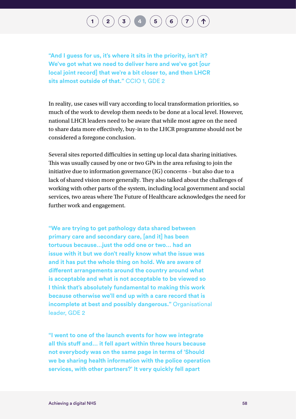## $\binom{2}{3}$  $\binom{2}{3}$  $\binom{2}{3}$  $\binom{2}{3}$  $\binom{2}{3}$  **[4](#page-57-0) [6](#page-75-0) 6 [7](#page-87-0)**

**"And I guess for us, it's where it sits in the priority, isn't it? We've got what we need to deliver here and we've got [our local joint record] that we're a bit closer to, and then LHCR sits almost outside of that."** CCIO 1, GDE 2

In reality, use cases will vary according to local transformation priorities, so much of the work to develop them needs to be done at a local level. However, national LHCR leaders need to be aware that while most agree on the need to share data more effectively, buy-in to the LHCR programme should not be considered a foregone conclusion.

Several sites reported difficulties in setting up local data sharing initiatives. This was usually caused by one or two GPs in the area refusing to join the initiative due to information governance (IG) concerns – but also due to a lack of shared vision more generally. They also talked about the challenges of working with other parts of the system, including local government and social services, two areas where The Future of Healthcare acknowledges the need for further work and engagement.

**"We are trying to get pathology data shared between primary care and secondary care, [and it] has been tortuous because…just the odd one or two… had an issue with it but we don't really know what the issue was and it has put the whole thing on hold. We are aware of different arrangements around the country around what is acceptable and what is not acceptable to be viewed so I think that's absolutely fundamental to making this work because otherwise we'll end up with a care record that is incomplete at best and possibly dangerous."** Organisational leader, GDE 2

**"I went to one of the launch events for how we integrate all this stuff and… it fell apart within three hours because not everybody was on the same page in terms of 'Should we be sharing health information with the police operation services, with other partners?' It very quickly fell apart**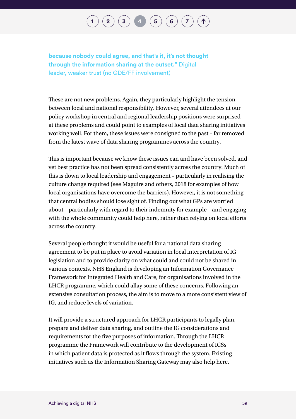## $\binom{2}{\frac{3}{4}}$  $\binom{2}{\frac{3}{4}}$  $\binom{2}{\frac{3}{4}}$  $\binom{2}{\frac{3}{4}}$  $\binom{2}{\frac{3}{4}}$  $\binom{2}{\frac{3}{4}}$  $\binom{2}{\frac{3}{4}}$   $\binom{4}{5}\binom{6}{6}\binom{7}{7}$  $\binom{4}{5}\binom{6}{6}\binom{7}{7}$  $\binom{4}{5}\binom{6}{6}\binom{7}{7}$  $\binom{4}{5}\binom{6}{6}\binom{7}{7}$  $\binom{4}{5}\binom{6}{6}\binom{7}{7}$  $\binom{4}{5}\binom{6}{6}\binom{7}{7}$  $\binom{4}{5}\binom{6}{6}\binom{7}{7}$

**because nobody could agree, and that's it, it's not thought through the information sharing at the outset."** Digital leader, weaker trust (no GDE/FF involvement)

These are not new problems. Again, they particularly highlight the tension between local and national responsibility. However, several attendees at our policy workshop in central and regional leadership positions were surprised at these problems and could point to examples of local data sharing initiatives working well. For them, these issues were consigned to the past – far removed from the latest wave of data sharing programmes across the country.

This is important because we know these issues can and have been solved, and yet best practice has not been spread consistently across the country. Much of this is down to local leadership and engagement – particularly in realising the culture change required (see Maguire and others, 2018 for examples of how local organisations have overcome the barriers). However, it is not something that central bodies should lose sight of. Finding out what GPs are worried about – particularly with regard to their indemnity for example – and engaging with the whole community could help here, rather than relying on local efforts across the country.

Several people thought it would be useful for a national data sharing agreement to be put in place to avoid variation in local interpretation of IG legislation and to provide clarity on what could and could not be shared in various contexts. NHS England is developing an Information Governance Framework for Integrated Health and Care, for organisations involved in the LHCR programme, which could allay some of these concerns. Following an extensive consultation process, the aim is to move to a more consistent view of IG, and reduce levels of variation.

It will provide a structured approach for LHCR participants to legally plan, prepare and deliver data sharing, and outline the IG considerations and requirements for the five purposes of information. Through the LHCR programme the Framework will contribute to the development of ICSs in which patient data is protected as it flows through the system. Existing initiatives such as the Information Sharing Gateway may also help here.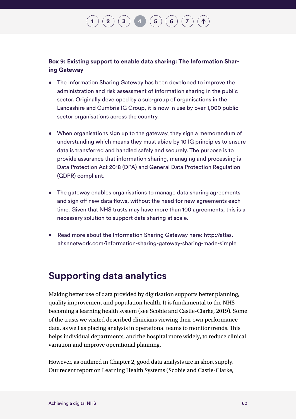# **[2](#page-32-0)**  $(\mathbf{3})$  $(\mathbf{3})$  $(\mathbf{3})$  **[4](#page-57-0)**  $(\mathbf{5})$  $(\mathbf{5})$  $(\mathbf{5})$   $(\mathbf{6})$  $(\mathbf{6})$  $(\mathbf{6})$

**Box 9: Existing support to enable data sharing: The Information Sharing Gateway**

- The Information Sharing Gateway has been developed to improve the administration and risk assessment of information sharing in the public sector. Originally developed by a sub-group of organisations in the Lancashire and Cumbria IG Group, it is now in use by over 1,000 public sector organisations across the country.
- When organisations sign up to the gateway, they sign a memorandum of understanding which means they must abide by 10 IG principles to ensure data is transferred and handled safely and securely. The purpose is to provide assurance that information sharing, managing and processing is Data Protection Act 2018 (DPA) and General Data Protection Regulation (GDPR) compliant.
- The gateway enables organisations to manage data sharing agreements and sign off new data flows, without the need for new agreements each time. Given that NHS trusts may have more than 100 agreements, this is a necessary solution to support data sharing at scale.
- Read more about the Information Sharing Gateway here: [http://atlas.](http://atlas.ahsnnetwork.com/information-sharing-gateway-sharing-made-simple) [ahsnnetwork.com/information-sharing-gateway-sharing-made-simple](http://atlas.ahsnnetwork.com/information-sharing-gateway-sharing-made-simple)

## **Supporting data analytics**

Making better use of data provided by digitisation supports better planning, quality improvement and population health. It is fundamental to the NHS becoming a learning health system (see Scobie and Castle-Clarke, 2019). Some of the trusts we visited described clinicians viewing their own performance data, as well as placing analysts in operational teams to monitor trends. This helps individual departments, and the hospital more widely, to reduce clinical variation and improve operational planning.

However, as outlined in Chapter 2, good data analysts are in short supply. Our recent report on Learning Health Systems (Scobie and Castle-Clarke,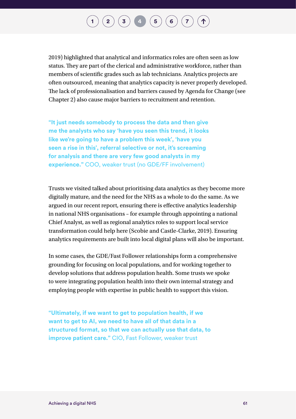## $\binom{2}{3}$  $\binom{2}{3}$  $\binom{2}{3}$  $\binom{2}{3}$  $\binom{2}{3}$  **[4](#page-57-0) [6](#page-75-0) 6 [7](#page-87-0)**

2019) highlighted that analytical and informatics roles are often seen as low status. They are part of the clerical and administrative workforce, rather than members of scientific grades such as lab technicians. Analytics projects are often outsourced, meaning that analytics capacity is never properly developed. The lack of professionalisation and barriers caused by Agenda for Change (see Chapter 2) also cause major barriers to recruitment and retention.

**"It just needs somebody to process the data and then give me the analysts who say 'have you seen this trend, it looks like we're going to have a problem this week', 'have you seen a rise in this', referral selective or not, it's screaming for analysis and there are very few good analysts in my experience."** COO, weaker trust (no GDE/FF involvement)

Trusts we visited talked about prioritising data analytics as they become more digitally mature, and the need for the NHS as a whole to do the same. As we argued in our recent report, ensuring there is effective analytics leadership in national NHS organisations – for example through appointing a national Chief Analyst, as well as regional analytics roles to support local service transformation could help here (Scobie and Castle-Clarke, 2019). Ensuring analytics requirements are built into local digital plans will also be important.

In some cases, the GDE/Fast Follower relationships form a comprehensive grounding for focusing on local populations, and for working together to develop solutions that address population health. Some trusts we spoke to were integrating population health into their own internal strategy and employing people with expertise in public health to support this vision.

**"Ultimately, if we want to get to population health, if we want to get to AI, we need to have all of that data in a structured format, so that we can actually use that data, to improve patient care."** CIO, Fast Follower, weaker trust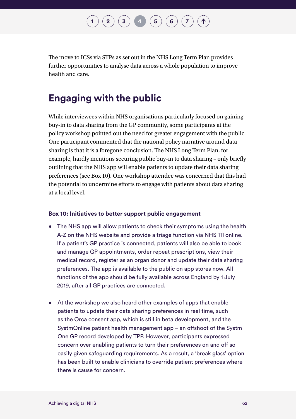## **[2](#page-32-0)**  $(\mathbf{3}) (\mathbf{4}) (\mathbf{5}) (\mathbf{6}) (\mathbf{7})$  $(\mathbf{3}) (\mathbf{4}) (\mathbf{5}) (\mathbf{6}) (\mathbf{7})$  $(\mathbf{3}) (\mathbf{4}) (\mathbf{5}) (\mathbf{6}) (\mathbf{7})$  $(\mathbf{3}) (\mathbf{4}) (\mathbf{5}) (\mathbf{6}) (\mathbf{7})$  $(\mathbf{3}) (\mathbf{4}) (\mathbf{5}) (\mathbf{6}) (\mathbf{7})$  $(\mathbf{3}) (\mathbf{4}) (\mathbf{5}) (\mathbf{6}) (\mathbf{7})$  $(\mathbf{3}) (\mathbf{4}) (\mathbf{5}) (\mathbf{6}) (\mathbf{7})$  $(\mathbf{3}) (\mathbf{4}) (\mathbf{5}) (\mathbf{6}) (\mathbf{7})$  $(\mathbf{3}) (\mathbf{4}) (\mathbf{5}) (\mathbf{6}) (\mathbf{7})$  $(\mathbf{3}) (\mathbf{4}) (\mathbf{5}) (\mathbf{6}) (\mathbf{7})$  $(\mathbf{3}) (\mathbf{4}) (\mathbf{5}) (\mathbf{6}) (\mathbf{7})$

The move to ICSs via STPs as set out in the NHS Long Term Plan provides further opportunities to analyse data across a whole population to improve health and care.

## **Engaging with the public**

While interviewees within NHS organisations particularly focused on gaining buy-in to data sharing from the GP community, some participants at the policy workshop pointed out the need for greater engagement with the public. One participant commented that the national policy narrative around data sharing is that it is a foregone conclusion. The NHS Long Term Plan, for example, hardly mentions securing public buy-in to data sharing – only briefly outlining that the NHS app will enable patients to update their data sharing preferences (see Box 10). One workshop attendee was concerned that this had the potential to undermine efforts to engage with patients about data sharing at a local level.

#### **Box 10: Initiatives to better support public engagement**

- The NHS app will allow patients to check their symptoms using the health A-Z on the NHS website and provide a triage function via NHS 111 online. If a patient's GP practice is connected, patients will also be able to book and manage GP appointments, order repeat prescriptions, view their medical record, register as an organ donor and update their data sharing preferences. The app is available to the public on app stores now. All functions of the app should be fully available across England by 1 July 2019, after all GP practices are connected.
- At the workshop we also heard other examples of apps that enable patients to update their data sharing preferences in real time, such as the Orca consent app, which is still in beta development, and the SystmOnline patient health management app – an offshoot of the Systm One GP record developed by TPP. However, participants expressed concern over enabling patients to turn their preferences on and off so easily given safeguarding requirements. As a result, a 'break glass' option has been built to enable clinicians to override patient preferences where there is cause for concern.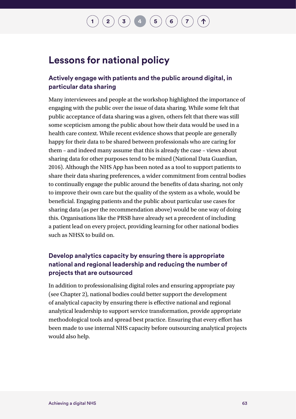### **Lessons for national policy**

### **Actively engage with patients and the public around digital, in particular data sharing**

Many interviewees and people at the workshop highlighted the importance of engaging with the public over the issue of data sharing. While some felt that public acceptance of data sharing was a given, others felt that there was still some scepticism among the public about how their data would be used in a health care context. While recent evidence shows that people are generally happy for their data to be shared between professionals who are caring for them – and indeed many assume that this is already the case – views about sharing data for other purposes tend to be mixed (National Data Guardian, 2016). Although the NHS App has been noted as a tool to support patients to share their data sharing preferences, a wider commitment from central bodies to continually engage the public around the benefits of data sharing, not only to improve their own care but the quality of the system as a whole, would be beneficial. Engaging patients and the public about particular use cases for sharing data (as per the recommendation above) would be one way of doing this. Organisations like the PRSB have already set a precedent of including a patient lead on every project, providing learning for other national bodies such as NHSX to build on.

### **Develop analytics capacity by ensuring there is appropriate national and regional leadership and reducing the number of projects that are outsourced**

In addition to professionalising digital roles and ensuring appropriate pay (see Chapter 2), national bodies could better support the development of analytical capacity by ensuring there is effective national and regional analytical leadership to support service transformation, provide appropriate methodological tools and spread best practice. Ensuring that every effort has been made to use internal NHS capacity before outsourcing analytical projects would also help.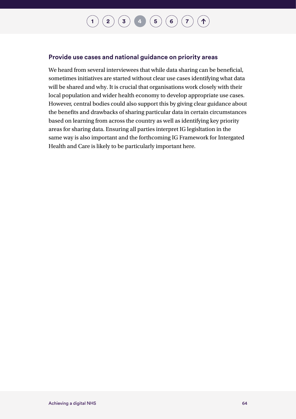#### **[1](#page-14-0)**  $(2)(3)(4)(5)(6)(7)$  $(2)(3)(4)(5)(6)(7)$  $(2)(3)(4)(5)(6)(7)$  $(2)(3)(4)(5)(6)(7)$  $(2)(3)(4)(5)(6)(7)$  $(2)(3)(4)(5)(6)(7)$  $(2)(3)(4)(5)(6)(7)$  $(2)(3)(4)(5)(6)(7)$  $(2)(3)(4)(5)(6)(7)$  $(2)(3)(4)(5)(6)(7)$  $(2)(3)(4)(5)(6)(7)$  $(2)(3)(4)(5)(6)(7)$  $(2)(3)(4)(5)(6)(7)$ 个

#### **Provide use cases and national guidance on priority areas**

We heard from several interviewees that while data sharing can be beneficial, sometimes initiatives are started without clear use cases identifying what data will be shared and why. It is crucial that organisations work closely with their local population and wider health economy to develop appropriate use cases. However, central bodies could also support this by giving clear guidance about the benefits and drawbacks of sharing particular data in certain circumstances based on learning from across the country as well as identifying key priority areas for sharing data. Ensuring all parties interpret IG legisltation in the same way is also important and the forthcoming IG Framework for Intergated Health and Care is likely to be particularly important here.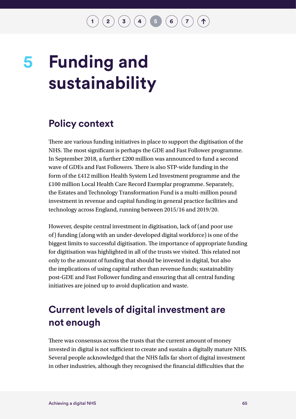$\binom{2}{3}\binom{3}{4}\binom{4}{5}\binom{5}{6}\binom{7}{7}$  $\binom{2}{3}\binom{3}{4}\binom{4}{5}\binom{5}{6}\binom{7}{7}$  $\binom{2}{3}\binom{3}{4}\binom{4}{5}\binom{5}{6}\binom{7}{7}$  $\binom{2}{3}\binom{3}{4}\binom{4}{5}\binom{5}{6}\binom{7}{7}$  $\binom{2}{3}\binom{3}{4}\binom{4}{5}\binom{5}{6}\binom{7}{7}$  $\binom{2}{3}\binom{3}{4}\binom{4}{5}\binom{5}{6}\binom{7}{7}$  $\binom{2}{3}\binom{3}{4}\binom{4}{5}\binom{5}{6}\binom{7}{7}$  $\binom{2}{3}\binom{3}{4}\binom{4}{5}\binom{5}{6}\binom{7}{7}$  $\binom{2}{3}\binom{3}{4}\binom{4}{5}\binom{5}{6}\binom{7}{7}$  $\binom{2}{3}\binom{3}{4}\binom{4}{5}\binom{5}{6}\binom{7}{7}$  $\binom{2}{3}\binom{3}{4}\binom{4}{5}\binom{5}{6}\binom{7}{7}$ 

# <span id="page-66-0"></span>**Funding and sustainability 5**

## **Policy context**

There are various funding initiatives in place to support the digitisation of the NHS. The most significant is perhaps the GDE and Fast Follower programme. In September 2018, a further £200 million was announced to fund a second wave of GDEs and Fast Followers. There is also STP-wide funding in the form of the £412 million Health System Led Investment programme and the £100 million Local Health Care Record Exemplar programme. Separately, the Estates and Technology Transformation Fund is a multi-million pound investment in revenue and capital funding in general practice facilities and technology across England, running between 2015/16 and 2019/20.

However, despite central investment in digitisation, lack of (and poor use of) funding (along with an under-developed digital workforce) is one of the biggest limits to successful digitisation. The importance of appropriate funding for digitisation was highlighted in all of the trusts we visited. This related not only to the amount of funding that should be invested in digital, but also the implications of using capital rather than revenue funds; sustainability post-GDE and Fast Follower funding and ensuring that all central funding initiatives are joined up to avoid duplication and waste.

## **Current levels of digital investment are not enough**

There was consensus across the trusts that the current amount of money invested in digital is not sufficient to create and sustain a digitally mature NHS. Several people acknowledged that the NHS falls far short of digital investment in other industries, although they recognised the financial difficulties that the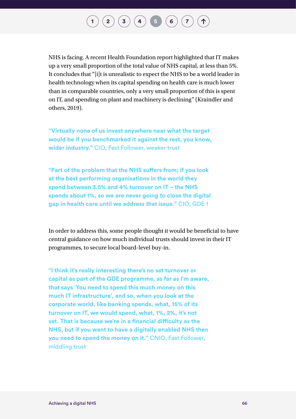## $\binom{2}{3}\binom{3}{4}$  $\binom{2}{3}\binom{3}{4}$  $\binom{2}{3}\binom{3}{4}$  $\binom{2}{3}\binom{3}{4}$  $\binom{2}{3}\binom{3}{4}$  $\binom{2}{3}\binom{3}{4}$  $\binom{2}{3}\binom{3}{4}$  **[5](#page-66-0) [6](#page-75-0)**  $\binom{7}{4}$  $\binom{7}{4}$  $\binom{7}{4}$

NHS is facing. A recent Health Foundation report highlighted that IT makes up a very small proportion of the total value of NHS capital, at less than 5%. It concludes that "[i]t is unrealistic to expect the NHS to be a world leader in health technology when its capital spending on health care is much lower than in comparable countries, only a very small proportion of this is spent on IT, and spending on plant and machinery is declining" (Kraindler and others, 2019).

**"Virtually none of us invest anywhere near what the target would be if you benchmarked it against the rest, you know, wider industry."** CIO, Fast Follower, weaker trust

**"Part of the problem that the NHS suffers from; if you look at the best performing organisations in the world they spend between 3.5% and 4% turnover on IT – the NHS spends about 1%, so we are never going to close the digital gap in health care until we address that issue."** CIO, GDE 1

In order to address this, some people thought it would be beneficial to have central guidance on how much individual trusts should invest in their IT programmes, to secure local board-level buy-in.

**"I think it's really interesting there's no set turnover or capital as part of the GDE programme, as far as I'm aware, that says 'You need to spend this much money on this much IT infrastructure', and so, when you look at the corporate world, like banking spends, what, 15% of its turnover on IT, we would spend, what, 1%, 2%, it's not set. That is because we're in a financial difficulty as the NHS, but if you want to have a digitally enabled NHS then you need to spend the money on it."** CNIO, Fast Follower, middling trust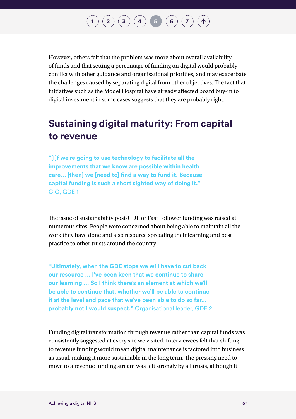$\binom{2}{3}\binom{3}{4}\binom{5}{6}\binom{7}{7}$  $\binom{2}{3}\binom{3}{4}\binom{5}{6}\binom{7}{7}$  $\binom{2}{3}\binom{3}{4}\binom{5}{6}\binom{7}{7}$  $\binom{2}{3}\binom{3}{4}\binom{5}{6}\binom{7}{7}$  $\binom{2}{3}\binom{3}{4}\binom{5}{6}\binom{7}{7}$  $\binom{2}{3}\binom{3}{4}\binom{5}{6}\binom{7}{7}$  $\binom{2}{3}\binom{3}{4}\binom{5}{6}\binom{7}{7}$  $\binom{2}{3}\binom{3}{4}\binom{5}{6}\binom{7}{7}$  $\binom{2}{3}\binom{3}{4}\binom{5}{6}\binom{7}{7}$  $\binom{2}{3}\binom{3}{4}\binom{5}{6}\binom{7}{7}$  $\binom{2}{3}\binom{3}{4}\binom{5}{6}\binom{7}{7}$  $\binom{2}{3}\binom{3}{4}\binom{5}{6}\binom{7}{7}$  $\binom{2}{3}\binom{3}{4}\binom{5}{6}\binom{7}{7}$ 

However, others felt that the problem was more about overall availability of funds and that setting a percentage of funding on digital would probably conflict with other guidance and organisational priorities, and may exacerbate the challenges caused by separating digital from other objectives. The fact that initiatives such as the Model Hospital have already affected board buy-in to digital investment in some cases suggests that they are probably right.

## **Sustaining digital maturity: From capital to revenue**

**"[I]f we're going to use technology to facilitate all the improvements that we know are possible within health care… [then] we [need to] find a way to fund it. Because capital funding is such a short sighted way of doing it."**  CIO, GDE 1

The issue of sustainability post-GDE or Fast Follower funding was raised at numerous sites. People were concerned about being able to maintain all the work they have done and also resource spreading their learning and best practice to other trusts around the country.

**"Ultimately, when the GDE stops we will have to cut back our resource … I've been keen that we continue to share our learning … So I think there's an element at which we'll be able to continue that, whether we'll be able to continue it at the level and pace that we've been able to do so far… probably not I would suspect."** Organisational leader, GDE 2

Funding digital transformation through revenue rather than capital funds was consistently suggested at every site we visited. Interviewees felt that shifting to revenue funding would mean digital maintenance is factored into business as usual, making it more sustainable in the long term. The pressing need to move to a revenue funding stream was felt strongly by all trusts, although it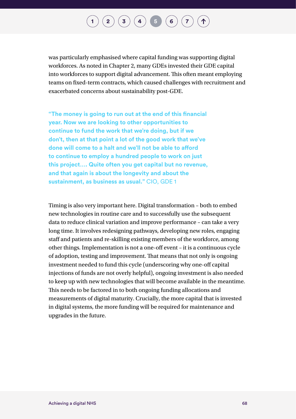## $\binom{2}{3}\binom{3}{4}\binom{5}{5}\binom{6}{7}$  $\binom{2}{3}\binom{3}{4}\binom{5}{5}\binom{6}{7}$  $\binom{2}{3}\binom{3}{4}\binom{5}{5}\binom{6}{7}$  $\binom{2}{3}\binom{3}{4}\binom{5}{5}\binom{6}{7}$  $\binom{2}{3}\binom{3}{4}\binom{5}{5}\binom{6}{7}$  $\binom{2}{3}\binom{3}{4}\binom{5}{5}\binom{6}{7}$  $\binom{2}{3}\binom{3}{4}\binom{5}{5}\binom{6}{7}$  $\binom{2}{3}\binom{3}{4}\binom{5}{5}\binom{6}{7}$  $\binom{2}{3}\binom{3}{4}\binom{5}{5}\binom{6}{7}$  $\binom{2}{3}\binom{3}{4}\binom{5}{5}\binom{6}{7}$  $\binom{2}{3}\binom{3}{4}\binom{5}{5}\binom{6}{7}$  $\binom{2}{3}\binom{3}{4}\binom{5}{5}\binom{6}{7}$  $\binom{2}{3}\binom{3}{4}\binom{5}{5}\binom{6}{7}$

was particularly emphasised where capital funding was supporting digital workforces. As noted in Chapter 2, many GDEs invested their GDE capital into workforces to support digital advancement. This often meant employing teams on fixed-term contracts, which caused challenges with recruitment and exacerbated concerns about sustainability post-GDE.

**"The money is going to run out at the end of this financial year. Now we are looking to other opportunities to continue to fund the work that we're doing, but if we don't, then at that point a lot of the good work that we've done will come to a halt and we'll not be able to afford to continue to employ a hundred people to work on just this project…. Quite often you get capital but no revenue, and that again is about the longevity and about the sustainment, as business as usual."** CIO, GDE 1

Timing is also very important here. Digital transformation – both to embed new technologies in routine care and to successfully use the subsequent data to reduce clinical variation and improve performance – can take a very long time. It involves redesigning pathways, developing new roles, engaging staff and patients and re-skilling existing members of the workforce, among other things. Implementation is not a one-off event – it is a continuous cycle of adoption, testing and improvement. That means that not only is ongoing investment needed to fund this cycle (underscoring why one-off capital injections of funds are not overly helpful), ongoing investment is also needed to keep up with new technologies that will become available in the meantime. This needs to be factored in to both ongoing funding allocations and measurements of digital maturity. Crucially, the more capital that is invested in digital systems, the more funding will be required for maintenance and upgrades in the future.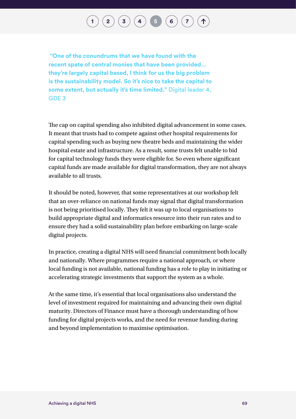## $\binom{2}{3}\binom{3}{4}\binom{5}{6}\binom{7}{7}$  $\binom{2}{3}\binom{3}{4}\binom{5}{6}\binom{7}{7}$  $\binom{2}{3}\binom{3}{4}\binom{5}{6}\binom{7}{7}$  $\binom{2}{3}\binom{3}{4}\binom{5}{6}\binom{7}{7}$  $\binom{2}{3}\binom{3}{4}\binom{5}{6}\binom{7}{7}$  $\binom{2}{3}\binom{3}{4}\binom{5}{6}\binom{7}{7}$  $\binom{2}{3}\binom{3}{4}\binom{5}{6}\binom{7}{7}$  $\binom{2}{3}\binom{3}{4}\binom{5}{6}\binom{7}{7}$  $\binom{2}{3}\binom{3}{4}\binom{5}{6}\binom{7}{7}$  $\binom{2}{3}\binom{3}{4}\binom{5}{6}\binom{7}{7}$  $\binom{2}{3}\binom{3}{4}\binom{5}{6}\binom{7}{7}$  $\binom{2}{3}\binom{3}{4}\binom{5}{6}\binom{7}{7}$  $\binom{2}{3}\binom{3}{4}\binom{5}{6}\binom{7}{7}$

 **"One of the conundrums that we have found with the recent spate of central monies that have been provided… they're largely capital based, I think for us the big problem is the sustainability model. So it's nice to take the capital to some extent, but actually it's time limited."** Digital leader 4, GDE 3

The cap on capital spending also inhibited digital advancement in some cases. It meant that trusts had to compete against other hospital requirements for capital spending such as buying new theatre beds and maintaining the wider hospital estate and infrastructure. As a result, some trusts felt unable to bid for capital technology funds they were eligible for. So even where significant capital funds are made available for digital transformation, they are not always available to all trusts.

It should be noted, however, that some representatives at our workshop felt that an over-reliance on national funds may signal that digital transformation is not being prioritised locally. They felt it was up to local organisations to build appropriate digital and informatics resource into their run rates and to ensure they had a solid sustainability plan before embarking on large-scale digital projects.

In practice, creating a digital NHS will need financial commitment both locally and nationally. Where programmes require a national approach, or where local funding is not available, national funding has a role to play in initiating or accelerating strategic investments that support the system as a whole.

At the same time, it's essential that local organisations also understand the level of investment required for maintaining and advancing their own digital maturity. Directors of Finance must have a thorough understanding of how funding for digital projects works, and the need for revenue funding during and beyond implementation to maximise optimisation.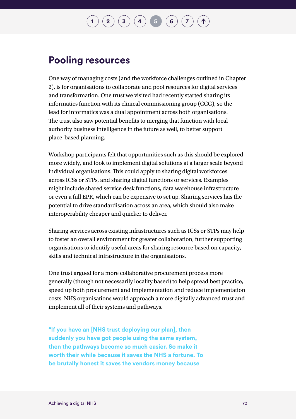$\binom{2}{3}\binom{3}{4}\binom{5}{6}\binom{7}{7}$  $\binom{2}{3}\binom{3}{4}\binom{5}{6}\binom{7}{7}$  $\binom{2}{3}\binom{3}{4}\binom{5}{6}\binom{7}{7}$  $\binom{2}{3}\binom{3}{4}\binom{5}{6}\binom{7}{7}$  $\binom{2}{3}\binom{3}{4}\binom{5}{6}\binom{7}{7}$  $\binom{2}{3}\binom{3}{4}\binom{5}{6}\binom{7}{7}$  $\binom{2}{3}\binom{3}{4}\binom{5}{6}\binom{7}{7}$  $\binom{2}{3}\binom{3}{4}\binom{5}{6}\binom{7}{7}$  $\binom{2}{3}\binom{3}{4}\binom{5}{6}\binom{7}{7}$  $\binom{2}{3}\binom{3}{4}\binom{5}{6}\binom{7}{7}$  $\binom{2}{3}\binom{3}{4}\binom{5}{6}\binom{7}{7}$  $\binom{2}{3}\binom{3}{4}\binom{5}{6}\binom{7}{7}$  $\binom{2}{3}\binom{3}{4}\binom{5}{6}\binom{7}{7}$ 

### **Pooling resources**

One way of managing costs (and the workforce challenges outlined in Chapter 2), is for organisations to collaborate and pool resources for digital services and transformation. One trust we visited had recently started sharing its informatics function with its clinical commissioning group (CCG), so the lead for informatics was a dual appointment across both organisations. The trust also saw potential benefits to merging that function with local authority business intelligence in the future as well, to better support place-based planning.

Workshop participants felt that opportunities such as this should be explored more widely, and look to implement digital solutions at a larger scale beyond individual organisations. This could apply to sharing digital workforces across ICSs or STPs, and sharing digital functions or services. Examples might include shared service desk functions, data warehouse infrastructure or even a full EPR, which can be expensive to set up. Sharing services has the potential to drive standardisation across an area, which should also make interoperability cheaper and quicker to deliver.

Sharing services across existing infrastructures such as ICSs or STPs may help to foster an overall environment for greater collaboration, further supporting organisations to identify useful areas for sharing resource based on capacity, skills and technical infrastructure in the organisations.

One trust argued for a more collaborative procurement process more generally (though not necessarily locality based) to help spread best practice, speed up both procurement and implementation and reduce implementation costs. NHS organisations would approach a more digitally advanced trust and implement all of their systems and pathways.

**"If you have an [NHS trust deploying our plan], then suddenly you have got people using the same system, then the pathways become so much easier. So make it worth their while because it saves the NHS a fortune. To be brutally honest it saves the vendors money because**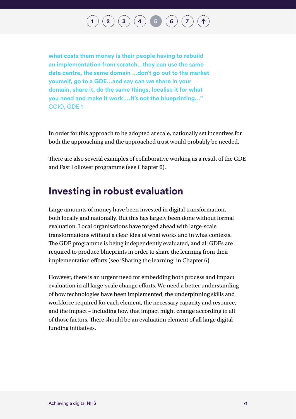## $\binom{2}{3}\binom{3}{4}$  $\binom{2}{3}\binom{3}{4}$  $\binom{2}{3}\binom{3}{4}$  $\binom{2}{3}\binom{3}{4}$  $\binom{2}{3}\binom{3}{4}$  $\binom{2}{3}\binom{3}{4}$  $\binom{2}{3}\binom{3}{4}$  **[5](#page-66-0) [6](#page-75-0)**  $\binom{7}{4}$  $\binom{7}{4}$  $\binom{7}{4}$

**what costs them money is their people having to rebuild an implementation from scratch…they can use the same data centre, the same domain …don't go out to the market yourself, go to a GDE…and say can we share in your domain, share it, do the same things, localise it for what you need and make it work….It's not the blueprinting…"**  CCIO, GDE 1

In order for this approach to be adopted at scale, nationally set incentives for both the approaching and the approached trust would probably be needed.

There are also several examples of collaborative working as a result of the GDE and Fast Follower programme (see Chapter 6).

### **Investing in robust evaluation**

Large amounts of money have been invested in digital transformation, both locally and nationally. But this has largely been done without formal evaluation. Local organisations have forged ahead with large-scale transformations without a clear idea of what works and in what contexts. The GDE programme is being independently evaluated, and all GDEs are required to produce blueprints in order to share the learning from their implementation efforts (see 'Sharing the learning' in Chapter 6).

However, there is an urgent need for embedding both process and impact evaluation in all large-scale change efforts. We need a better understanding of how technologies have been implemented, the underpinning skills and workforce required for each element, the necessary capacity and resource, and the impact – including how that impact might change according to all of those factors. There should be an evaluation element of all large digital funding initiatives.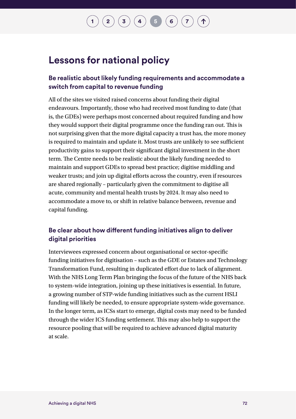## $\mathbf{2} \left( \mathbf{2} \right) \left( \mathbf{3} \right) \left( \mathbf{4} \right) \left( \mathbf{5} \right) \left( \mathbf{6} \right) \left( \mathbf{7} \right)$  $\mathbf{2} \left( \mathbf{2} \right) \left( \mathbf{3} \right) \left( \mathbf{4} \right) \left( \mathbf{5} \right) \left( \mathbf{6} \right) \left( \mathbf{7} \right)$  $\mathbf{2} \left( \mathbf{2} \right) \left( \mathbf{3} \right) \left( \mathbf{4} \right) \left( \mathbf{5} \right) \left( \mathbf{6} \right) \left( \mathbf{7} \right)$  $\mathbf{2} \left( \mathbf{2} \right) \left( \mathbf{3} \right) \left( \mathbf{4} \right) \left( \mathbf{5} \right) \left( \mathbf{6} \right) \left( \mathbf{7} \right)$  $\mathbf{2} \left( \mathbf{2} \right) \left( \mathbf{3} \right) \left( \mathbf{4} \right) \left( \mathbf{5} \right) \left( \mathbf{6} \right) \left( \mathbf{7} \right)$  $\mathbf{2} \left( \mathbf{2} \right) \left( \mathbf{3} \right) \left( \mathbf{4} \right) \left( \mathbf{5} \right) \left( \mathbf{6} \right) \left( \mathbf{7} \right)$  $\mathbf{2} \left( \mathbf{2} \right) \left( \mathbf{3} \right) \left( \mathbf{4} \right) \left( \mathbf{5} \right) \left( \mathbf{6} \right) \left( \mathbf{7} \right)$  $\mathbf{2} \left( \mathbf{2} \right) \left( \mathbf{3} \right) \left( \mathbf{4} \right) \left( \mathbf{5} \right) \left( \mathbf{6} \right) \left( \mathbf{7} \right)$  $\mathbf{2} \left( \mathbf{2} \right) \left( \mathbf{3} \right) \left( \mathbf{4} \right) \left( \mathbf{5} \right) \left( \mathbf{6} \right) \left( \mathbf{7} \right)$  $\mathbf{2} \left( \mathbf{2} \right) \left( \mathbf{3} \right) \left( \mathbf{4} \right) \left( \mathbf{5} \right) \left( \mathbf{6} \right) \left( \mathbf{7} \right)$  $\mathbf{2} \left( \mathbf{2} \right) \left( \mathbf{3} \right) \left( \mathbf{4} \right) \left( \mathbf{5} \right) \left( \mathbf{6} \right) \left( \mathbf{7} \right)$  $\mathbf{2} \left( \mathbf{2} \right) \left( \mathbf{3} \right) \left( \mathbf{4} \right) \left( \mathbf{5} \right) \left( \mathbf{6} \right) \left( \mathbf{7} \right)$  $\mathbf{2} \left( \mathbf{2} \right) \left( \mathbf{3} \right) \left( \mathbf{4} \right) \left( \mathbf{5} \right) \left( \mathbf{6} \right) \left( \mathbf{7} \right)$

### **Lessons for national policy**

#### **Be realistic about likely funding requirements and accommodate a switch from capital to revenue funding**

All of the sites we visited raised concerns about funding their digital endeavours. Importantly, those who had received most funding to date (that is, the GDEs) were perhaps most concerned about required funding and how they would support their digital programme once the funding ran out. This is not surprising given that the more digital capacity a trust has, the more money is required to maintain and update it. Most trusts are unlikely to see sufficient productivity gains to support their significant digital investment in the short term. The Centre needs to be realistic about the likely funding needed to maintain and support GDEs to spread best practice; digitise middling and weaker trusts; and join up digital efforts across the country, even if resources are shared regionally – particularly given the commitment to digitise all acute, community and mental health trusts by 2024. It may also need to accommodate a move to, or shift in relative balance between, revenue and capital funding.

#### **Be clear about how different funding initiatives align to deliver digital priorities**

Interviewees expressed concern about organisational or sector-specific funding initiatives for digitisation – such as the GDE or Estates and Technology Transformation Fund, resulting in duplicated effort due to lack of alignment. With the NHS Long Term Plan bringing the focus of the future of the NHS back to system-wide integration, joining up these initiatives is essential. In future, a growing number of STP-wide funding initiatives such as the current HSLI funding will likely be needed, to ensure appropriate system-wide governance. In the longer term, as ICSs start to emerge, digital costs may need to be funded through the wider ICS funding settlement. This may also help to support the resource pooling that will be required to achieve advanced digital maturity at scale.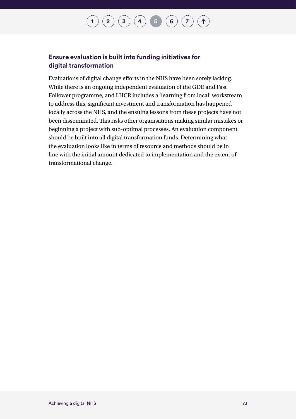#### **[1](#page-14-0)**  $\left( \begin{matrix} 2 \end{matrix} \right) \left( \begin{matrix} 3 \end{matrix} \right) \left( \begin{matrix} 4 \end{matrix} \right) \left( \begin{matrix} 5 \end{matrix} \right) \left( \begin{matrix} 6 \end{matrix} \right) \left( \begin{matrix} 7 \end{matrix} \right)$  $\left( \begin{matrix} 2 \end{matrix} \right) \left( \begin{matrix} 3 \end{matrix} \right) \left( \begin{matrix} 4 \end{matrix} \right) \left( \begin{matrix} 5 \end{matrix} \right) \left( \begin{matrix} 6 \end{matrix} \right) \left( \begin{matrix} 7 \end{matrix} \right)$  $\left( \begin{matrix} 2 \end{matrix} \right) \left( \begin{matrix} 3 \end{matrix} \right) \left( \begin{matrix} 4 \end{matrix} \right) \left( \begin{matrix} 5 \end{matrix} \right) \left( \begin{matrix} 6 \end{matrix} \right) \left( \begin{matrix} 7 \end{matrix} \right)$  $\left( \begin{matrix} 2 \end{matrix} \right) \left( \begin{matrix} 3 \end{matrix} \right) \left( \begin{matrix} 4 \end{matrix} \right) \left( \begin{matrix} 5 \end{matrix} \right) \left( \begin{matrix} 6 \end{matrix} \right) \left( \begin{matrix} 7 \end{matrix} \right)$  $\left( \begin{matrix} 2 \end{matrix} \right) \left( \begin{matrix} 3 \end{matrix} \right) \left( \begin{matrix} 4 \end{matrix} \right) \left( \begin{matrix} 5 \end{matrix} \right) \left( \begin{matrix} 6 \end{matrix} \right) \left( \begin{matrix} 7 \end{matrix} \right)$  $\left( \begin{matrix} 2 \end{matrix} \right) \left( \begin{matrix} 3 \end{matrix} \right) \left( \begin{matrix} 4 \end{matrix} \right) \left( \begin{matrix} 5 \end{matrix} \right) \left( \begin{matrix} 6 \end{matrix} \right) \left( \begin{matrix} 7 \end{matrix} \right)$  $\left( \begin{matrix} 2 \end{matrix} \right) \left( \begin{matrix} 3 \end{matrix} \right) \left( \begin{matrix} 4 \end{matrix} \right) \left( \begin{matrix} 5 \end{matrix} \right) \left( \begin{matrix} 6 \end{matrix} \right) \left( \begin{matrix} 7 \end{matrix} \right)$  $\left( \begin{matrix} 2 \end{matrix} \right) \left( \begin{matrix} 3 \end{matrix} \right) \left( \begin{matrix} 4 \end{matrix} \right) \left( \begin{matrix} 5 \end{matrix} \right) \left( \begin{matrix} 6 \end{matrix} \right) \left( \begin{matrix} 7 \end{matrix} \right)$  $\left( \begin{matrix} 2 \end{matrix} \right) \left( \begin{matrix} 3 \end{matrix} \right) \left( \begin{matrix} 4 \end{matrix} \right) \left( \begin{matrix} 5 \end{matrix} \right) \left( \begin{matrix} 6 \end{matrix} \right) \left( \begin{matrix} 7 \end{matrix} \right)$  $\left( \begin{matrix} 2 \end{matrix} \right) \left( \begin{matrix} 3 \end{matrix} \right) \left( \begin{matrix} 4 \end{matrix} \right) \left( \begin{matrix} 5 \end{matrix} \right) \left( \begin{matrix} 6 \end{matrix} \right) \left( \begin{matrix} 7 \end{matrix} \right)$  $\left( \begin{matrix} 2 \end{matrix} \right) \left( \begin{matrix} 3 \end{matrix} \right) \left( \begin{matrix} 4 \end{matrix} \right) \left( \begin{matrix} 5 \end{matrix} \right) \left( \begin{matrix} 6 \end{matrix} \right) \left( \begin{matrix} 7 \end{matrix} \right)$  $\left( \begin{matrix} 2 \end{matrix} \right) \left( \begin{matrix} 3 \end{matrix} \right) \left( \begin{matrix} 4 \end{matrix} \right) \left( \begin{matrix} 5 \end{matrix} \right) \left( \begin{matrix} 6 \end{matrix} \right) \left( \begin{matrix} 7 \end{matrix} \right)$  $\left( \begin{matrix} 2 \end{matrix} \right) \left( \begin{matrix} 3 \end{matrix} \right) \left( \begin{matrix} 4 \end{matrix} \right) \left( \begin{matrix} 5 \end{matrix} \right) \left( \begin{matrix} 6 \end{matrix} \right) \left( \begin{matrix} 7 \end{matrix} \right)$  $\Lambda$

#### **Ensure evaluation is built into funding initiatives for digital transformation**

Evaluations of digital change efforts in the NHS have been sorely lacking. While there is an ongoing independent evaluation of the GDE and Fast Follower programme, and LHCR includes a 'learning from local' workstream to address this, significant investment and transformation has happened locally across the NHS, and the ensuing lessons from these projects have not been disseminated. This risks other organisations making similar mistakes or beginning a project with sub-optimal processes. An evaluation component should be built into all digital transformation funds. Determining what the evaluation looks like in terms of resource and methods should be in line with the initial amount dedicated to implementation and the extent of transformational change.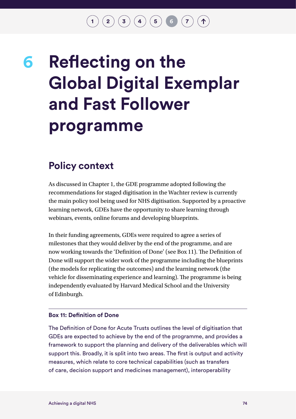$\mathbf{2} \begin{pmatrix} 2 \end{pmatrix} \mathbf{3} \begin{pmatrix} 3 \end{pmatrix} \mathbf{4} \mathbf{) \mathbf{5} \mathbf{) \mathbf{6} \mathbf{0} \mathbf{7}$  $\mathbf{2} \begin{pmatrix} 2 \end{pmatrix} \mathbf{3} \begin{pmatrix} 3 \end{pmatrix} \mathbf{4} \mathbf{) \mathbf{5} \mathbf{) \mathbf{6} \mathbf{0} \mathbf{7}$  $\mathbf{2} \begin{pmatrix} 2 \end{pmatrix} \mathbf{3} \begin{pmatrix} 3 \end{pmatrix} \mathbf{4} \mathbf{) \mathbf{5} \mathbf{) \mathbf{6} \mathbf{0} \mathbf{7}$  $\mathbf{2} \begin{pmatrix} 2 \end{pmatrix} \mathbf{3} \begin{pmatrix} 3 \end{pmatrix} \mathbf{4} \mathbf{) \mathbf{5} \mathbf{) \mathbf{6} \mathbf{0} \mathbf{7}$  $\mathbf{2} \begin{pmatrix} 2 \end{pmatrix} \mathbf{3} \begin{pmatrix} 3 \end{pmatrix} \mathbf{4} \mathbf{) \mathbf{5} \mathbf{) \mathbf{6} \mathbf{0} \mathbf{7}$  $\mathbf{2} \begin{pmatrix} 2 \end{pmatrix} \mathbf{3} \begin{pmatrix} 3 \end{pmatrix} \mathbf{4} \mathbf{) \mathbf{5} \mathbf{) \mathbf{6} \mathbf{0} \mathbf{7}$  $\mathbf{2} \begin{pmatrix} 2 \end{pmatrix} \mathbf{3} \begin{pmatrix} 3 \end{pmatrix} \mathbf{4} \mathbf{) \mathbf{5} \mathbf{) \mathbf{6} \mathbf{0} \mathbf{7}$  $\mathbf{2} \begin{pmatrix} 2 \end{pmatrix} \mathbf{3} \begin{pmatrix} 3 \end{pmatrix} \mathbf{4} \mathbf{) \mathbf{5} \mathbf{) \mathbf{6} \mathbf{0} \mathbf{7}$  $\mathbf{2} \begin{pmatrix} 2 \end{pmatrix} \mathbf{3} \begin{pmatrix} 3 \end{pmatrix} \mathbf{4} \mathbf{) \mathbf{5} \mathbf{) \mathbf{6} \mathbf{0} \mathbf{7}$  $\mathbf{2} \begin{pmatrix} 2 \end{pmatrix} \mathbf{3} \begin{pmatrix} 3 \end{pmatrix} \mathbf{4} \mathbf{) \mathbf{5} \mathbf{) \mathbf{6} \mathbf{0} \mathbf{7}$  $\mathbf{2} \begin{pmatrix} 2 \end{pmatrix} \mathbf{3} \begin{pmatrix} 3 \end{pmatrix} \mathbf{4} \mathbf{) \mathbf{5} \mathbf{) \mathbf{6} \mathbf{0} \mathbf{7}$ 

## <span id="page-75-0"></span>**Reflecting on the Global Digital Exemplar and Fast Follower programme 6**

### **Policy context**

As discussed in Chapter 1, the GDE programme adopted following the recommendations for staged digitisation in the Wachter review is currently the main policy tool being used for NHS digitisation. Supported by a proactive learning network, GDEs have the opportunity to share learning through webinars, events, online forums and developing blueprints.

In their funding agreements, GDEs were required to agree a series of milestones that they would deliver by the end of the programme, and are now working towards the 'Definition of Done' (see Box 11). The Definition of Done will support the wider work of the programme including the blueprints (the models for replicating the outcomes) and the learning network (the vehicle for disseminating experience and learning). The programme is being independently evaluated by Harvard Medical School and the University of Edinburgh.

#### **Box 11: Definition of Done**

The Definition of Done for Acute Trusts outlines the level of digitisation that GDEs are expected to achieve by the end of the programme, and provides a framework to support the planning and delivery of the deliverables which will support this. Broadly, it is split into two areas. The first is output and activity measures, which relate to core technical capabilities (such as transfers of care, decision support and medicines management), interoperability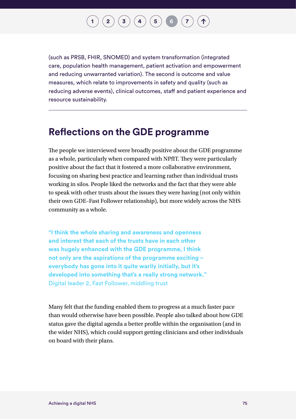(such as PRSB, FHIR, SNOMED) and system transformation (integrated care, population health management, patient activation and empowerment and reducing unwarranted variation). The second is outcome and value measures, which relate to improvements in safety and quality (such as reducing adverse events), clinical outcomes, staff and patient experience and resource sustainability.

### **Reflections on the GDE programme**

The people we interviewed were broadly positive about the GDE programme as a whole, particularly when compared with NPfIT. They were particularly positive about the fact that it fostered a more collaborative environment, focusing on sharing best practice and learning rather than individual trusts working in silos. People liked the networks and the fact that they were able to speak with other trusts about the issues they were having (not only within their own GDE–Fast Follower relationship), but more widely across the NHS community as a whole.

**"I think the whole sharing and awareness and openness and interest that each of the trusts have in each other was hugely enhanced with the GDE programme, I think not only are the aspirations of the programme exciting – everybody has gone into it quite warily initially, but it's developed into something that's a really strong network."**  Digital leader 2, Fast Follower, middling trust

Many felt that the funding enabled them to progress at a much faster pace than would otherwise have been possible. People also talked about how GDE status gave the digital agenda a better profile within the organisation (and in the wider NHS), which could support getting clinicians and other individuals on board with their plans.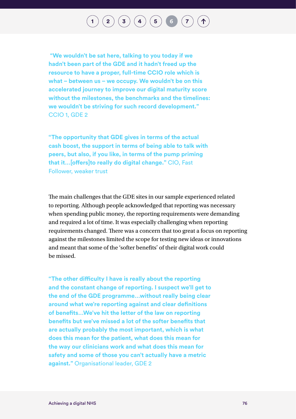**"We wouldn't be sat here, talking to you today if we hadn't been part of the GDE and it hadn't freed up the resource to have a proper, full-time CCIO role which is what – between us – we occupy. We wouldn't be on this accelerated journey to improve our digital maturity score without the milestones, the benchmarks and the timelines: we wouldn't be striving for such record development."**  CCIO 1, GDE 2

**"The opportunity that GDE gives in terms of the actual cash boost, the support in terms of being able to talk with peers, but also, if you like, in terms of the pump priming that it…[offers]to really do digital change."** CIO, Fast Follower, weaker trust

The main challenges that the GDE sites in our sample experienced related to reporting. Although people acknowledged that reporting was necessary when spending public money, the reporting requirements were demanding and required a lot of time. It was especially challenging when reporting requirements changed. There was a concern that too great a focus on reporting against the milestones limited the scope for testing new ideas or innovations and meant that some of the 'softer benefits' of their digital work could be missed.

**"The other difficulty I have is really about the reporting and the constant change of reporting. I suspect we'll get to the end of the GDE programme…without really being clear around what we're reporting against and clear definitions of benefits…We've hit the letter of the law on reporting benefits but we've missed a lot of the softer benefits that are actually probably the most important, which is what does this mean for the patient, what does this mean for the way our clinicians work and what does this mean for safety and some of those you can't actually have a metric against."** Organisational leader, GDE 2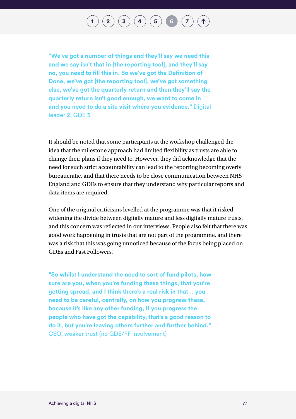**"We've got a number of things and they'll say we need this and we say isn't that in [the reporting tool], and they'll say no, you need to fill this in. So we've got the Definition of Done, we've got [the reporting tool], we've got something else, we've got the quarterly return and then they'll say the quarterly return isn't good enough, we want to come in and you need to do a site visit where you evidence."** Digital leader 2, GDE 3

It should be noted that some participants at the workshop challenged the idea that the milestone approach had limited flexibility as trusts are able to change their plans if they need to. However, they did acknowledge that the need for such strict accountability can lead to the reporting becoming overly bureaucratic, and that there needs to be close communication between NHS England and GDEs to ensure that they understand why particular reports and data items are required.

One of the original criticisms levelled at the programme was that it risked widening the divide between digitally mature and less digitally mature trusts, and this concern was reflected in our interviews. People also felt that there was good work happening in trusts that are not part of the programme, and there was a risk that this was going unnoticed because of the focus being placed on GDEs and Fast Followers.

**"So whilst I understand the need to sort of fund pilots, how sure are you, when you're funding these things, that you're getting spread, and I think there's a real risk in that… you need to be careful, centrally, on how you progress these, because it's like any other funding, if you progress the people who have got the capability, that's a good reason to do it, but you're leaving others further and further behind."**  CEO, weaker trust (no GDE/FF involvement)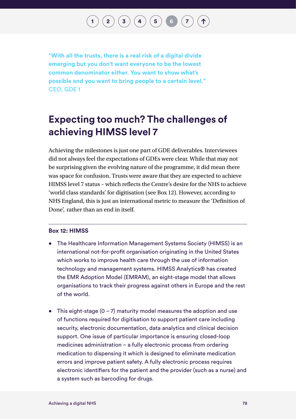$\binom{2}{3}\binom{3}{4}\binom{5}{5}\binom{6}{7}$  $\binom{2}{3}\binom{3}{4}\binom{5}{5}\binom{6}{7}$  $\binom{2}{3}\binom{3}{4}\binom{5}{5}\binom{6}{7}$  $\binom{2}{3}\binom{3}{4}\binom{5}{5}\binom{6}{7}$  $\binom{2}{3}\binom{3}{4}\binom{5}{5}\binom{6}{7}$  $\binom{2}{3}\binom{3}{4}\binom{5}{5}\binom{6}{7}$  $\binom{2}{3}\binom{3}{4}\binom{5}{5}\binom{6}{7}$  $\binom{2}{3}\binom{3}{4}\binom{5}{5}\binom{6}{7}$  $\binom{2}{3}\binom{3}{4}\binom{5}{5}\binom{6}{7}$  $\binom{2}{3}\binom{3}{4}\binom{5}{5}\binom{6}{7}$  $\binom{2}{3}\binom{3}{4}\binom{5}{5}\binom{6}{7}$  $\binom{2}{3}\binom{3}{4}\binom{5}{5}\binom{6}{7}$  $\binom{2}{3}\binom{3}{4}\binom{5}{5}\binom{6}{7}$ 

**"With all the trusts, there is a real risk of a digital divide emerging but you don't want everyone to be the lowest common denominator either. You want to show what's possible and you want to bring people to a certain level."**  CEO, GDE 1

### **Expecting too much? The challenges of achieving HIMSS level 7**

Achieving the milestones is just one part of GDE deliverables. Interviewees did not always feel the expectations of GDEs were clear. While that may not be surprising given the evolving nature of the programme, it did mean there was space for confusion. Trusts were aware that they are expected to achieve HIMSS level 7 status – which reflects the Centre's desire for the NHS to achieve 'world class standards' for digitisation (see Box 12). However, according to NHS England, this is just an international metric to measure the 'Definition of Done', rather than an end in itself.

#### **Box 12: HIMSS**

- The Healthcare Information Management Systems Society (HIMSS) is an international not-for-profit organisation originating in the United States which works to improve health care through the use of information technology and management systems. HIMSS Analytics® has created the EMR Adoption Model (EMRAM), an eight-stage model that allows organisations to track their progress against others in Europe and the rest of the world.
- This eight-stage  $(0 7)$  maturity model measures the adoption and use of functions required for digitisation to support patient care including security, electronic documentation, data analytics and clinical decision support. One issue of particular importance is ensuring closed-loop medicines administration – a fully electronic process from ordering medication to dispensing it which is designed to eliminate medication errors and improve patient safety. A fully electronic process requires electronic identifiers for the patient and the provider (such as a nurse) and a system such as barcoding for drugs.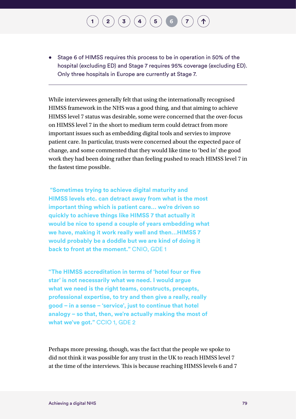#### • Stage 6 of HIMSS requires this process to be in operation in 50% of the hospital (excluding ED) and Stage 7 requires 95% coverage (excluding ED). Only three hospitals in Europe are currently at Stage 7.

 $\mathbf{2} \begin{pmatrix} 2 \end{pmatrix} \mathbf{3} \begin{pmatrix} 3 \end{pmatrix} \mathbf{4} \mathbf{)} \mathbf{6} \mathbf{5} \mathbf{7}$  $\mathbf{2} \begin{pmatrix} 2 \end{pmatrix} \mathbf{3} \begin{pmatrix} 3 \end{pmatrix} \mathbf{4} \mathbf{)} \mathbf{6} \mathbf{5} \mathbf{7}$  $\mathbf{2} \begin{pmatrix} 2 \end{pmatrix} \mathbf{3} \begin{pmatrix} 3 \end{pmatrix} \mathbf{4} \mathbf{)} \mathbf{6} \mathbf{5} \mathbf{7}$  $\mathbf{2} \begin{pmatrix} 2 \end{pmatrix} \mathbf{3} \begin{pmatrix} 3 \end{pmatrix} \mathbf{4} \mathbf{)} \mathbf{6} \mathbf{5} \mathbf{7}$  $\mathbf{2} \begin{pmatrix} 2 \end{pmatrix} \mathbf{3} \begin{pmatrix} 3 \end{pmatrix} \mathbf{4} \mathbf{)} \mathbf{6} \mathbf{5} \mathbf{7}$  $\mathbf{2} \begin{pmatrix} 2 \end{pmatrix} \mathbf{3} \begin{pmatrix} 3 \end{pmatrix} \mathbf{4} \mathbf{)} \mathbf{6} \mathbf{5} \mathbf{7}$  $\mathbf{2} \begin{pmatrix} 2 \end{pmatrix} \mathbf{3} \begin{pmatrix} 3 \end{pmatrix} \mathbf{4} \mathbf{)} \mathbf{6} \mathbf{5} \mathbf{7}$  $\mathbf{2} \begin{pmatrix} 2 \end{pmatrix} \mathbf{3} \begin{pmatrix} 3 \end{pmatrix} \mathbf{4} \mathbf{)} \mathbf{6} \mathbf{5} \mathbf{7}$  $\mathbf{2} \begin{pmatrix} 2 \end{pmatrix} \mathbf{3} \begin{pmatrix} 3 \end{pmatrix} \mathbf{4} \mathbf{)} \mathbf{6} \mathbf{5} \mathbf{7}$  $\mathbf{2} \begin{pmatrix} 2 \end{pmatrix} \mathbf{3} \begin{pmatrix} 3 \end{pmatrix} \mathbf{4} \mathbf{)} \mathbf{6} \mathbf{5} \mathbf{7}$  $\mathbf{2} \begin{pmatrix} 2 \end{pmatrix} \mathbf{3} \begin{pmatrix} 3 \end{pmatrix} \mathbf{4} \mathbf{)} \mathbf{6} \mathbf{5} \mathbf{7}$ 

While interviewees generally felt that using the internationally recognised HIMSS framework in the NHS was a good thing, and that aiming to achieve HIMSS level 7 status was desirable, some were concerned that the over-focus on HIMSS level 7 in the short to medium term could detract from more important issues such as embedding digital tools and servies to improve patient care. In particular, trusts were concerned about the expected pace of change, and some commented that they would like time to 'bed in' the good work they had been doing rather than feeling pushed to reach HIMSS level 7 in the fastest time possible.

 **"Sometimes trying to achieve digital maturity and HIMSS levels etc. can detract away from what is the most important thing which is patient care… we're driven so quickly to achieve things like HIMSS 7 that actually it would be nice to spend a couple of years embedding what we have, making it work really well and then…HIMSS 7 would probably be a doddle but we are kind of doing it back to front at the moment."** CNIO, GDE 1

**"The HIMSS accreditation in terms of 'hotel four or five star' is not necessarily what we need. I would argue what we need is the right teams, constructs, precepts, professional expertise, to try and then give a really, really good – in a sense – 'service', just to continue that hotel analogy – so that, then, we're actually making the most of what we've got."** CCIO 1, GDE 2

Perhaps more pressing, though, was the fact that the people we spoke to did not think it was possible for any trust in the UK to reach HIMSS level 7 at the time of the interviews. This is because reaching HIMSS levels 6 and 7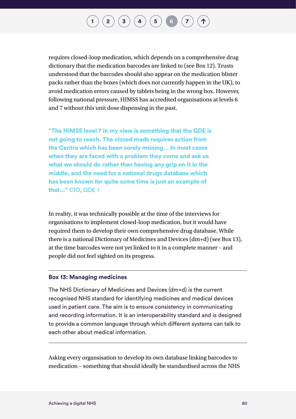requires closed-loop medication, which depends on a comprehensive drug dictionary that the medication barcodes are linked to (see Box 12). Trusts understood that the barcodes should also appear on the medication blister packs rather than the boxes (which does not currently happen in the UK), to avoid medication errors caused by tablets being in the wrong box. However, following national pressure, HIMSS has accredited organisations at levels 6 and 7 without this unit dose dispensing in the past.

**"The HIMSS level 7 in my view is something that the GDE is not going to reach. The closed meds requires action from the Centre which has been sorely missing… In most cases when they are faced with a problem they come and ask us what we should do rather than having any grip on it in the middle, and the need for a national drugs database which has been known for quite some time is just an example of that..."** CIO, GDE 1

In reality, it was technically possible at the time of the interviews for organisations to implement closed-loop medication, but it would have required them to develop their own comprehensive drug database. While there is a national Dictionary of Medicines and Devices (dm+d) (see Box 13), at the time barcodes were not yet linked to it in a complete manner – and people did not feel sighted on its progress.

#### **Box 13: Managing medicines**

The NHS Dictionary of Medicines and Devices (dm+d) is the current recognised NHS standard for identifying medicines and medical devices used in patient care. The aim is to ensure consistency in communicating and recording information. It is an interoperability standard and is designed to provide a common language through which different systems can talk to each other about medical information.

Asking every organsisation to develop its own database linking barcodes to medication – something that should ideally be standardised across the NHS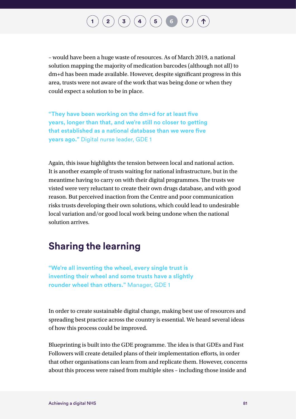– would have been a huge waste of resources. As of March 2019, a national solution mapping the majority of medication barcodes (although not all) to dm+d has been made available. However, despite significant progress in this area, trusts were not aware of the work that was being done or when they could expect a solution to be in place.

**"They have been working on the dm+d for at least five years, longer than that, and we're still no closer to getting that established as a national database than we were five years ago."** Digital nurse leader, GDE 1

Again, this issue highlights the tension between local and national action. It is another example of trusts waiting for national infrastructure, but in the meantime having to carry on with their digital programmes. The trusts we visted were very reluctant to create their own drugs database, and with good reason. But perceived inaction from the Centre and poor communication risks trusts developing their own solutions, which could lead to undesirable local variation and/or good local work being undone when the national solution arrives.

### **Sharing the learning**

**"We're all inventing the wheel, every single trust is inventing their wheel and some trusts have a slightly rounder wheel than others."** Manager, GDE 1

In order to create sustainable digital change, making best use of resources and spreading best practice across the country is essential. We heard several ideas of how this process could be improved.

Blueprinting is built into the GDE programme. The idea is that GDEs and Fast Followers will create detailed plans of their implementation efforts, in order that other organisations can learn from and replicate them. However, concerns about this process were raised from multiple sites – including those inside and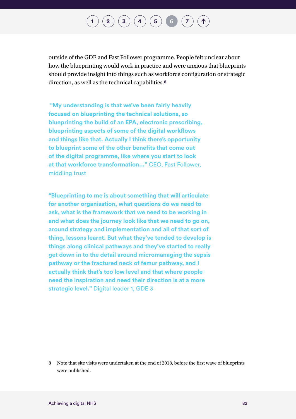## $\binom{2}{3}\binom{3}{4}\binom{5}{5}\binom{6}{7}$  $\binom{2}{3}\binom{3}{4}\binom{5}{5}\binom{6}{7}$  $\binom{2}{3}\binom{3}{4}\binom{5}{5}\binom{6}{7}$  $\binom{2}{3}\binom{3}{4}\binom{5}{5}\binom{6}{7}$  $\binom{2}{3}\binom{3}{4}\binom{5}{5}\binom{6}{7}$  $\binom{2}{3}\binom{3}{4}\binom{5}{5}\binom{6}{7}$  $\binom{2}{3}\binom{3}{4}\binom{5}{5}\binom{6}{7}$  $\binom{2}{3}\binom{3}{4}\binom{5}{5}\binom{6}{7}$  $\binom{2}{3}\binom{3}{4}\binom{5}{5}\binom{6}{7}$  $\binom{2}{3}\binom{3}{4}\binom{5}{5}\binom{6}{7}$  $\binom{2}{3}\binom{3}{4}\binom{5}{5}\binom{6}{7}$  $\binom{2}{3}\binom{3}{4}\binom{5}{5}\binom{6}{7}$  $\binom{2}{3}\binom{3}{4}\binom{5}{5}\binom{6}{7}$

outside of the GDE and Fast Follower programme. People felt unclear about how the blueprinting would work in practice and were anxious that blueprints should provide insight into things such as workforce configuration or strategic direction, as well as the technical capabilities.**8**

 **"My understanding is that we've been fairly heavily focused on blueprinting the technical solutions, so blueprinting the build of an EPA, electronic prescribing, blueprinting aspects of some of the digital workflows and things like that. Actually I think there's opportunity to blueprint some of the other benefits that come out of the digital programme, like where you start to look at that workforce transformation..."** CEO, Fast Follower, middling trust

**"Blueprinting to me is about something that will articulate for another organisation, what questions do we need to ask, what is the framework that we need to be working in and what does the journey look like that we need to go on, around strategy and implementation and all of that sort of thing, lessons learnt. But what they've tended to develop is things along clinical pathways and they've started to really get down in to the detail around micromanaging the sepsis pathway or the fractured neck of femur pathway, and I actually think that's too low level and that where people need the inspiration and need their direction is at a more strategic level."** Digital leader 1, GDE 3

<sup>8</sup> Note that site visits were undertaken at the end of 2018, before the first wave of blueprints were published.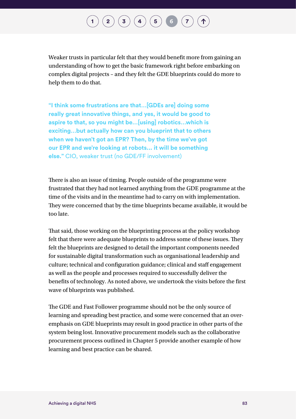## $\mathbf{2}\mathbf{2}\mathbf{3}\mathbf{4}$  $\mathbf{2}\mathbf{2}\mathbf{3}\mathbf{4}$  $\mathbf{2}\mathbf{2}\mathbf{3}\mathbf{4}$  $\mathbf{2}\mathbf{2}\mathbf{3}\mathbf{4}$  $\mathbf{2}\mathbf{2}\mathbf{3}\mathbf{4}$  $\mathbf{2}\mathbf{2}\mathbf{3}\mathbf{4}$  $\mathbf{2}\mathbf{2}\mathbf{3}\mathbf{4}$   $\mathbf{4}\mathbf{5}\mathbf{5}$  $\mathbf{4}\mathbf{5}\mathbf{5}$  $\mathbf{4}\mathbf{5}\mathbf{5}$   $\mathbf{5}\mathbf{6}\mathbf{7}$  $\mathbf{5}\mathbf{6}\mathbf{7}$  $\mathbf{5}\mathbf{6}\mathbf{7}$  $\mathbf{5}\mathbf{6}\mathbf{7}$  $\mathbf{5}\mathbf{6}\mathbf{7}$   $\mathbf{7}\mathbf{7}\mathbf{8}\mathbf{7}$

Weaker trusts in particular felt that they would benefit more from gaining an understanding of how to get the basic framework right before embarking on complex digital projects – and they felt the GDE blueprints could do more to help them to do that.

**"I think some frustrations are that…[GDEs are] doing some really great innovative things, and yes, it would be good to aspire to that, so you might be…[using] robotics…which is exciting…but actually how can you blueprint that to others when we haven't got an EPR? Then, by the time we've got our EPR and we're looking at robots... it will be something else."** CIO, weaker trust (no GDE/FF involvement)

There is also an issue of timing. People outside of the programme were frustrated that they had not learned anything from the GDE programme at the time of the visits and in the meantime had to carry on with implementation. They were concerned that by the time blueprints became available, it would be too late.

That said, those working on the blueprinting process at the policy workshop felt that there were adequate blueprints to address some of these issues. They felt the blueprints are designed to detail the important components needed for sustainable digital transformation such as organisational leadership and culture; technical and configuration guidance; clinical and staff engagement as well as the people and processes required to successfully deliver the benefits of technology. As noted above, we undertook the visits before the first wave of blueprints was published.

The GDE and Fast Follower programme should not be the only source of learning and spreading best practice, and some were concerned that an overemphasis on GDE blueprints may result in good practice in other parts of the system being lost. Innovative procurement models such as the collaborative procurement process outlined in Chapter 5 provide another example of how learning and best practice can be shared.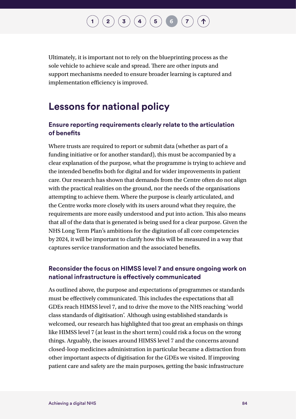## $\binom{2}{3}$  $\binom{2}{3}$  $\binom{2}{3}$  $\binom{2}{3}$  $\binom{2}{3}$   $\binom{3}{4}$  $\binom{3}{4}$  $\binom{3}{4}$   $\binom{5}{5}$  $\binom{5}{5}$  $\binom{5}{5}$   $\binom{6}{7}$  $\binom{6}{7}$  $\binom{6}{7}$  $\binom{6}{7}$  $\binom{6}{7}$

Ultimately, it is important not to rely on the blueprinting process as the sole vehicle to achieve scale and spread. There are other inputs and support mechanisms needed to ensure broader learning is captured and implementation efficiency is improved.

### **Lessons for national policy**

#### **Ensure reporting requirements clearly relate to the articulation of benefits**

Where trusts are required to report or submit data (whether as part of a funding initiative or for another standard), this must be accompanied by a clear explanation of the purpose, what the programme is trying to achieve and the intended benefits both for digital and for wider improvements in patient care. Our research has shown that demands from the Centre often do not align with the practical realities on the ground, nor the needs of the organisations attempting to achieve them. Where the purpose is clearly articulated, and the Centre works more closely with its users around what they require, the requirements are more easily understood and put into action. This also means that all of the data that is generated is being used for a clear purpose. Given the NHS Long Term Plan's ambitions for the digitation of all core competencies by 2024, it will be important to clarify how this will be measured in a way that captures service transformation and the associated benefits.

#### **Reconsider the focus on HIMSS level 7 and ensure ongoing work on national infrastructure is effectively communicated**

As outlined above, the purpose and expectations of programmes or standards must be effectively communicated. This includes the expectations that all GDEs reach HIMSS level 7, and to drive the move to the NHS reaching 'world class standards of digitisation'. Although using established standards is welcomed, our research has highlighted that too great an emphasis on things like HIMSS level 7 (at least in the short term) could risk a focus on the wrong things. Arguably, the issues around HIMSS level 7 and the concerns around closed-loop medicines administration in particular became a distraction from other important aspects of digitisation for the GDEs we visited. If improving patient care and safety are the main purposes, getting the basic infrastructure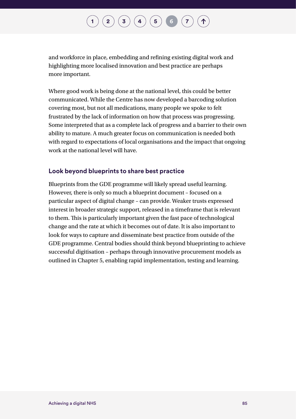and workforce in place, embedding and refining existing digital work and highlighting more localised innovation and best practice are perhaps more important.

Where good work is being done at the national level, this could be better communicated. While the Centre has now developed a barcoding solution covering most, but not all medications, many people we spoke to felt frustrated by the lack of information on how that process was progressing. Some interpreted that as a complete lack of progress and a barrier to their own ability to mature. A much greater focus on communication is needed both with regard to expectations of local organisations and the impact that ongoing work at the national level will have.

#### **Look beyond blueprints to share best practice**

Blueprints from the GDE programme will likely spread useful learning. However, there is only so much a blueprint document – focused on a particular aspect of digital change – can provide. Weaker trusts expressed interest in broader strategic support, released in a timeframe that is relevant to them. This is particularly important given the fast pace of technological change and the rate at which it becomes out of date. It is also important to look for ways to capture and disseminate best practice from outside of the GDE programme. Central bodies should think beyond blueprinting to achieve successful digitisation – perhaps through innovative procurement models as outlined in Chapter 5, enabling rapid implementation, testing and learning.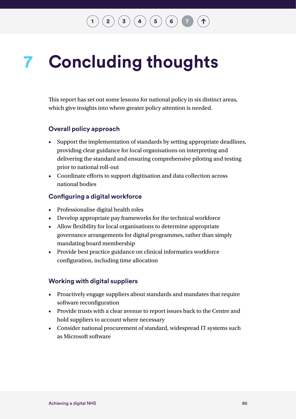## $\mathbf{2} \left( \mathbf{2} \right) \left( \mathbf{3} \right) \left( \mathbf{4} \right) \left( \mathbf{5} \right) \left( \mathbf{6} \right)$  $\mathbf{2} \left( \mathbf{2} \right) \left( \mathbf{3} \right) \left( \mathbf{4} \right) \left( \mathbf{5} \right) \left( \mathbf{6} \right)$  $\mathbf{2} \left( \mathbf{2} \right) \left( \mathbf{3} \right) \left( \mathbf{4} \right) \left( \mathbf{5} \right) \left( \mathbf{6} \right)$  $\mathbf{2} \left( \mathbf{2} \right) \left( \mathbf{3} \right) \left( \mathbf{4} \right) \left( \mathbf{5} \right) \left( \mathbf{6} \right)$  $\mathbf{2} \left( \mathbf{2} \right) \left( \mathbf{3} \right) \left( \mathbf{4} \right) \left( \mathbf{5} \right) \left( \mathbf{6} \right)$  $\mathbf{2} \left( \mathbf{2} \right) \left( \mathbf{3} \right) \left( \mathbf{4} \right) \left( \mathbf{5} \right) \left( \mathbf{6} \right)$  $\mathbf{2} \left( \mathbf{2} \right) \left( \mathbf{3} \right) \left( \mathbf{4} \right) \left( \mathbf{5} \right) \left( \mathbf{6} \right)$  $\mathbf{2} \left( \mathbf{2} \right) \left( \mathbf{3} \right) \left( \mathbf{4} \right) \left( \mathbf{5} \right) \left( \mathbf{6} \right)$  $\mathbf{2} \left( \mathbf{2} \right) \left( \mathbf{3} \right) \left( \mathbf{4} \right) \left( \mathbf{5} \right) \left( \mathbf{6} \right)$  $\mathbf{2} \left( \mathbf{2} \right) \left( \mathbf{3} \right) \left( \mathbf{4} \right) \left( \mathbf{5} \right) \left( \mathbf{6} \right)$  $\mathbf{2} \left( \mathbf{2} \right) \left( \mathbf{3} \right) \left( \mathbf{4} \right) \left( \mathbf{5} \right) \left( \mathbf{6} \right)$

### <span id="page-87-0"></span>**Concluding thoughts 7**

This report has set out some lessons for national policy in six distinct areas, which give insights into where greater policy attention is needed.

#### **Overall policy approach**

- Support the implementation of standards by setting appropriate deadlines, providing clear guidance for local organisations on interpreting and delivering the standard and ensuring comprehensive piloting and testing prior to national roll-out
- Coordinate efforts to support digitisation and data collection across national bodies

#### **Configuring a digital workforce**

- Professionalise digital health roles
- Develop appropriate pay frameworks for the technical workforce
- Allow flexibility for local organisations to determine appropriate governance arrangements for digital programmes, rather than simply mandating board membership
- Provide best practice guidance on clinical informatics workforce configuration, including time allocation

#### **Working with digital suppliers**

- Proactively engage suppliers about standards and mandates that require software reconfiguration
- Provide trusts with a clear avenue to report issues back to the Centre and hold suppliers to account where necessary
- Consider national procurement of standard, widespread IT systems such as Microsoft software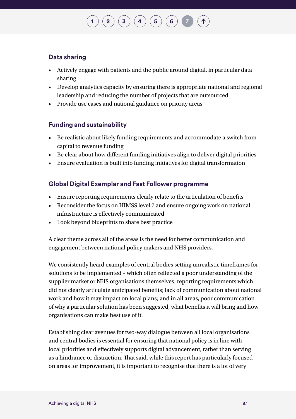## $\mathbf{2} \left( \mathbf{2} \right) \left( \mathbf{3} \right) \left( \mathbf{4} \right) \left( \mathbf{5} \right) \left( \mathbf{6} \right)$  $\mathbf{2} \left( \mathbf{2} \right) \left( \mathbf{3} \right) \left( \mathbf{4} \right) \left( \mathbf{5} \right) \left( \mathbf{6} \right)$  $\mathbf{2} \left( \mathbf{2} \right) \left( \mathbf{3} \right) \left( \mathbf{4} \right) \left( \mathbf{5} \right) \left( \mathbf{6} \right)$  $\mathbf{2} \left( \mathbf{2} \right) \left( \mathbf{3} \right) \left( \mathbf{4} \right) \left( \mathbf{5} \right) \left( \mathbf{6} \right)$  $\mathbf{2} \left( \mathbf{2} \right) \left( \mathbf{3} \right) \left( \mathbf{4} \right) \left( \mathbf{5} \right) \left( \mathbf{6} \right)$  $\mathbf{2} \left( \mathbf{2} \right) \left( \mathbf{3} \right) \left( \mathbf{4} \right) \left( \mathbf{5} \right) \left( \mathbf{6} \right)$  $\mathbf{2} \left( \mathbf{2} \right) \left( \mathbf{3} \right) \left( \mathbf{4} \right) \left( \mathbf{5} \right) \left( \mathbf{6} \right)$  $\mathbf{2} \left( \mathbf{2} \right) \left( \mathbf{3} \right) \left( \mathbf{4} \right) \left( \mathbf{5} \right) \left( \mathbf{6} \right)$  $\mathbf{2} \left( \mathbf{2} \right) \left( \mathbf{3} \right) \left( \mathbf{4} \right) \left( \mathbf{5} \right) \left( \mathbf{6} \right)$  $\mathbf{2} \left( \mathbf{2} \right) \left( \mathbf{3} \right) \left( \mathbf{4} \right) \left( \mathbf{5} \right) \left( \mathbf{6} \right)$  $\mathbf{2} \left( \mathbf{2} \right) \left( \mathbf{3} \right) \left( \mathbf{4} \right) \left( \mathbf{5} \right) \left( \mathbf{6} \right)$

#### **Data sharing**

- Actively engage with patients and the public around digital, in particular data sharing
- Develop analytics capacity by ensuring there is appropriate national and regional leadership and reducing the number of projects that are outsourced
- Provide use cases and national guidance on priority areas

#### **Funding and sustainability**

- Be realistic about likely funding requirements and accommodate a switch from capital to revenue funding
- Be clear about how different funding initiatives align to deliver digital priorities
- Ensure evaluation is built into funding initiatives for digital transformation

#### **Global Digital Exemplar and Fast Follower programme**

- Ensure reporting requirements clearly relate to the articulation of benefits
- Reconsider the focus on HIMSS level 7 and ensure ongoing work on national infrastructure is effectively communicated
- Look beyond blueprints to share best practice

A clear theme across all of the areas is the need for better communication and engagement between national policy makers and NHS providers.

We consistently heard examples of central bodies setting unrealistic timeframes for solutions to be implemented – which often reflected a poor understanding of the supplier market or NHS organisations themselves; reporting requirements which did not clearly articulate anticipated benefits; lack of communication about national work and how it may impact on local plans; and in all areas, poor communication of why a particular solution has been suggested, what benefits it will bring and how organisations can make best use of it.

Establishing clear avenues for two-way dialogue between all local organisations and central bodies is essential for ensuring that national policy is in line with local priorities and effectively supports digital advancement, rather than serving as a hindrance or distraction. That said, while this report has particularly focused on areas for improvement, it is important to recognise that there is a lot of very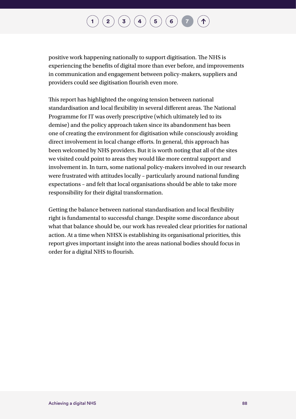## $\left( \begin{matrix} \textbf{2} \end{matrix} \right) \left( \begin{matrix} \textbf{3} \end{matrix} \right) \left( \begin{matrix} \textbf{4} \end{matrix} \right) \left( \begin{matrix} \textbf{5} \end{matrix} \right) \left( \begin{matrix} \textbf{6} \end{matrix} \right)$  $\left( \begin{matrix} \textbf{2} \end{matrix} \right) \left( \begin{matrix} \textbf{3} \end{matrix} \right) \left( \begin{matrix} \textbf{4} \end{matrix} \right) \left( \begin{matrix} \textbf{5} \end{matrix} \right) \left( \begin{matrix} \textbf{6} \end{matrix} \right)$  $\left( \begin{matrix} \textbf{2} \end{matrix} \right) \left( \begin{matrix} \textbf{3} \end{matrix} \right) \left( \begin{matrix} \textbf{4} \end{matrix} \right) \left( \begin{matrix} \textbf{5} \end{matrix} \right) \left( \begin{matrix} \textbf{6} \end{matrix} \right)$  $\left( \begin{matrix} \textbf{2} \end{matrix} \right) \left( \begin{matrix} \textbf{3} \end{matrix} \right) \left( \begin{matrix} \textbf{4} \end{matrix} \right) \left( \begin{matrix} \textbf{5} \end{matrix} \right) \left( \begin{matrix} \textbf{6} \end{matrix} \right)$  $\left( \begin{matrix} \textbf{2} \end{matrix} \right) \left( \begin{matrix} \textbf{3} \end{matrix} \right) \left( \begin{matrix} \textbf{4} \end{matrix} \right) \left( \begin{matrix} \textbf{5} \end{matrix} \right) \left( \begin{matrix} \textbf{6} \end{matrix} \right)$  $\left( \begin{matrix} \textbf{2} \end{matrix} \right) \left( \begin{matrix} \textbf{3} \end{matrix} \right) \left( \begin{matrix} \textbf{4} \end{matrix} \right) \left( \begin{matrix} \textbf{5} \end{matrix} \right) \left( \begin{matrix} \textbf{6} \end{matrix} \right)$  $\left( \begin{matrix} \textbf{2} \end{matrix} \right) \left( \begin{matrix} \textbf{3} \end{matrix} \right) \left( \begin{matrix} \textbf{4} \end{matrix} \right) \left( \begin{matrix} \textbf{5} \end{matrix} \right) \left( \begin{matrix} \textbf{6} \end{matrix} \right)$  $\left( \begin{matrix} \textbf{2} \end{matrix} \right) \left( \begin{matrix} \textbf{3} \end{matrix} \right) \left( \begin{matrix} \textbf{4} \end{matrix} \right) \left( \begin{matrix} \textbf{5} \end{matrix} \right) \left( \begin{matrix} \textbf{6} \end{matrix} \right)$  $\left( \begin{matrix} \textbf{2} \end{matrix} \right) \left( \begin{matrix} \textbf{3} \end{matrix} \right) \left( \begin{matrix} \textbf{4} \end{matrix} \right) \left( \begin{matrix} \textbf{5} \end{matrix} \right) \left( \begin{matrix} \textbf{6} \end{matrix} \right)$  $\left( \begin{matrix} \textbf{2} \end{matrix} \right) \left( \begin{matrix} \textbf{3} \end{matrix} \right) \left( \begin{matrix} \textbf{4} \end{matrix} \right) \left( \begin{matrix} \textbf{5} \end{matrix} \right) \left( \begin{matrix} \textbf{6} \end{matrix} \right)$  $\left( \begin{matrix} \textbf{2} \end{matrix} \right) \left( \begin{matrix} \textbf{3} \end{matrix} \right) \left( \begin{matrix} \textbf{4} \end{matrix} \right) \left( \begin{matrix} \textbf{5} \end{matrix} \right) \left( \begin{matrix} \textbf{6} \end{matrix} \right)$

positive work happening nationally to support digitisation. The NHS is experiencing the benefits of digital more than ever before, and improvements in communication and engagement between policy-makers, suppliers and providers could see digitisation flourish even more.

This report has highlighted the ongoing tension between national standardisation and local flexibility in several different areas. The National Programme for IT was overly prescriptive (which ultimately led to its demise) and the policy approach taken since its abandonment has been one of creating the environment for digitisation while consciously avoiding direct involvement in local change efforts. In general, this approach has been welcomed by NHS providers. But it is worth noting that all of the sites we visited could point to areas they would like more central support and involvement in. In turn, some national policy-makers involved in our research were frustrated with attitudes locally – particularly around national funding expectations – and felt that local organisations should be able to take more responsibility for their digital transformation.

Getting the balance between national standardisation and local flexibility right is fundamental to successful change. Despite some discordance about what that balance should be, our work has revealed clear priorities for national action. At a time when NHSX is establishing its organisational priorities, this report gives important insight into the areas national bodies should focus in order for a digital NHS to flourish.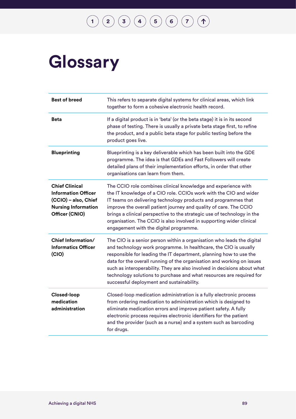# **Glossary**

| <b>Best of breed</b>                                                                                                        | This refers to separate digital systems for clinical areas, which link<br>together to form a cohesive electronic health record.                                                                                                                                                                                                                                                                                                                                                             |
|-----------------------------------------------------------------------------------------------------------------------------|---------------------------------------------------------------------------------------------------------------------------------------------------------------------------------------------------------------------------------------------------------------------------------------------------------------------------------------------------------------------------------------------------------------------------------------------------------------------------------------------|
| <b>Beta</b>                                                                                                                 | If a digital product is in 'beta' (or the beta stage) it is in its second<br>phase of testing. There is usually a private beta stage first, to refine<br>the product, and a public beta stage for public testing before the<br>product goes live.                                                                                                                                                                                                                                           |
| <b>Blueprinting</b>                                                                                                         | Blueprinting is a key deliverable which has been built into the GDE<br>programme. The idea is that GDEs and Fast Followers will create<br>detailed plans of their implementation efforts, in order that other<br>organisations can learn from them.                                                                                                                                                                                                                                         |
| <b>Chief Clinical</b><br><b>Information Officer</b><br>(CCIO) - also, Chief<br><b>Nursing Information</b><br>Officer (CNIO) | The CCIO role combines clinical knowledge and experience with<br>the IT knowledge of a CIO role. CCIOs work with the CIO and wider<br>IT teams on delivering technology products and programmes that<br>improve the overall patient journey and quality of care. The CCIO<br>brings a clinical perspective to the strategic use of technology in the<br>organisation. The CCIO is also involved in supporting wider clinical<br>engagement with the digital programme.                      |
| <b>Chief Information/</b><br><b>Informatics Officer</b><br>(CIO)                                                            | The CIO is a senior person within a organisation who leads the digital<br>and technology work programme. In healthcare, the CIO is usually<br>responsible for leading the IT department, planning how to use the<br>data for the overall running of the organisation and working on issues<br>such as interoperability. They are also involved in decisions about what<br>technology solutions to purchase and what resources are required for<br>successful deployment and sustainability. |
| Closed-loop<br>medication<br>administration                                                                                 | Closed-loop medication administration is a fully electronic process<br>from ordering medication to administration which is designed to<br>eliminate medication errors and improve patient safety. A fully<br>electronic process requires electronic identifiers for the patient<br>and the provider (such as a nurse) and a system such as barcoding<br>for drugs.                                                                                                                          |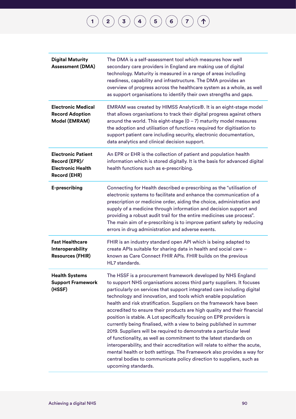| <b>Digital Maturity</b><br><b>Assessment (DMA)</b>                                     | The DMA is a self-assessment tool which measures how well<br>secondary care providers in England are making use of digital<br>technology. Maturity is measured in a range of areas including<br>readiness, capability and infrastructure. The DMA provides an<br>overview of progress across the healthcare system as a whole, as well<br>as support organisations to identify their own strengths and gaps.                                                                                                                                                                                                                                                                                                                                                                                                                                                                                                                                                                         |
|----------------------------------------------------------------------------------------|--------------------------------------------------------------------------------------------------------------------------------------------------------------------------------------------------------------------------------------------------------------------------------------------------------------------------------------------------------------------------------------------------------------------------------------------------------------------------------------------------------------------------------------------------------------------------------------------------------------------------------------------------------------------------------------------------------------------------------------------------------------------------------------------------------------------------------------------------------------------------------------------------------------------------------------------------------------------------------------|
| <b>Electronic Medical</b><br><b>Record Adoption</b><br>Model (EMRAM)                   | EMRAM was created by HIMSS Analytics®. It is an eight-stage model<br>that allows organisations to track their digital progress against others<br>around the world. This eight-stage $(0 - 7)$ maturity model measures<br>the adoption and utilisation of functions required for digitisation to<br>support patient care including security, electronic documentation,<br>data analytics and clinical decision support.                                                                                                                                                                                                                                                                                                                                                                                                                                                                                                                                                               |
| <b>Electronic Patient</b><br>Record (EPR)/<br><b>Electronic Health</b><br>Record (EHR) | An EPR or EHR is the collection of patient and population health<br>information which is stored digitally. It is the basis for advanced digital<br>health functions such as e-prescribing.                                                                                                                                                                                                                                                                                                                                                                                                                                                                                                                                                                                                                                                                                                                                                                                           |
| E-prescribing                                                                          | Connecting for Health described e-prescribing as the "utilisation of<br>electronic systems to facilitate and enhance the communication of a<br>prescription or medicine order, aiding the choice, administration and<br>supply of a medicine through information and decision support and<br>providing a robust audit trail for the entire medicines use process".<br>The main aim of e-prescribing is to improve patient safety by reducing<br>errors in drug administration and adverse events.                                                                                                                                                                                                                                                                                                                                                                                                                                                                                    |
| <b>Fast Healthcare</b><br>Interoperability<br><b>Resources (FHIR)</b>                  | FHIR is an industry standard open API which is being adapted to<br>create APIs suitable for sharing data in health and social care -<br>known as Care Connect FHIR APIs. FHIR builds on the previous<br>HL7 standards.                                                                                                                                                                                                                                                                                                                                                                                                                                                                                                                                                                                                                                                                                                                                                               |
| <b>Health Systems</b><br><b>Support Framework</b><br>(HSSF)                            | The HSSF is a procurement framework developed by NHS England<br>to support NHS organisations access third party suppliers. It focuses<br>particularly on services that support integrated care including digital<br>technology and innovation, and tools which enable population<br>health and risk stratification. Suppliers on the framework have been<br>accredited to ensure their products are high quality and their financial<br>position is stable. A Lot specifically focusing on EPR providers is<br>currently being finalised, with a view to being published in summer<br>2019. Suppliers will be required to demonstrate a particular level<br>of functionality, as well as commitment to the latest standards on<br>interoperability, and their accreditation will relate to either the acute,<br>mental health or both settings. The Framework also provides a way for<br>central bodies to communicate policy direction to suppliers, such as<br>upcoming standards. |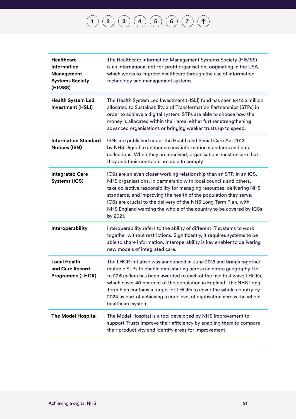| <b>Healthcare</b><br><b>Information</b><br>Management<br><b>Systems Society</b><br>(HIMSS) | The Healthcare Information Management Systems Society (HIMSS)<br>is an international not-for-profit organisation, originating in the USA,<br>which works to improve healthcare through the use of information<br>technology and management systems.                                                                                                                                                                                                               |
|--------------------------------------------------------------------------------------------|-------------------------------------------------------------------------------------------------------------------------------------------------------------------------------------------------------------------------------------------------------------------------------------------------------------------------------------------------------------------------------------------------------------------------------------------------------------------|
| <b>Health System Led</b><br>Investment (HSLI)                                              | The Health System Led Investment (HSLI) fund has seen £412.5 million<br>allocated to Sustainability and Transformation Partnerships (STPs) in<br>order to achieve a digital system. STPs are able to choose how the<br>money is allocated within their area, either further strengthening<br>advanced organisations or bringing weaker trusts up to speed.                                                                                                        |
| <b>Information Standard</b><br><b>Notices (ISN)</b>                                        | ISNs are published under the Health and Social Care Act 2012<br>by NHS Digital to announce new information standards and data<br>collections. When they are received, organisations must ensure that<br>they and their contracts are able to comply.                                                                                                                                                                                                              |
| <b>Integrated Care</b><br>Systems (ICS)                                                    | ICSs are an even closer working relationship than an STP. In an ICS,<br>NHS organisations, in partnership with local councils and others,<br>take collective responsibility for managing resources, delivering NHS<br>standards, and improving the health of the population they serve.<br>ICSs are crucial to the delivery of the NHS Long Term Plan, with<br>NHS England wanting the whole of the country to be covered by ICSs<br>by 2021.                     |
| Interoperability                                                                           | Interoperability refers to the ability of different IT systems to work<br>together without restrictions. Significantly, it requires systems to be<br>able to share information. Interoperability is key enabler to delivering<br>new models of integrated care.                                                                                                                                                                                                   |
| <b>Local Health</b><br>and Care Record<br>Programme (LHCR)                                 | The LHCR initiative was announced in June 2018 and brings together<br>multiple STPs to enable data sharing across an entire geography. Up<br>to £7.5 million has been awarded to each of the five first wave LHCRs,<br>which cover 40 per cent of the population in England. The NHS Long<br>Term Plan contains a target for LHCRs to cover the whole country by<br>2024 as part of achieving a core level of digitisation across the whole<br>healthcare system. |
| <b>The Model Hospital</b>                                                                  | The Model Hospital is a tool developed by NHS Improvement to<br>support Trusts improve their efficiency by enabling them to compare<br>their productivity and identify areas for improvement.                                                                                                                                                                                                                                                                     |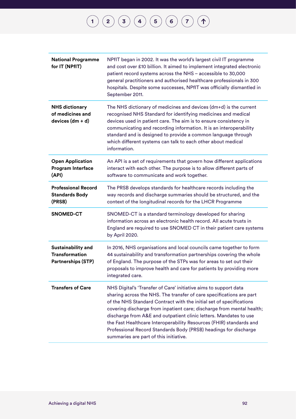| <b>National Programme</b><br>for IT (NPfIT)                                     | NPfIT began in 2002. It was the world's largest civil IT programme<br>and cost over £10 billion. It aimed to implement integrated electronic<br>patient record systems across the NHS - accessible to 30,000<br>general practitioners and authorised healthcare professionals in 300<br>hospitals. Despite some successes, NPfIT was officially dismantled in<br>September 2011.                                                                                                                                                                   |
|---------------------------------------------------------------------------------|----------------------------------------------------------------------------------------------------------------------------------------------------------------------------------------------------------------------------------------------------------------------------------------------------------------------------------------------------------------------------------------------------------------------------------------------------------------------------------------------------------------------------------------------------|
| <b>NHS dictionary</b><br>of medicines and<br>devices $(dm + d)$                 | The NHS dictionary of medicines and devices $(dm+d)$ is the current<br>recognised NHS Standard for identifying medicines and medical<br>devices used in patient care. The aim is to ensure consistency in<br>communicating and recording information. It is an interoperability<br>standard and is designed to provide a common language through<br>which different systems can talk to each other about medical<br>information.                                                                                                                   |
| <b>Open Application</b><br><b>Program Interface</b><br>(API)                    | An API is a set of requirements that govern how different applications<br>interact with each other. The purpose is to allow different parts of<br>software to communicate and work together.                                                                                                                                                                                                                                                                                                                                                       |
| <b>Professional Record</b><br><b>Standards Body</b><br>(PRSB)                   | The PRSB develops standards for healthcare records including the<br>way records and discharge summaries should be structured, and the<br>context of the longitudinal records for the LHCR Programme                                                                                                                                                                                                                                                                                                                                                |
| <b>SNOMED-CT</b>                                                                | SNOMED-CT is a standard terminology developed for sharing<br>information across an electronic health record. All acute trusts in<br>England are required to use SNOMED CT in their patient care systems<br>by April 2020.                                                                                                                                                                                                                                                                                                                          |
| <b>Sustainability and</b><br><b>Transformation</b><br><b>Partnerships (STP)</b> | In 2016, NHS organisations and local councils came together to form<br>44 sustainability and transformation partnerships covering the whole<br>of England. The purpose of the STPs was for areas to set out their<br>proposals to improve health and care for patients by providing more<br>integrated care.                                                                                                                                                                                                                                       |
| <b>Transfers of Care</b>                                                        | NHS Digital's 'Transfer of Care' initiative aims to support data<br>sharing across the NHS. The transfer of care specifications are part<br>of the NHS Standard Contract with the initial set of specifications<br>covering discharge from inpatient care; discharge from mental health;<br>discharge from A&E and outpatient clinic letters. Mandates to use<br>the Fast Healthcare Interoperability Resources (FHIR) standards and<br>Professional Record Standards Body (PRSB) headings for discharge<br>summaries are part of this initiative. |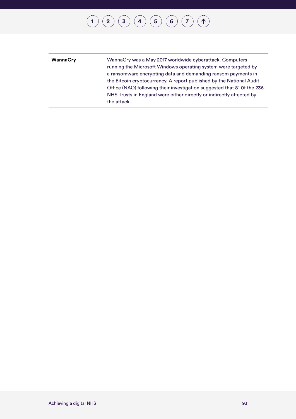| WannaCry | WannaCry was a May 2017 worldwide cyberattack. Computers                |
|----------|-------------------------------------------------------------------------|
|          | running the Microsoft Windows operating system were targeted by         |
|          | a ransomware encrypting data and demanding ransom payments in           |
|          | the Bitcoin cryptocurrency. A report published by the National Audit    |
|          | Office (NAO) following their investigation suggested that 81 Of the 236 |
|          | NHS Trusts in England were either directly or indirectly affected by    |
|          | the attack.                                                             |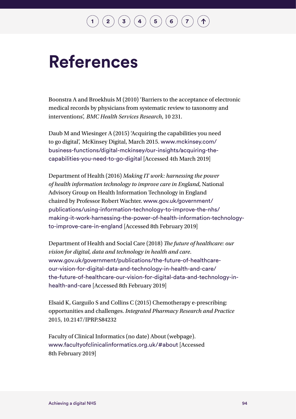## $\binom{2}{\frac{3}{4}}\binom{4}{\frac{5}{6}}\binom{6}{7}$  $\binom{2}{\frac{3}{4}}\binom{4}{\frac{5}{6}}\binom{6}{7}$  $\binom{2}{\frac{3}{4}}\binom{4}{\frac{5}{6}}\binom{6}{7}$  $\binom{2}{\frac{3}{4}}\binom{4}{\frac{5}{6}}\binom{6}{7}$  $\binom{2}{\frac{3}{4}}\binom{4}{\frac{5}{6}}\binom{6}{7}$  $\binom{2}{\frac{3}{4}}\binom{4}{\frac{5}{6}}\binom{6}{7}$  $\binom{2}{\frac{3}{4}}\binom{4}{\frac{5}{6}}\binom{6}{7}$  $\binom{2}{\frac{3}{4}}\binom{4}{\frac{5}{6}}\binom{6}{7}$  $\binom{2}{\frac{3}{4}}\binom{4}{\frac{5}{6}}\binom{6}{7}$  $\binom{2}{\frac{3}{4}}\binom{4}{\frac{5}{6}}\binom{6}{7}$  $\binom{2}{\frac{3}{4}}\binom{4}{\frac{5}{6}}\binom{6}{7}$  $\binom{2}{\frac{3}{4}}\binom{4}{\frac{5}{6}}\binom{6}{7}$  $\binom{2}{\frac{3}{4}}\binom{4}{\frac{5}{6}}\binom{6}{7}$

# **References**

Boonstra A and Broekhuis M (2010) 'Barriers to the acceptance of electronic medical records by physicians from systematic review to taxonomy and interventions', *BMC Health Services Research*, 10 231.

Daub M and Wiesinger A (2015) 'Acquiring the capabilities you need to go digital', McKinsey Digital, March 2015. [www.mckinsey.com/](http://www.mckinsey.com/business-functions/digital-mckinsey/our-insights/acquiring-the-capabilities-you-need-to-go-digital) [business-functions/digital-mckinsey/our-insights/acquiring-the](http://www.mckinsey.com/business-functions/digital-mckinsey/our-insights/acquiring-the-capabilities-you-need-to-go-digital)[capabilities-you-need-to-go-digital](http://www.mckinsey.com/business-functions/digital-mckinsey/our-insights/acquiring-the-capabilities-you-need-to-go-digital) [Accessed 4th March 2019]

Department of Health (2016) *Making IT work: harnessing the power of health information technology to improve care in England*, National Advisory Group on Health Information Technology in England chaired by Professor Robert Wachter. [www.gov.uk/government/](http://www.gov.uk/government/publications/using-information-technology-to-improve-the-nhs/making-it-work-harnessing-the-power-of-health-information-technology-to-improve-care-in-england) [publications/using-information-technology-to-improve-the-nhs/](http://www.gov.uk/government/publications/using-information-technology-to-improve-the-nhs/making-it-work-harnessing-the-power-of-health-information-technology-to-improve-care-in-england) [making-it-work-harnessing-the-power-of-health-information-technology](http://www.gov.uk/government/publications/using-information-technology-to-improve-the-nhs/making-it-work-harnessing-the-power-of-health-information-technology-to-improve-care-in-england)[to-improve-care-in-england](http://www.gov.uk/government/publications/using-information-technology-to-improve-the-nhs/making-it-work-harnessing-the-power-of-health-information-technology-to-improve-care-in-england) [Accessed 8th February 2019]

Department of Health and Social Care (2018) *The future of healthcare: our vision for digital, data and technology in health and care*. [www.gov.uk/government/publications/the-future-of-healthcare](http://www.gov.uk/government/publications/the-future-of-healthcare-our-vision-for-digital-data-and-technology-in-health-and-care/the-future-of-healthcare-our-vision-for-digital-data-and-technology-in-health-and-care)[our-vision-for-digital-data-and-technology-in-health-and-care/](http://www.gov.uk/government/publications/the-future-of-healthcare-our-vision-for-digital-data-and-technology-in-health-and-care/the-future-of-healthcare-our-vision-for-digital-data-and-technology-in-health-and-care) [the-future-of-healthcare-our-vision-for-digital-data-and-technology-in](http://www.gov.uk/government/publications/the-future-of-healthcare-our-vision-for-digital-data-and-technology-in-health-and-care/the-future-of-healthcare-our-vision-for-digital-data-and-technology-in-health-and-care)[health-and-care](http://www.gov.uk/government/publications/the-future-of-healthcare-our-vision-for-digital-data-and-technology-in-health-and-care/the-future-of-healthcare-our-vision-for-digital-data-and-technology-in-health-and-care) [Accessed 8th February 2019]

Elsaid K, Garguilo S and Collins C (2015) Chemotherapy e-prescribing: opportunities and challenges. *Integrated Pharmacy Research and Practice* 2015, 10.2147/IPRP.S84232

Faculty of Clinical Informatics (no date) About (webpage). [www.facultyofclinicalinformatics.org.uk/#about](http://www.facultyofclinicalinformatics.org.uk/#about) [Accessed 8th February 2019]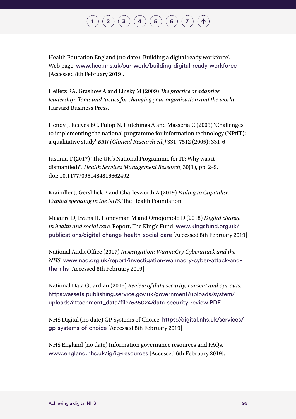## $\mathbf{2} \left( \mathbf{3} \right) \left( \mathbf{3} \right) \left( \mathbf{4} \right) \left( \mathbf{5} \right) \left( \mathbf{6} \right) \left( \mathbf{7} \right)$  $\mathbf{2} \left( \mathbf{3} \right) \left( \mathbf{3} \right) \left( \mathbf{4} \right) \left( \mathbf{5} \right) \left( \mathbf{6} \right) \left( \mathbf{7} \right)$  $\mathbf{2} \left( \mathbf{3} \right) \left( \mathbf{3} \right) \left( \mathbf{4} \right) \left( \mathbf{5} \right) \left( \mathbf{6} \right) \left( \mathbf{7} \right)$  $\mathbf{2} \left( \mathbf{3} \right) \left( \mathbf{3} \right) \left( \mathbf{4} \right) \left( \mathbf{5} \right) \left( \mathbf{6} \right) \left( \mathbf{7} \right)$  $\mathbf{2} \left( \mathbf{3} \right) \left( \mathbf{3} \right) \left( \mathbf{4} \right) \left( \mathbf{5} \right) \left( \mathbf{6} \right) \left( \mathbf{7} \right)$  $\mathbf{2} \left( \mathbf{3} \right) \left( \mathbf{3} \right) \left( \mathbf{4} \right) \left( \mathbf{5} \right) \left( \mathbf{6} \right) \left( \mathbf{7} \right)$  $\mathbf{2} \left( \mathbf{3} \right) \left( \mathbf{3} \right) \left( \mathbf{4} \right) \left( \mathbf{5} \right) \left( \mathbf{6} \right) \left( \mathbf{7} \right)$  $\mathbf{2} \left( \mathbf{3} \right) \left( \mathbf{3} \right) \left( \mathbf{4} \right) \left( \mathbf{5} \right) \left( \mathbf{6} \right) \left( \mathbf{7} \right)$  $\mathbf{2} \left( \mathbf{3} \right) \left( \mathbf{3} \right) \left( \mathbf{4} \right) \left( \mathbf{5} \right) \left( \mathbf{6} \right) \left( \mathbf{7} \right)$  $\mathbf{2} \left( \mathbf{3} \right) \left( \mathbf{3} \right) \left( \mathbf{4} \right) \left( \mathbf{5} \right) \left( \mathbf{6} \right) \left( \mathbf{7} \right)$  $\mathbf{2} \left( \mathbf{3} \right) \left( \mathbf{3} \right) \left( \mathbf{4} \right) \left( \mathbf{5} \right) \left( \mathbf{6} \right) \left( \mathbf{7} \right)$  $\mathbf{2} \left( \mathbf{3} \right) \left( \mathbf{3} \right) \left( \mathbf{4} \right) \left( \mathbf{5} \right) \left( \mathbf{6} \right) \left( \mathbf{7} \right)$  $\mathbf{2} \left( \mathbf{3} \right) \left( \mathbf{3} \right) \left( \mathbf{4} \right) \left( \mathbf{5} \right) \left( \mathbf{6} \right) \left( \mathbf{7} \right)$

Health Education England (no date) 'Building a digital ready workforce'. Web page. [www.hee.nhs.uk/our-work/building-digital-ready-workforce](http://www.hee.nhs.uk/our-work/building-digital-ready-workforce) [Accessed 8th February 2019].

Heifetz RA, Grashow A and Linsky M (2009) *The practice of adaptive leadership: Tools and tactics for changing your organization and the world*. Harvard Business Press.

Hendy J, Reeves BC, Fulop N, Hutchings A and Masseria C (2005) 'Challenges to implementing the national programme for information technology (NPfIT): a qualitative study' *BMJ (Clinical Research ed.)* 331, 7512 (2005): 331-6

Justinia T (2017) 'The UK's National Programme for IT: Why was it dismantled?', *Health Services Management Research*, 30(1), pp. 2–9. doi: 10.1177/0951484816662492

Kraindler J, Gershlick B and Charlesworth A (2019) *Failing to Capitalise: Capital spending in the NHS*. The Health Foundation.

Maguire D, Evans H, Honeyman M and Omojomolo D (2018) *Digital change in health and social care*. Report, The King's Fund. [www.kingsfund.org.uk/](http://www.kingsfund.org.uk/publications/digital-change-health-social-care) [publications/digital-change-health-social-care](http://www.kingsfund.org.uk/publications/digital-change-health-social-care) [Accessed 8th February 2019]

National Audit Office (2017) *Investigation: WannaCry Cyberattack and the NHS*. [www.nao.org.uk/report/investigation-wannacry-cyber-attack-and](http://www.nao.org.uk/report/investigation-wannacry-cyber-attack-and-the-nhs)[the-nhs](http://www.nao.org.uk/report/investigation-wannacry-cyber-attack-and-the-nhs) [Accessed 8th February 2019]

National Data Guardian (2016) *Review of data security, consent and opt-outs*. [https://assets.publishing.service.gov.uk/government/uploads/system/](https://assets.publishing.service.gov.uk/government/uploads/system/uploads/attachment_data/file/535024/data-security-review.PDF) [uploads/attachment\\_data/file/535024/data-security-review.PDF](https://assets.publishing.service.gov.uk/government/uploads/system/uploads/attachment_data/file/535024/data-security-review.PDF)

NHS Digital (no date) GP Systems of Choice. [https://digital.nhs.uk/services/](https://digital.nhs.uk/services/gp-systems-of-choice) [gp-systems-of-choice](https://digital.nhs.uk/services/gp-systems-of-choice) [Accessed 8th February 2019]

NHS England (no date) Information governance resources and FAQs. [www.england.nhs.uk/ig/ig-resources](http://www.england.nhs.uk/ig/ig-resources) [Accessed 6th February 2019].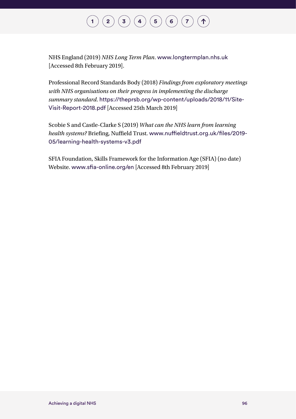NHS England (2019) *NHS Long Term Plan*. [www.longtermplan.nhs.uk](http://www.longtermplan.nhs.uk) [Accessed 8th February 2019].

Professional Record Standards Body (2018) *Findings from exploratory meetings with NHS organisations on their progress in implementing the discharge summary standard*. [https://theprsb.org/wp-content/uploads/2018/11/Site-](https://theprsb.org/wp-content/uploads/2018/11/Site-Visit-Report-2018.pdf)[Visit-Report-2018.pdf](https://theprsb.org/wp-content/uploads/2018/11/Site-Visit-Report-2018.pdf) [Accessed 25th March 2019]

Scobie S and Castle-Clarke S (2019) *What can the NHS learn from learning health systems?* Briefing, Nuffield Trust. [www.nuffieldtrust.org.uk/files/2019-](http://www.nuffieldtrust.org.uk/files/2019-05/learning-health-systems-v3.pdf) [05/learning-health-systems-v3.pdf](http://www.nuffieldtrust.org.uk/files/2019-05/learning-health-systems-v3.pdf)

SFIA Foundation, Skills Framework for the Information Age (SFIA) (no date) Website. [www.sfia-online.org/en](http://www.sfia-online.org/en) [Accessed 8th February 2019]